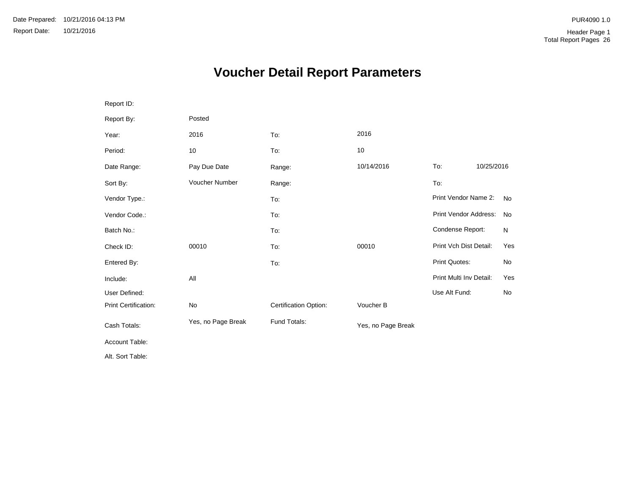# **Voucher Detail Report Parameters**

| Report ID:           |                    |                       |                    |                         |            |           |
|----------------------|--------------------|-----------------------|--------------------|-------------------------|------------|-----------|
| Report By:           | Posted             |                       |                    |                         |            |           |
| Year:                | 2016               | To:                   | 2016               |                         |            |           |
| Period:              | 10                 | To:                   | 10                 |                         |            |           |
| Date Range:          | Pay Due Date       | Range:                | 10/14/2016         | To:                     | 10/25/2016 |           |
| Sort By:             | Voucher Number     | Range:                |                    | To:                     |            |           |
| Vendor Type.:        |                    | To:                   |                    | Print Vendor Name 2:    |            | <b>No</b> |
| Vendor Code.:        |                    | To:                   |                    | Print Vendor Address:   |            | No        |
| Batch No.:           |                    | To:                   |                    | Condense Report:        |            | N         |
| Check ID:            | 00010              | To:                   | 00010              | Print Vch Dist Detail:  |            | Yes       |
| Entered By:          |                    | To:                   |                    | Print Quotes:           |            | No        |
| Include:             | All                |                       |                    | Print Multi Inv Detail: |            | Yes       |
| User Defined:        |                    |                       |                    | Use Alt Fund:           |            | No        |
| Print Certification: | No                 | Certification Option: | Voucher B          |                         |            |           |
| Cash Totals:         | Yes, no Page Break | Fund Totals:          | Yes, no Page Break |                         |            |           |
| Account Table:       |                    |                       |                    |                         |            |           |
| Alt. Sort Table:     |                    |                       |                    |                         |            |           |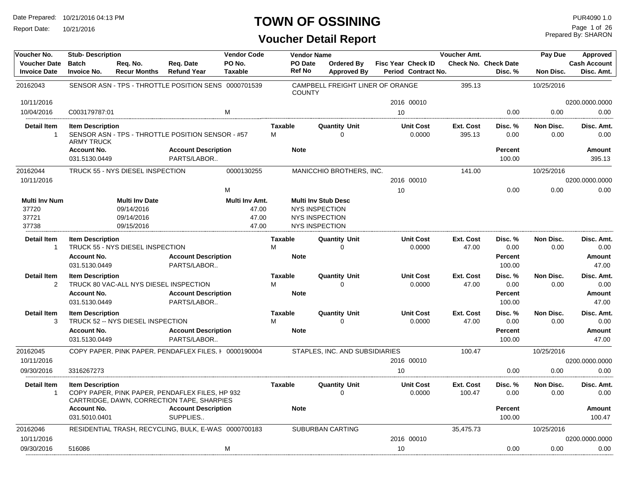Report Date: 10/21/2016

#### **TOWN OF OSSINING**

| Voucher No.                                     | <b>Stub-Description</b>                      |                                                                 |                                                                                               | <b>Vendor Code</b>                        |                     | <b>Vendor Name</b>                                                                             |                                  |    |                                                  | Voucher Amt.              |                                        | Pay Due           | Approved                          |
|-------------------------------------------------|----------------------------------------------|-----------------------------------------------------------------|-----------------------------------------------------------------------------------------------|-------------------------------------------|---------------------|------------------------------------------------------------------------------------------------|----------------------------------|----|--------------------------------------------------|---------------------------|----------------------------------------|-------------------|-----------------------------------|
| <b>Voucher Date</b><br><b>Invoice Date</b>      | <b>Batch</b><br><b>Invoice No.</b>           | Reg. No.<br><b>Recur Months</b>                                 | Reg. Date<br><b>Refund Year</b>                                                               | PO No.<br><b>Taxable</b>                  |                     | PO Date<br><b>Ref No</b>                                                                       | Ordered By<br><b>Approved By</b> |    | <b>Fisc Year Check ID</b><br>Period Contract No. |                           | <b>Check No. Check Date</b><br>Disc. % | <b>Non Disc.</b>  | <b>Cash Account</b><br>Disc. Amt. |
| 20162043                                        |                                              |                                                                 | SENSOR ASN - TPS - THROTTLE POSITION SENS 0000701539                                          |                                           |                     | <b>COUNTY</b>                                                                                  | CAMPBELL FREIGHT LINER OF ORANGE |    |                                                  | 395.13                    |                                        | 10/25/2016        |                                   |
| 10/11/2016                                      |                                              |                                                                 |                                                                                               |                                           |                     |                                                                                                |                                  |    | 2016 00010                                       |                           |                                        |                   | 0200.0000.0000                    |
| 10/04/2016                                      | C003179787:01                                |                                                                 |                                                                                               | M                                         |                     |                                                                                                |                                  | 10 |                                                  |                           | 0.00                                   | 0.00              | 0.00                              |
| <b>Detail Item</b><br>$\overline{1}$            | <b>Item Description</b><br><b>ARMY TRUCK</b> |                                                                 | SENSOR ASN - TPS - THROTTLE POSITION SENSOR - #57                                             |                                           | <b>Taxable</b><br>M |                                                                                                | <b>Quantity Unit</b><br>$\Omega$ |    | <b>Unit Cost</b><br>0.0000                       | Ext. Cost<br>395.13       | Disc. %<br>0.00                        | Non Disc.<br>0.00 | Disc. Amt.<br>0.00                |
|                                                 | <b>Account No.</b>                           |                                                                 | <b>Account Description</b>                                                                    |                                           |                     | <b>Note</b>                                                                                    |                                  |    |                                                  |                           | <b>Percent</b>                         |                   | Amount                            |
|                                                 | 031.5130.0449                                |                                                                 | PARTS/LABOR                                                                                   |                                           |                     |                                                                                                |                                  |    |                                                  |                           | 100.00                                 |                   | 395.13                            |
| 20162044                                        |                                              | TRUCK 55 - NYS DIESEL INSPECTION                                |                                                                                               | 0000130255                                |                     |                                                                                                | MANICCHIO BROTHERS, INC.         |    |                                                  | 141.00                    |                                        | 10/25/2016        |                                   |
| 10/11/2016                                      |                                              |                                                                 |                                                                                               |                                           |                     |                                                                                                |                                  |    | 2016 00010                                       |                           |                                        |                   | 0200.0000.0000                    |
|                                                 |                                              |                                                                 |                                                                                               | M                                         |                     |                                                                                                |                                  | 10 |                                                  |                           | 0.00                                   | 0.00              | 0.00                              |
| <b>Multi Inv Num</b><br>37720<br>37721<br>37738 |                                              | <b>Multi Inv Date</b><br>09/14/2016<br>09/14/2016<br>09/15/2016 |                                                                                               | Multi Inv Amt.<br>47.00<br>47.00<br>47.00 |                     | <b>Multi Inv Stub Desc</b><br><b>NYS INSPECTION</b><br>NYS INSPECTION<br><b>NYS INSPECTION</b> |                                  |    |                                                  |                           |                                        |                   |                                   |
| <b>Detail Item</b>                              | <b>Item Description</b>                      |                                                                 |                                                                                               |                                           | Taxable             |                                                                                                | <b>Quantity Unit</b>             |    | <b>Unit Cost</b>                                 | Ext. Cost                 | Disc. %                                | Non Disc.         | Disc. Amt.                        |
| $\overline{1}$                                  | <b>Account No.</b><br>031.5130.0449          | TRUCK 55 - NYS DIESEL INSPECTION                                | <b>Account Description</b><br>PARTS/LABOR                                                     |                                           | M                   | <b>Note</b>                                                                                    | $\Omega$                         |    | 0.0000                                           | 47.00                     | 0.00<br>Percent<br>100.00              | 0.00              | 0.00<br>Amount<br>47.00           |
| <b>Detail Item</b><br>$\overline{2}$            | <b>Item Description</b>                      | TRUCK 80 VAC-ALL NYS DIESEL INSPECTION                          |                                                                                               |                                           | <b>Taxable</b><br>M |                                                                                                | <b>Quantity Unit</b><br>$\Omega$ |    | <b>Unit Cost</b><br>0.0000                       | Ext. Cost<br>47.00        | Disc. %<br>0.00                        | Non Disc.<br>0.00 | Disc. Amt.<br>0.00                |
|                                                 | <b>Account No.</b><br>031.5130.0449          |                                                                 | <b>Account Description</b><br>PARTS/LABOR                                                     |                                           |                     | <b>Note</b>                                                                                    |                                  |    |                                                  |                           | <b>Percent</b><br>100.00               |                   | <b>Amount</b><br>47.00            |
| <b>Detail Item</b><br>3                         | <b>Item Description</b>                      | TRUCK 52 -- NYS DIESEL INSPECTION                               |                                                                                               |                                           | <b>Taxable</b><br>M |                                                                                                | <b>Quantity Unit</b><br>$\Omega$ |    | <b>Unit Cost</b><br>0.0000                       | <b>Ext. Cost</b><br>47.00 | Disc. %<br>0.00                        | Non Disc.<br>0.00 | Disc. Amt.<br>0.00                |
|                                                 | <b>Account No.</b><br>031.5130.0449          |                                                                 | <b>Account Description</b><br>PARTS/LABOR                                                     |                                           |                     | <b>Note</b>                                                                                    |                                  |    |                                                  |                           | <b>Percent</b><br>100.00               |                   | <b>Amount</b><br>47.00            |
| 20162045                                        |                                              |                                                                 | COPY PAPER. PINK PAPER. PENDAFLEX FILES. I 0000190004                                         |                                           |                     |                                                                                                | STAPLES, INC. AND SUBSIDIARIES   |    |                                                  | 100.47                    |                                        | 10/25/2016        |                                   |
| 10/11/2016                                      |                                              |                                                                 |                                                                                               |                                           |                     |                                                                                                |                                  |    | 2016 00010                                       |                           |                                        |                   | 0200.0000.0000                    |
| 09/30/2016                                      | 3316267273                                   |                                                                 |                                                                                               |                                           |                     |                                                                                                |                                  | 10 |                                                  |                           | 0.00                                   | 0.00              | 0.00                              |
| <b>Detail Item</b><br>$\overline{1}$            | <b>Item Description</b>                      |                                                                 | COPY PAPER, PINK PAPER, PENDAFLEX FILES, HP 932<br>CARTRIDGE, DAWN, CORRECTION TAPE, SHARPIES |                                           | <b>Taxable</b>      |                                                                                                | <b>Quantity Unit</b><br>$\Omega$ |    | <b>Unit Cost</b><br>0.0000                       | Ext. Cost<br>100.47       | Disc. %<br>0.00                        | Non Disc.<br>0.00 | Disc. Amt.<br>0.00                |
|                                                 | <b>Account No.</b><br>031.5010.0401          |                                                                 | <b>Account Description</b><br>SUPPLIES                                                        |                                           |                     | <b>Note</b>                                                                                    |                                  |    |                                                  |                           | <b>Percent</b><br>100.00               |                   | Amount<br>100.47                  |
| 20162046                                        |                                              |                                                                 | RESIDENTIAL TRASH, RECYCLING, BULK, E-WAS 0000700183                                          |                                           |                     |                                                                                                | <b>SUBURBAN CARTING</b>          |    |                                                  | 35,475.73                 |                                        | 10/25/2016        |                                   |
| 10/11/2016                                      |                                              |                                                                 |                                                                                               |                                           |                     |                                                                                                |                                  |    | 2016 00010                                       |                           |                                        |                   | 0200.0000.0000                    |
| 09/30/2016                                      | 516086                                       |                                                                 |                                                                                               | M                                         |                     |                                                                                                |                                  | 10 |                                                  |                           | 0.00                                   | 0.00              | 0.00                              |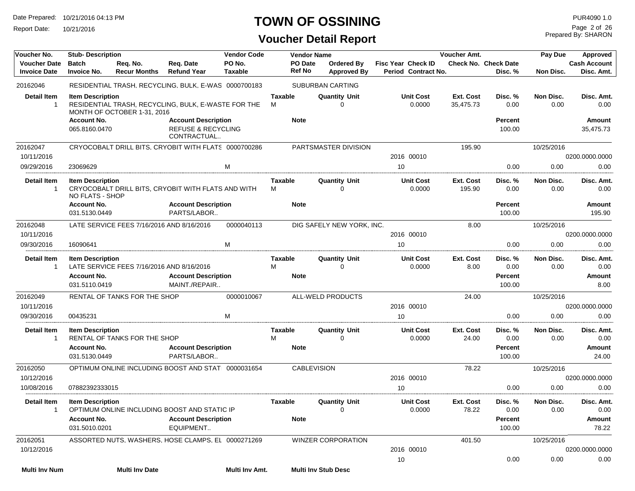Report Date: 10/21/2016

#### **TOWN OF OSSINING**

#### **Voucher Detail Report**

Prepared By: SHARON Page 2 of 26

| Voucher No.                                | <b>Stub-Description</b>                    |                                           |                                                                            | <b>Vendor Code</b> |                     | <b>Vendor Name</b>              |                                                 |                                                  | Voucher Amt.           | Pay Due                                |                   | Approved                          |
|--------------------------------------------|--------------------------------------------|-------------------------------------------|----------------------------------------------------------------------------|--------------------|---------------------|---------------------------------|-------------------------------------------------|--------------------------------------------------|------------------------|----------------------------------------|-------------------|-----------------------------------|
| <b>Voucher Date</b><br><b>Invoice Date</b> | <b>Batch</b><br><b>Invoice No.</b>         | Req. No.<br><b>Recur Months</b>           | Req. Date<br><b>Refund Year</b>                                            | PO No.<br>Taxable  |                     | <b>PO Date</b><br><b>Ref No</b> | <b>Ordered By</b><br><b>Approved By</b>         | <b>Fisc Year Check ID</b><br>Period Contract No. |                        | <b>Check No. Check Date</b><br>Disc. % | Non Disc.         | <b>Cash Account</b><br>Disc. Amt. |
| 20162046                                   |                                            |                                           | RESIDENTIAL TRASH, RECYCLING, BULK, E-WAS 0000700183                       |                    |                     |                                 | <b>SUBURBAN CARTING</b>                         |                                                  |                        |                                        |                   |                                   |
| <b>Detail Item</b><br>-1                   | <b>Item Description</b>                    | MONTH OF OCTOBER 1-31, 2016               | RESIDENTIAL TRASH, RECYCLING, BULK, E-WASTE FOR THE                        |                    | <b>Taxable</b><br>м |                                 | <b>Quantity Unit</b><br>0                       | <b>Unit Cost</b><br>0.0000                       | Ext. Cost<br>35,475.73 | Disc. %<br>0.00                        | Non Disc.<br>0.00 | Disc. Amt.<br>0.00                |
|                                            | <b>Account No.</b><br>065.8160.0470        |                                           | <b>Account Description</b><br><b>REFUSE &amp; RECYCLING</b><br>CONTRACTUAL |                    |                     | <b>Note</b>                     |                                                 |                                                  |                        | <b>Percent</b><br>100.00               |                   | Amount<br>35,475.73               |
| 20162047<br>10/11/2016                     |                                            |                                           | CRYOCOBALT DRILL BITS, CRYOBIT WITH FLATS 0000700286                       |                    |                     |                                 | PARTSMASTER DIVISION                            | 2016 00010                                       | 195.90                 |                                        | 10/25/2016        | 0200.0000.0000                    |
| 09/29/2016                                 | 23069629                                   |                                           |                                                                            | м                  |                     |                                 |                                                 | 10                                               |                        | 0.00                                   | 0.00              | 0.00                              |
| <b>Detail Item</b><br>-1                   | <b>Item Description</b><br>NO FLATS - SHOP |                                           | CRYOCOBALT DRILL BITS, CRYOBIT WITH FLATS AND WITH                         |                    | Taxable<br>м        |                                 | <b>Quantity Unit</b><br>$\Omega$                | <b>Unit Cost</b><br>0.0000                       | Ext. Cost<br>195.90    | Disc. %<br>0.00                        | Non Disc.<br>0.00 | Disc. Amt.<br>0.00                |
|                                            | <b>Account No.</b><br>031.5130.0449        |                                           | <b>Account Description</b><br>PARTS/LABOR                                  |                    |                     | <b>Note</b>                     |                                                 |                                                  |                        | <b>Percent</b><br>100.00               |                   | Amount<br>195.90                  |
| 20162048                                   |                                            | LATE SERVICE FEES 7/16/2016 AND 8/16/2016 |                                                                            | 0000040113         |                     |                                 | DIG SAFELY NEW YORK, INC.                       |                                                  | 8.00                   |                                        | 10/25/2016        |                                   |
| 10/11/2016                                 |                                            |                                           |                                                                            |                    |                     |                                 |                                                 | 2016 00010                                       |                        |                                        |                   | 0200.0000.0000                    |
| 09/30/2016                                 | 16090641                                   |                                           |                                                                            | M                  |                     |                                 |                                                 | 10                                               |                        | 0.00                                   | 0.00              | 0.00                              |
| Detail Item<br>$\mathbf{1}$                | <b>Item Description</b>                    | LATE SERVICE FEES 7/16/2016 AND 8/16/2016 |                                                                            |                    | <b>Taxable</b><br>м |                                 | <b>Quantity Unit</b><br>$\Omega$                | <b>Unit Cost</b><br>0.0000                       | Ext. Cost<br>8.00      | Disc. %<br>0.00                        | Non Disc.<br>0.00 | Disc. Amt.<br>0.00                |
|                                            | <b>Account No.</b>                         |                                           | <b>Account Description</b>                                                 |                    |                     | <b>Note</b>                     |                                                 |                                                  |                        | <b>Percent</b>                         |                   | Amount                            |
|                                            | 031.5110.0419                              |                                           | MAINT./REPAIR                                                              |                    |                     |                                 |                                                 |                                                  |                        | 100.00                                 |                   | 8.00                              |
| 20162049                                   |                                            | RENTAL OF TANKS FOR THE SHOP              |                                                                            | 0000010067         |                     |                                 | ALL-WELD PRODUCTS                               |                                                  | 24.00                  |                                        | 10/25/2016        |                                   |
| 10/11/2016                                 |                                            |                                           |                                                                            |                    |                     |                                 |                                                 | 2016 00010                                       |                        |                                        |                   | 0200.0000.0000                    |
| 09/30/2016                                 | 00435231                                   |                                           |                                                                            | м                  |                     |                                 |                                                 | 10                                               |                        | 0.00                                   | 0.00              | 0.00                              |
| <b>Detail Item</b><br>-1                   | <b>Item Description</b>                    | RENTAL OF TANKS FOR THE SHOP              |                                                                            |                    | <b>Taxable</b><br>М |                                 | <b>Quantity Unit</b><br>$\Omega$                | <b>Unit Cost</b><br>0.0000                       | Ext. Cost<br>24.00     | Disc. %<br>0.00                        | Non Disc.<br>0.00 | Disc. Amt.<br>0.00                |
|                                            | <b>Account No.</b><br>031.5130.0449        |                                           | <b>Account Description</b><br>PARTS/LABOR                                  |                    |                     | <b>Note</b>                     |                                                 |                                                  |                        | <b>Percent</b><br>100.00               |                   | Amount<br>24.00                   |
| 20162050                                   |                                            |                                           | OPTIMUM ONLINE INCLUDING BOOST AND STAT 0000031654                         |                    |                     | <b>CABLEVISION</b>              |                                                 |                                                  | 78.22                  |                                        | 10/25/2016        |                                   |
| 10/12/2016                                 |                                            |                                           |                                                                            |                    |                     |                                 |                                                 | 2016 00010                                       |                        |                                        |                   | 0200.0000.0000                    |
| 10/08/2016                                 | 07882392333015                             |                                           |                                                                            |                    |                     |                                 |                                                 | 10                                               |                        | 0.00                                   | 0.00              | 0.00                              |
| Detail Item                                | <b>Item Description</b>                    |                                           | OPTIMUM ONLINE INCLUDING BOOST AND STATIC IP                               |                    | Taxable             |                                 | <b>Quantity Unit</b><br>$\overline{\mathbf{0}}$ | <b>Unit Cost</b><br>0.0000                       | Ext. Cost<br>78.22     | Disc. %<br>0.00                        | Non Disc.<br>0.00 | Disc. Amt.<br>0.00                |
|                                            | <b>Account No.</b><br>031.5010.0201        |                                           | <b>Account Description</b><br>EQUIPMENT                                    |                    |                     | Note                            |                                                 |                                                  |                        | Percent<br>100.00                      |                   | Amount<br>78.22                   |
| 20162051                                   |                                            |                                           | ASSORTED NUTS. WASHERS. HOSE CLAMPS. EL 0000271269                         |                    |                     |                                 | WINZER CORPORATION                              |                                                  | 401.50                 |                                        | 10/25/2016        |                                   |
| 10/12/2016                                 |                                            |                                           |                                                                            |                    |                     |                                 |                                                 | 2016 00010                                       |                        |                                        |                   | 0200.0000.0000                    |
|                                            |                                            |                                           |                                                                            |                    |                     |                                 |                                                 | 10                                               |                        | 0.00                                   | 0.00              | 0.00                              |
| <b>Multi Inv Num</b>                       |                                            | <b>Multi Inv Date</b>                     |                                                                            | Multi Inv Amt.     |                     |                                 | <b>Multi Inv Stub Desc</b>                      |                                                  |                        |                                        |                   |                                   |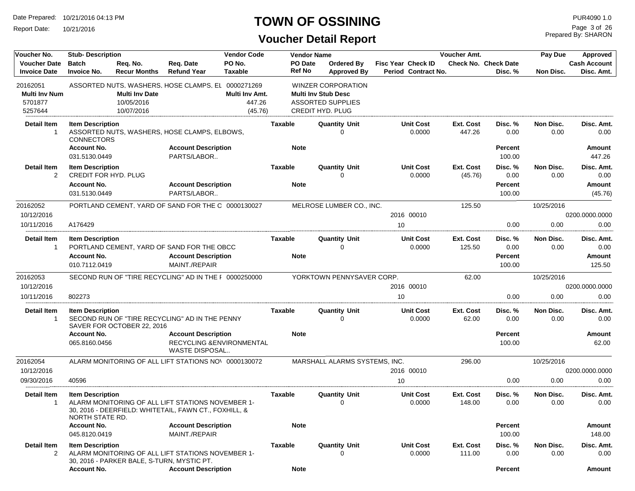Report Date: 10/21/2016

# **TOWN OF OSSINING**

Prepared By: SHARON Page 3 of 26

| Voucher No.                                | <b>Stub-Description</b>                         |                                 |                                                                                                            | <b>Vendor Code</b>       |                   | <b>Vendor Name</b>               |                                                  | Voucher Amt.         |                                 | Pay Due           | Approved                          |
|--------------------------------------------|-------------------------------------------------|---------------------------------|------------------------------------------------------------------------------------------------------------|--------------------------|-------------------|----------------------------------|--------------------------------------------------|----------------------|---------------------------------|-------------------|-----------------------------------|
| <b>Voucher Date</b><br><b>Invoice Date</b> | Batch<br><b>Invoice No.</b>                     | Req. No.<br><b>Recur Months</b> | Req. Date<br><b>Refund Year</b>                                                                            | PO No.<br><b>Taxable</b> | PO Date<br>Ref No | Ordered By<br><b>Approved By</b> | <b>Fisc Year Check ID</b><br>Period Contract No. |                      | Check No. Check Date<br>Disc. % | Non Disc.         | <b>Cash Account</b><br>Disc. Amt. |
| 20162051                                   |                                                 |                                 | ASSORTED NUTS, WASHERS, HOSE CLAMPS, EL 0000271269                                                         |                          |                   | <b>WINZER CORPORATION</b>        |                                                  |                      |                                 |                   |                                   |
| <b>Multi Inv Num</b>                       |                                                 | <b>Multi Inv Date</b>           |                                                                                                            | Multi Inv Amt.           |                   | <b>Multi Inv Stub Desc</b>       |                                                  |                      |                                 |                   |                                   |
| 5701877                                    |                                                 | 10/05/2016                      |                                                                                                            | 447.26                   |                   | <b>ASSORTED SUPPLIES</b>         |                                                  |                      |                                 |                   |                                   |
| 5257644                                    |                                                 | 10/07/2016                      |                                                                                                            | (45.76)                  |                   | <b>CREDIT HYD. PLUG</b>          |                                                  |                      |                                 |                   |                                   |
| Detail Item<br>$\mathbf{1}$                | <b>Item Description</b><br><b>CONNECTORS</b>    |                                 | ASSORTED NUTS, WASHERS, HOSE CLAMPS, ELBOWS,                                                               |                          | <b>Taxable</b>    | <b>Quantity Unit</b><br>$\Omega$ | <b>Unit Cost</b><br>0.0000                       | Ext. Cost<br>447.26  | Disc. %<br>0.00                 | Non Disc.<br>0.00 | Disc. Amt.<br>0.00                |
|                                            | <b>Account No.</b><br>031.5130.0449             |                                 | <b>Account Description</b><br>PARTS/LABOR                                                                  |                          | <b>Note</b>       |                                  |                                                  |                      | <b>Percent</b><br>100.00        |                   | Amount<br>447.26                  |
| Detail Item<br>2                           | <b>Item Description</b><br>CREDIT FOR HYD. PLUG |                                 |                                                                                                            |                          | <b>Taxable</b>    | <b>Quantity Unit</b><br>0        | <b>Unit Cost</b><br>0.0000                       | Ext. Cost<br>(45.76) | Disc. %<br>0.00                 | Non Disc.<br>0.00 | Disc. Amt.<br>0.00                |
|                                            | <b>Account No.</b><br>031.5130.0449             |                                 | <b>Account Description</b><br>PARTS/LABOR                                                                  |                          | <b>Note</b>       |                                  |                                                  |                      | <b>Percent</b><br>100.00        |                   | Amount<br>(45.76)                 |
| 20162052                                   |                                                 |                                 | PORTLAND CEMENT. YARD OF SAND FOR THE C 0000130027                                                         |                          |                   | MELROSE LUMBER CO., INC.         |                                                  | 125.50               |                                 | 10/25/2016        |                                   |
| 10/12/2016                                 |                                                 |                                 |                                                                                                            |                          |                   |                                  | 2016 00010                                       |                      |                                 |                   | 0200.0000.0000                    |
| 10/11/2016                                 | A176429                                         |                                 |                                                                                                            |                          |                   |                                  | 10                                               |                      | 0.00                            | 0.00              | 0.00                              |
| Detail Item<br>1                           | <b>Item Description</b>                         |                                 | PORTLAND CEMENT, YARD OF SAND FOR THE OBCC                                                                 |                          | Taxable           | <b>Quantity Unit</b><br>$\Omega$ | <b>Unit Cost</b><br>0.0000                       | Ext. Cost<br>125.50  | Disc. %<br>0.00                 | Non Disc.<br>0.00 | Disc. Amt.<br>0.00                |
|                                            | <b>Account No.</b><br>010.7112.0419             |                                 | <b>Account Description</b><br>MAINT./REPAIR                                                                |                          | <b>Note</b>       |                                  |                                                  |                      | <b>Percent</b><br>100.00        |                   | Amount<br>125.50                  |
| 20162053                                   |                                                 |                                 | SECOND RUN OF "TIRE RECYCLING" AD IN THE I 0000250000                                                      |                          |                   | YORKTOWN PENNYSAVER CORP.        |                                                  | 62.00                |                                 | 10/25/2016        |                                   |
| 10/12/2016                                 |                                                 |                                 |                                                                                                            |                          |                   |                                  | 2016 00010                                       |                      |                                 |                   | 0200.0000.0000                    |
| 10/11/2016                                 | 802273                                          |                                 |                                                                                                            |                          |                   |                                  | 10                                               |                      | 0.00                            | 0.00              | 0.00                              |
| <b>Detail Item</b><br>$\mathbf{1}$         | <b>Item Description</b>                         | SAVER FOR OCTOBER 22, 2016      | SECOND RUN OF "TIRE RECYCLING" AD IN THE PENNY                                                             |                          | <b>Taxable</b>    | <b>Quantity Unit</b><br>$\Omega$ | <b>Unit Cost</b><br>0.0000                       | Ext. Cost<br>62.00   | Disc. %<br>0.00                 | Non Disc.<br>0.00 | Disc. Amt.<br>0.00                |
|                                            | <b>Account No.</b><br>065.8160.0456             |                                 | <b>Account Description</b><br>RECYCLING & ENVIRONMENTAL<br>WASTE DISPOSAL                                  |                          | <b>Note</b>       |                                  |                                                  |                      | <b>Percent</b><br>100.00        |                   | Amount<br>62.00                   |
| 20162054                                   |                                                 |                                 | ALARM MONITORING OF ALL LIFT STATIONS NOV 0000130072                                                       |                          |                   | MARSHALL ALARMS SYSTEMS, INC.    |                                                  | 296.00               |                                 | 10/25/2016        |                                   |
| 10/12/2016                                 |                                                 |                                 |                                                                                                            |                          |                   |                                  | 2016 00010                                       |                      |                                 |                   | 0200.0000.0000                    |
| 09/30/2016                                 | 40596                                           |                                 |                                                                                                            |                          |                   |                                  | 10                                               |                      | 0.00                            | 0.00              | 0.00                              |
| <b>Detail Item</b><br>$\mathbf{1}$         | <b>Item Description</b><br>NORTH STATE RD.      |                                 | ALARM MONITORING OF ALL LIFT STATIONS NOVEMBER 1-<br>30, 2016 - DEERFIELD: WHITETAIL, FAWN CT., FOXHILL, & |                          | <b>Taxable</b>    | <b>Quantity Unit</b><br>0        | <b>Unit Cost</b><br>0.0000                       | Ext. Cost<br>148.00  | Disc. %<br>0.00                 | Non Disc.<br>0.00 | Disc. Amt.<br>0.00                |
|                                            | <b>Account No.</b><br>045.8120.0419             |                                 | <b>Account Description</b><br>MAINT./REPAIR                                                                |                          | <b>Note</b>       |                                  |                                                  |                      | <b>Percent</b><br>100.00        |                   | Amount<br>148.00                  |
| Detail Item<br>$\overline{2}$              | <b>Item Description</b>                         |                                 | ALARM MONITORING OF ALL LIFT STATIONS NOVEMBER 1-<br>30, 2016 - PARKER BALE, S-TURN, MYSTIC PT.            |                          | <b>Taxable</b>    | <b>Quantity Unit</b><br>$\Omega$ | <b>Unit Cost</b><br>0.0000                       | Ext. Cost<br>111.00  | Disc. %<br>0.00                 | Non Disc.<br>0.00 | Disc. Amt.<br>0.00                |
|                                            | <b>Account No.</b>                              |                                 | <b>Account Description</b>                                                                                 |                          | <b>Note</b>       |                                  |                                                  |                      | Percent                         |                   | Amount                            |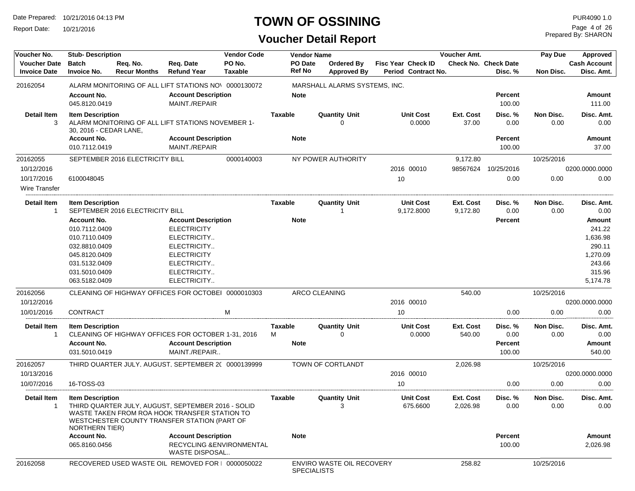Report Date: 10/21/2016

## **TOWN OF OSSINING**

Prepared By: SHARON Page 4 of 26

| Voucher No.                                | <b>Stub-Description</b>                           |                                 |                                                                                                                                                     | <b>Vendor Code</b>       |                     | <b>Vendor Name</b> |                                  |                                                  | Voucher Amt.          |                                        | Pay Due           | Approved                          |
|--------------------------------------------|---------------------------------------------------|---------------------------------|-----------------------------------------------------------------------------------------------------------------------------------------------------|--------------------------|---------------------|--------------------|----------------------------------|--------------------------------------------------|-----------------------|----------------------------------------|-------------------|-----------------------------------|
| <b>Voucher Date</b><br><b>Invoice Date</b> | <b>Batch</b><br><b>Invoice No.</b>                | Reg. No.<br><b>Recur Months</b> | Req. Date<br><b>Refund Year</b>                                                                                                                     | PO No.<br><b>Taxable</b> |                     | PO Date<br>Ref No  | <b>Ordered By</b><br>Approved By | <b>Fisc Year Check ID</b><br>Period Contract No. |                       | <b>Check No. Check Date</b><br>Disc. % | Non Disc.         | <b>Cash Account</b><br>Disc. Amt. |
| 20162054                                   |                                                   |                                 | ALARM MONITORING OF ALL LIFT STATIONS NOV 0000130072                                                                                                |                          |                     |                    | MARSHALL ALARMS SYSTEMS, INC.    |                                                  |                       |                                        |                   |                                   |
|                                            | <b>Account No.</b><br>045.8120.0419               |                                 | <b>Account Description</b><br>MAINT./REPAIR                                                                                                         |                          | <b>Note</b>         |                    |                                  |                                                  |                       | <b>Percent</b><br>100.00               |                   | Amount<br>111.00                  |
| <b>Detail Item</b><br>3                    | <b>Item Description</b><br>30, 2016 - CEDAR LANE, |                                 | ALARM MONITORING OF ALL LIFT STATIONS NOVEMBER 1-                                                                                                   |                          | <b>Taxable</b>      |                    | <b>Quantity Unit</b><br>$\Omega$ | <b>Unit Cost</b><br>0.0000                       | Ext. Cost<br>37.00    | Disc. %<br>0.00                        | Non Disc.<br>0.00 | Disc. Amt.<br>0.00                |
|                                            | <b>Account No.</b><br>010.7112.0419               |                                 | <b>Account Description</b><br>MAINT./REPAIR                                                                                                         |                          | <b>Note</b>         |                    |                                  |                                                  |                       | <b>Percent</b><br>100.00               |                   | Amount<br>37.00                   |
| 20162055                                   |                                                   | SEPTEMBER 2016 ELECTRICITY BILL |                                                                                                                                                     | 0000140003               |                     |                    | NY POWER AUTHORITY               |                                                  | 9,172.80              |                                        | 10/25/2016        |                                   |
| 10/12/2016                                 |                                                   |                                 |                                                                                                                                                     |                          |                     |                    |                                  | 2016 00010                                       | 98567624              | 10/25/2016                             |                   | 0200.0000.0000                    |
| 10/17/2016<br>Wire Transfer                | 6100048045                                        |                                 |                                                                                                                                                     |                          |                     |                    |                                  | 10                                               |                       | 0.00                                   | 0.00              | 0.00                              |
| <b>Detail Item</b><br>$\mathbf 1$          | <b>Item Description</b>                           | SEPTEMBER 2016 ELECTRICITY BILL |                                                                                                                                                     |                          | Taxable             |                    | <b>Quantity Unit</b>             | <b>Unit Cost</b><br>9,172.8000                   | Ext. Cost<br>9,172.80 | Disc. %<br>0.00                        | Non Disc.<br>0.00 | Disc. Amt.<br>0.00                |
|                                            | <b>Account No.</b>                                |                                 | <b>Account Description</b>                                                                                                                          |                          | <b>Note</b>         |                    |                                  |                                                  |                       | <b>Percent</b>                         |                   | Amount                            |
|                                            | 010.7112.0409                                     |                                 | <b>ELECTRICITY</b>                                                                                                                                  |                          |                     |                    |                                  |                                                  |                       |                                        |                   | 241.22                            |
|                                            | 010.7110.0409                                     |                                 | ELECTRICITY                                                                                                                                         |                          |                     |                    |                                  |                                                  |                       |                                        |                   | 1,636.98                          |
|                                            | 032.8810.0409                                     |                                 | ELECTRICITY                                                                                                                                         |                          |                     |                    |                                  |                                                  |                       |                                        |                   | 290.11                            |
|                                            | 045.8120.0409                                     |                                 | <b>ELECTRICITY</b>                                                                                                                                  |                          |                     |                    |                                  |                                                  |                       |                                        |                   | 1,270.09                          |
|                                            | 031.5132.0409                                     |                                 | ELECTRICITY                                                                                                                                         |                          |                     |                    |                                  |                                                  |                       |                                        |                   | 243.66                            |
|                                            | 031.5010.0409                                     |                                 | ELECTRICITY                                                                                                                                         |                          |                     |                    |                                  |                                                  |                       |                                        |                   | 315.96                            |
|                                            | 063.5182.0409                                     |                                 | ELECTRICITY                                                                                                                                         |                          |                     |                    |                                  |                                                  |                       |                                        |                   | 5,174.78                          |
| 20162056                                   |                                                   |                                 | CLEANING OF HIGHWAY OFFICES FOR OCTOBEI 0000010303                                                                                                  |                          |                     |                    | <b>ARCO CLEANING</b>             |                                                  | 540.00                |                                        | 10/25/2016        |                                   |
| 10/12/2016                                 |                                                   |                                 |                                                                                                                                                     |                          |                     |                    |                                  | 2016 00010                                       |                       |                                        |                   | 0200.0000.0000                    |
| 10/01/2016                                 | <b>CONTRACT</b>                                   |                                 |                                                                                                                                                     | M                        |                     |                    |                                  | 10 <sup>°</sup>                                  |                       | 0.00                                   | 0.00              | 0.00                              |
| <b>Detail Item</b><br>$\overline{1}$       | <b>Item Description</b>                           |                                 | CLEANING OF HIGHWAY OFFICES FOR OCTOBER 1-31, 2016                                                                                                  |                          | <b>Taxable</b><br>м |                    | <b>Quantity Unit</b><br>0        | <b>Unit Cost</b><br>0.0000                       | Ext. Cost<br>540.00   | Disc. %<br>0.00                        | Non Disc.<br>0.00 | Disc. Amt.<br>0.00                |
|                                            | <b>Account No.</b>                                |                                 | <b>Account Description</b>                                                                                                                          |                          | <b>Note</b>         |                    |                                  |                                                  |                       | <b>Percent</b>                         |                   | Amount                            |
|                                            | 031.5010.0419                                     |                                 | MAINT./REPAIR                                                                                                                                       |                          |                     |                    |                                  |                                                  |                       | 100.00                                 |                   | 540.00                            |
| 20162057                                   |                                                   |                                 | THIRD QUARTER JULY, AUGUST, SEPTEMBER 2( 0000139999                                                                                                 |                          |                     |                    | TOWN OF CORTLANDT                |                                                  | 2,026.98              |                                        | 10/25/2016        |                                   |
| 10/13/2016                                 |                                                   |                                 |                                                                                                                                                     |                          |                     |                    |                                  | 2016 00010                                       |                       |                                        |                   | 0200.0000.0000                    |
| 10/07/2016                                 | 16-TOSS-03                                        |                                 |                                                                                                                                                     |                          |                     |                    |                                  | 10                                               |                       | 0.00                                   | 0.00              | 0.00                              |
| <b>Detail Item</b>                         | <b>Item Description</b>                           |                                 |                                                                                                                                                     |                          | <b>Taxable</b>      |                    | <b>Quantity Unit</b>             | <b>Unit Cost</b>                                 | Ext. Cost             | Disc. %                                | Non Disc.         | Disc. Amt.                        |
| 1                                          | <b>NORTHERN TIER)</b>                             |                                 | THIRD QUARTER JULY, AUGUST, SEPTEMBER 2016 - SOLID<br>WASTE TAKEN FROM ROA HOOK TRANSFER STATION TO<br>WESTCHESTER COUNTY TRANSFER STATION (PART OF |                          |                     |                    | 3                                | 675.6600                                         | 2,026.98              | 0.00                                   | 0.00              | 0.00                              |
|                                            | Account No.                                       |                                 | <b>Account Description</b>                                                                                                                          |                          |                     | <b>Note</b>        |                                  |                                                  |                       | <b>Percent</b>                         |                   | <b>Amount</b>                     |
|                                            | 065.8160.0456                                     |                                 | RECYCLING & ENVIRONMENTAL<br><b>WASTE DISPOSAL</b>                                                                                                  |                          |                     |                    |                                  |                                                  |                       | 100.00                                 |                   | 2,026.98                          |
| 20162058                                   |                                                   |                                 | RECOVERED USED WASTE OIL REMOVED FOR   0000050022                                                                                                   |                          |                     | <b>SPECIALISTS</b> | ENVIRO WASTE OIL RECOVERY        |                                                  | 258.82                |                                        | 10/25/2016        |                                   |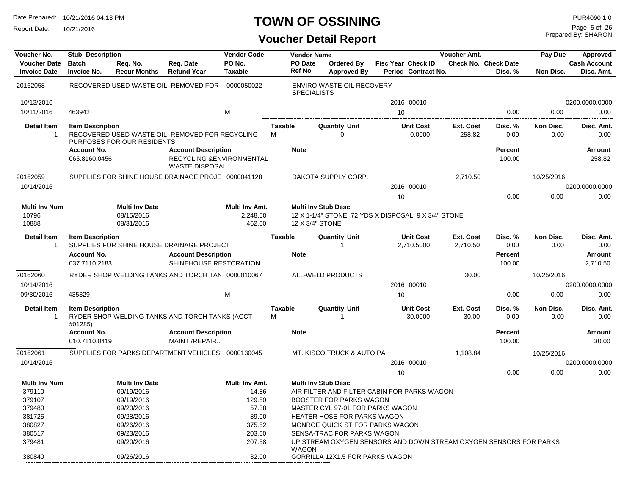Report Date: 10/21/2016

# **TOWN OF OSSINING**

Prepared By: SHARON Page 5 of 26

| Voucher No.                                | <b>Stub-Description</b>             |                                                   |                                                                           | <b>Vendor Code</b>                   |                     | <b>Vendor Name</b>              |                                                                                                       |    |                                                  | Voucher Amt.                 |                                 | Pay Due                  | Approved                          |
|--------------------------------------------|-------------------------------------|---------------------------------------------------|---------------------------------------------------------------------------|--------------------------------------|---------------------|---------------------------------|-------------------------------------------------------------------------------------------------------|----|--------------------------------------------------|------------------------------|---------------------------------|--------------------------|-----------------------------------|
| <b>Voucher Date</b><br><b>Invoice Date</b> | <b>Batch</b><br>Invoice No.         | Req. No.<br><b>Recur Months</b>                   | Req. Date<br><b>Refund Year</b>                                           | PO No.<br><b>Taxable</b>             |                     | <b>PO Date</b><br><b>Ref No</b> | <b>Ordered By</b><br><b>Approved By</b>                                                               |    | <b>Fisc Year Check ID</b><br>Period Contract No. |                              | Check No. Check Date<br>Disc. % | Non Disc.                | <b>Cash Account</b><br>Disc. Amt. |
| 20162058                                   |                                     |                                                   | RECOVERED USED WASTE OIL REMOVED FOR   0000050022                         |                                      |                     | <b>SPECIALISTS</b>              | ENVIRO WASTE OIL RECOVERY                                                                             |    |                                                  |                              |                                 |                          |                                   |
| 10/13/2016                                 |                                     |                                                   |                                                                           |                                      |                     |                                 |                                                                                                       |    | 2016 00010                                       |                              |                                 |                          | 0200.0000.0000                    |
| 10/11/2016                                 | 463942                              |                                                   |                                                                           | M                                    |                     |                                 |                                                                                                       | 10 |                                                  |                              | 0.00                            | 0.00                     | 0.00                              |
| <b>Detail Item</b><br>1                    | <b>Item Description</b>             | PURPOSES FOR OUR RESIDENTS                        | RECOVERED USED WASTE OIL REMOVED FOR RECYCLING                            |                                      | <b>Taxable</b><br>M |                                 | <b>Quantity Unit</b><br>$\Omega$                                                                      |    | <b>Unit Cost</b><br>0.0000                       | Ext. Cost<br>258.82          | Disc. %<br>0.00                 | <b>Non Disc.</b><br>0.00 | Disc. Amt.<br>0.00                |
|                                            | <b>Account No.</b><br>065.8160.0456 |                                                   | <b>Account Description</b><br>RECYCLING & ENVIRONMENTAL<br>WASTE DISPOSAL |                                      | <b>Note</b>         |                                 |                                                                                                       |    |                                                  |                              | Percent<br>100.00               |                          | <b>Amount</b><br>258.82           |
| 20162059<br>10/14/2016                     |                                     |                                                   | SUPPLIES FOR SHINE HOUSE DRAINAGE PROJE 0000041128                        |                                      |                     |                                 | DAKOTA SUPPLY CORP.                                                                                   |    | 2016 00010                                       | 2,710.50                     |                                 | 10/25/2016               | 0200.0000.0000                    |
|                                            |                                     |                                                   |                                                                           |                                      |                     |                                 |                                                                                                       | 10 |                                                  |                              | 0.00                            | 0.00                     | 0.00                              |
| <b>Multi Inv Num</b><br>10796<br>10888     |                                     | <b>Multi Inv Date</b><br>08/15/2016<br>08/31/2016 |                                                                           | Multi Inv Amt.<br>2,248.50<br>462.00 |                     |                                 | <b>Multi Inv Stub Desc</b><br>12 X 1-1/4" STONE, 72 YDS X DISPOSAL, 9 X 3/4" STONE<br>12 X 3/4" STONE |    |                                                  |                              |                                 |                          |                                   |
| <b>Detail Item</b><br>$\mathbf{1}$         | <b>Item Description</b>             |                                                   | SUPPLIES FOR SHINE HOUSE DRAINAGE PROJECT                                 |                                      | <b>Taxable</b>      |                                 | <b>Quantity Unit</b><br>-1                                                                            |    | <b>Unit Cost</b><br>2,710.5000                   | <b>Ext. Cost</b><br>2,710.50 | Disc. %<br>0.00                 | Non Disc.<br>0.00        | Disc. Amt.<br>0.00                |
|                                            | <b>Account No.</b><br>037.7110.2183 |                                                   | <b>Account Description</b><br>SHINEHOUSE RESTORATION                      |                                      | <b>Note</b>         |                                 |                                                                                                       |    |                                                  |                              | Percent<br>100.00               |                          | <b>Amount</b><br>2,710.50         |
| 20162060                                   |                                     |                                                   | RYDER SHOP WELDING TANKS AND TORCH TAN 0000010067                         |                                      |                     |                                 | ALL-WELD PRODUCTS                                                                                     |    |                                                  | 30.00                        |                                 | 10/25/2016               |                                   |
| 10/14/2016                                 |                                     |                                                   |                                                                           |                                      |                     |                                 |                                                                                                       |    | 2016 00010                                       |                              |                                 |                          | 0200.0000.0000                    |
| 09/30/2016                                 | 435329                              |                                                   |                                                                           | M                                    |                     |                                 |                                                                                                       | 10 |                                                  |                              | 0.00                            | 0.00                     | 0.00                              |
| <b>Detail Item</b><br>$\mathbf{1}$         | <b>Item Description</b><br>#01285)  |                                                   | RYDER SHOP WELDING TANKS AND TORCH TANKS (ACCT                            |                                      | <b>Taxable</b><br>м |                                 | <b>Quantity Unit</b><br>-1                                                                            |    | <b>Unit Cost</b><br>30.0000                      | <b>Ext. Cost</b><br>30.00    | Disc. %<br>0.00                 | Non Disc.<br>0.00        | Disc. Amt.<br>0.00                |
|                                            | <b>Account No.</b><br>010.7110.0419 |                                                   | <b>Account Description</b><br>MAINT./REPAIR                               |                                      | <b>Note</b>         |                                 |                                                                                                       |    |                                                  |                              | Percent<br>100.00               |                          | Amount<br>30.00                   |
| 20162061                                   |                                     |                                                   | SUPPLIES FOR PARKS DEPARTMENT VEHICLES 0000130045                         |                                      |                     |                                 | MT. KISCO TRUCK & AUTO PA                                                                             |    |                                                  | 1,108.84                     |                                 | 10/25/2016               |                                   |
| 10/14/2016                                 |                                     |                                                   |                                                                           |                                      |                     |                                 |                                                                                                       |    | 2016 00010                                       |                              |                                 |                          | 0200.0000.0000                    |
|                                            |                                     |                                                   |                                                                           |                                      |                     |                                 |                                                                                                       | 10 |                                                  |                              | 0.00                            | 0.00                     | 0.00                              |
| <b>Multi Inv Num</b>                       |                                     | <b>Multi Inv Date</b>                             |                                                                           | <b>Multi Inv Amt.</b>                |                     |                                 | <b>Multi Inv Stub Desc</b>                                                                            |    |                                                  |                              |                                 |                          |                                   |
| 379110                                     |                                     | 09/19/2016                                        |                                                                           | 14.86                                |                     |                                 | AIR FILTER AND FILTER CABIN FOR PARKS WAGON                                                           |    |                                                  |                              |                                 |                          |                                   |
| 379107                                     |                                     | 09/19/2016                                        |                                                                           | 129.50                               |                     |                                 | <b>BOOSTER FOR PARKS WAGON</b>                                                                        |    |                                                  |                              |                                 |                          |                                   |
| 379480                                     |                                     | 09/20/2016                                        |                                                                           | 57.38                                |                     |                                 | MASTER CYL 97-01 FOR PARKS WAGON                                                                      |    |                                                  |                              |                                 |                          |                                   |
| 381725                                     |                                     | 09/28/2016                                        |                                                                           | 89.00                                |                     |                                 | <b>HEATER HOSE FOR PARKS WAGON</b>                                                                    |    |                                                  |                              |                                 |                          |                                   |
| 380827                                     |                                     | 09/26/2016                                        |                                                                           | 375.52                               |                     |                                 | MONROE QUICK ST FOR PARKS WAGON                                                                       |    |                                                  |                              |                                 |                          |                                   |
| 380517                                     |                                     | 09/23/2016                                        |                                                                           | 203.00                               |                     |                                 | SENSA-TRAC FOR PARKS WAGON                                                                            |    |                                                  |                              |                                 |                          |                                   |
| 379481                                     |                                     | 09/20/2016                                        |                                                                           | 207.58                               |                     | <b>WAGON</b>                    | UP STREAM OXYGEN SENSORS AND DOWN STREAM OXYGEN SENSORS FOR PARKS                                     |    |                                                  |                              |                                 |                          |                                   |
| 380840                                     |                                     | 09/26/2016                                        |                                                                           | 32.00                                |                     |                                 | GORRILLA 12X1.5 FOR PARKS WAGON                                                                       |    |                                                  |                              |                                 |                          |                                   |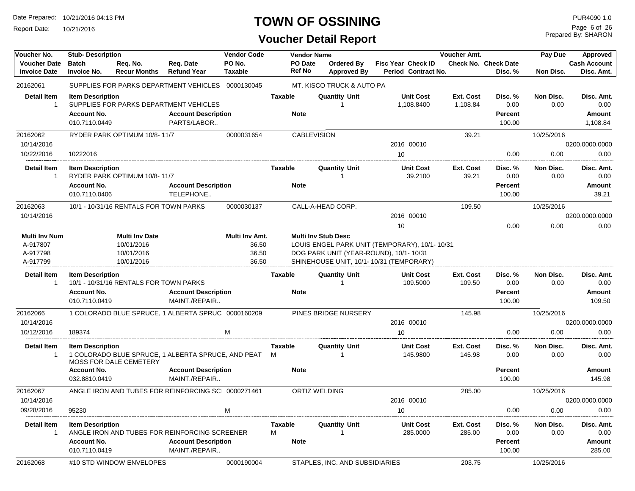Report Date: 10/21/2016

## **TOWN OF OSSINING**

## **Voucher Detail Report**

Prepared By: SHARON Page 6 of 26

| Voucher No.          | <b>Stub-Description</b> |                                        |                                                    | <b>Vendor Code</b> |                | <b>Vendor Name</b> |                                |                                               | Voucher Amt. |                             | Pay Due    | Approved            |
|----------------------|-------------------------|----------------------------------------|----------------------------------------------------|--------------------|----------------|--------------------|--------------------------------|-----------------------------------------------|--------------|-----------------------------|------------|---------------------|
| <b>Voucher Date</b>  | <b>Batch</b>            | Req. No.                               | Req. Date                                          | PO No.             |                | PO Date            | Ordered By                     | <b>Fisc Year Check ID</b>                     |              | <b>Check No. Check Date</b> |            | <b>Cash Account</b> |
| <b>Invoice Date</b>  | <b>Invoice No.</b>      | <b>Recur Months</b>                    | <b>Refund Year</b>                                 | <b>Taxable</b>     |                | <b>Ref No</b>      | <b>Approved By</b>             | Period Contract No.                           |              | Disc. %                     | Non Disc.  | Disc. Amt.          |
| 20162061             |                         |                                        | SUPPLIES FOR PARKS DEPARTMENT VEHICLES             | 0000130045         |                |                    | MT. KISCO TRUCK & AUTO PA      |                                               |              |                             |            |                     |
| <b>Detail Item</b>   | <b>Item Description</b> |                                        |                                                    |                    | <b>Taxable</b> |                    | <b>Quantity Unit</b>           | <b>Unit Cost</b>                              | Ext. Cost    | Disc. %                     | Non Disc.  | Disc. Amt.          |
| -1                   |                         |                                        | SUPPLIES FOR PARKS DEPARTMENT VEHICLES             |                    |                |                    |                                | 1,108.8400                                    | 1,108.84     | 0.00                        | 0.00       | 0.00                |
|                      | <b>Account No.</b>      |                                        | <b>Account Description</b>                         |                    |                | <b>Note</b>        |                                |                                               |              | <b>Percent</b>              |            | Amount              |
|                      | 010.7110.0449           |                                        | PARTS/LABOR                                        |                    |                |                    |                                |                                               |              | 100.00                      |            | 1,108.84            |
| 20162062             |                         | RYDER PARK OPTIMUM 10/8-11/7           |                                                    | 0000031654         |                | <b>CABLEVISION</b> |                                |                                               | 39.21        |                             | 10/25/2016 |                     |
| 10/14/2016           |                         |                                        |                                                    |                    |                |                    |                                | 2016 00010                                    |              |                             |            | 0200.0000.0000      |
| 10/22/2016           | 10222016                |                                        |                                                    |                    |                |                    |                                | 10                                            |              | 0.00                        | 0.00       | 0.00                |
| <b>Detail Item</b>   | <b>Item Description</b> |                                        |                                                    |                    | Taxable        |                    | <b>Quantity Unit</b>           | <b>Unit Cost</b>                              | Ext. Cost    | Disc. %                     | Non Disc.  | Disc. Amt.          |
| -1                   |                         | RYDER PARK OPTIMUM 10/8-11/7           |                                                    |                    |                |                    |                                | 39.2100                                       | 39.21        | 0.00                        | 0.00       | 0.00                |
|                      | <b>Account No.</b>      |                                        | <b>Account Description</b>                         |                    |                | <b>Note</b>        |                                |                                               |              | <b>Percent</b>              |            | Amount              |
|                      | 010.7110.0406           |                                        | TELEPHONE                                          |                    |                |                    |                                |                                               |              | 100.00                      |            | 39.21               |
| 20162063             |                         | 10/1 - 10/31/16 RENTALS FOR TOWN PARKS |                                                    | 0000030137         |                |                    | CALL-A-HEAD CORP.              |                                               | 109.50       |                             | 10/25/2016 |                     |
| 10/14/2016           |                         |                                        |                                                    |                    |                |                    |                                | 2016 00010                                    |              |                             |            | 0200.0000.0000      |
|                      |                         |                                        |                                                    |                    |                |                    |                                | 10                                            |              | 0.00                        | 0.00       | 0.00                |
| <b>Multi Inv Num</b> |                         | <b>Multi Inv Date</b>                  |                                                    | Multi Inv Amt.     |                |                    | <b>Multi Inv Stub Desc</b>     |                                               |              |                             |            |                     |
| A-917807             |                         | 10/01/2016                             |                                                    | 36.50              |                |                    |                                | LOUIS ENGEL PARK UNIT (TEMPORARY), 10/1-10/31 |              |                             |            |                     |
| A-917798             |                         | 10/01/2016                             |                                                    | 36.50              |                |                    |                                | DOG PARK UNIT (YEAR-ROUND), 10/1-10/31        |              |                             |            |                     |
| A-917799             |                         | 10/01/2016                             |                                                    | 36.50              |                |                    |                                | SHINEHOUSE UNIT. 10/1-10/31 (TEMPORARY)       |              |                             |            |                     |
| Detail Item          | <b>Item Description</b> |                                        |                                                    |                    | <b>Taxable</b> |                    | <b>Quantity Unit</b>           | <b>Unit Cost</b>                              | Ext. Cost    | Disc. %                     | Non Disc.  | Disc. Amt.          |
| $\overline{1}$       |                         | 10/1 - 10/31/16 RENTALS FOR TOWN PARKS |                                                    |                    |                |                    |                                | 109.5000                                      | 109.50       | 0.00                        | 0.00       | 0.00                |
|                      | <b>Account No.</b>      |                                        | <b>Account Description</b>                         |                    |                | <b>Note</b>        |                                |                                               |              | <b>Percent</b>              |            | Amount              |
|                      | 010.7110.0419           |                                        | MAINT./REPAIR                                      |                    |                |                    |                                |                                               |              | 100.00                      |            | 109.50              |
| 20162066             |                         |                                        | 1 COLORADO BLUE SPRUCE, 1 ALBERTA SPRUC 0000160209 |                    |                |                    | PINES BRIDGE NURSERY           |                                               | 145.98       |                             | 10/25/2016 |                     |
|                      |                         |                                        |                                                    |                    |                |                    |                                |                                               |              |                             |            |                     |
| 10/14/2016           |                         |                                        |                                                    |                    |                |                    |                                | 2016 00010                                    |              |                             |            | 0200.0000.0000      |
| 10/12/2016           | 189374                  |                                        |                                                    | M                  |                |                    |                                | 10                                            |              | 0.00                        | 0.00       | 0.00                |
| <b>Detail Item</b>   | <b>Item Description</b> |                                        |                                                    |                    | Taxable        |                    | <b>Quantity Unit</b>           | <b>Unit Cost</b>                              | Ext. Cost    | Disc. %                     | Non Disc.  | Disc. Amt.          |
| -1                   |                         | <b>MOSS FOR DALE CEMETERY</b>          | 1 COLORADO BLUE SPRUCE, 1 ALBERTA SPRUCE, AND PEAT |                    | M              |                    |                                | 145.9800                                      | 145.98       | 0.00                        | 0.00       | 0.00                |
|                      | <b>Account No.</b>      |                                        | <b>Account Description</b>                         |                    |                | <b>Note</b>        |                                |                                               |              | <b>Percent</b>              |            | Amount              |
|                      | 032.8810.0419           |                                        | MAINT./REPAIR                                      |                    |                |                    |                                |                                               |              | 100.00                      |            | 145.98              |
| 20162067             |                         |                                        | ANGLE IRON AND TUBES FOR REINFORCING SC 0000271461 |                    |                |                    | ORTIZ WELDING                  |                                               | 285.00       |                             | 10/25/2016 |                     |
| 10/14/2016           |                         |                                        |                                                    |                    |                |                    |                                | 2016 00010                                    |              |                             |            | 0200.0000.0000      |
| 09/28/2016           | 95230                   |                                        |                                                    | M                  |                |                    |                                | 10                                            |              | 0.00                        | 0.00       | 0.00                |
| <b>Detail Item</b>   | <b>Item Description</b> |                                        |                                                    |                    | <b>Taxable</b> |                    | <b>Quantity Unit</b>           | <b>Unit Cost</b>                              | Ext. Cost    | Disc. %                     | Non Disc.  | Disc. Amt.          |
| $\mathbf{1}$         |                         |                                        | ANGLE IRON AND TUBES FOR REINFORCING SCREENER      |                    | M              |                    |                                | 285.0000                                      | 285.00       | 0.00                        | 0.00       | 0.00                |
|                      | <b>Account No.</b>      |                                        | <b>Account Description</b>                         |                    |                | <b>Note</b>        |                                |                                               |              | Percent                     |            | Amount              |
|                      | 010.7110.0419           |                                        | MAINT./REPAIR                                      |                    |                |                    |                                |                                               |              | 100.00                      |            | 285.00              |
| 20162068             |                         | #10 STD WINDOW ENVELOPES               |                                                    | 0000190004         |                |                    | STAPLES, INC. AND SUBSIDIARIES |                                               | 203.75       |                             | 10/25/2016 |                     |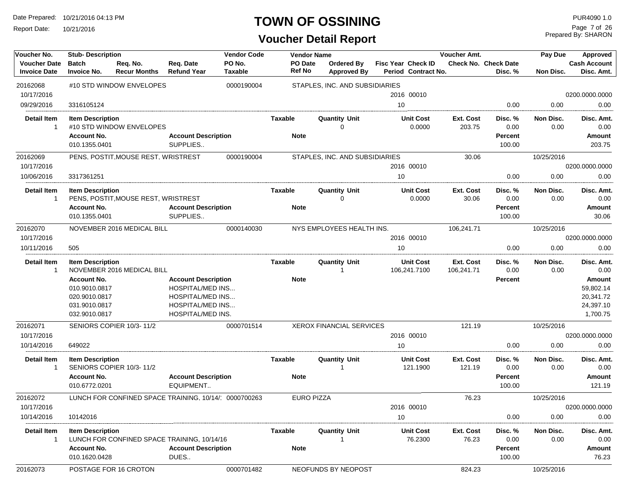Report Date: 10/21/2016

#### **TOWN OF OSSINING**

| Voucher No.                                | <b>Stub-Description</b>                                                                |                                                      |                                                                                                             | <b>Vendor Code</b>       | <b>Vendor Name</b> |                                  |                                           | Voucher Amt.            |                                        | Pay Due           | Approved                                                  |
|--------------------------------------------|----------------------------------------------------------------------------------------|------------------------------------------------------|-------------------------------------------------------------------------------------------------------------|--------------------------|--------------------|----------------------------------|-------------------------------------------|-------------------------|----------------------------------------|-------------------|-----------------------------------------------------------|
| <b>Voucher Date</b><br><b>Invoice Date</b> | <b>Batch</b><br><b>Invoice No.</b>                                                     | Req. No.<br><b>Recur Months</b>                      | Req. Date<br><b>Refund Year</b>                                                                             | PO No.<br><b>Taxable</b> | PO Date<br>Ref No  | Ordered By<br><b>Approved By</b> | Fisc Year Check ID<br>Period Contract No. |                         | <b>Check No. Check Date</b><br>Disc. % | Non Disc.         | <b>Cash Account</b><br>Disc. Amt.                         |
| 20162068                                   |                                                                                        | #10 STD WINDOW ENVELOPES                             |                                                                                                             | 0000190004               |                    | STAPLES, INC. AND SUBSIDIARIES   |                                           |                         |                                        |                   |                                                           |
| 10/17/2016                                 |                                                                                        |                                                      |                                                                                                             |                          |                    |                                  | 2016 00010                                |                         |                                        |                   | 0200.0000.0000                                            |
| 09/29/2016                                 | 3316105124                                                                             |                                                      |                                                                                                             |                          |                    |                                  | 10                                        |                         | 0.00                                   | 0.00              | 0.00                                                      |
| Detail Item<br>-1                          | <b>Item Description</b>                                                                | #10 STD WINDOW ENVELOPES                             |                                                                                                             |                          | Taxable            | <b>Quantity Unit</b><br>0        | <b>Unit Cost</b><br>0.0000                | Ext. Cost<br>203.75     | Disc. %<br>0.00                        | Non Disc.<br>0.00 | Disc. Amt.<br>0.00                                        |
|                                            | <b>Account No.</b><br>010.1355.0401                                                    |                                                      | <b>Account Description</b><br>SUPPLIES                                                                      |                          | <b>Note</b>        |                                  |                                           |                         | Percent<br>100.00                      |                   | Amount<br>203.75                                          |
| 20162069                                   |                                                                                        | PENS, POSTIT, MOUSE REST, WRISTREST                  |                                                                                                             | 0000190004               |                    | STAPLES, INC. AND SUBSIDIARIES   |                                           | 30.06                   |                                        | 10/25/2016        |                                                           |
| 10/17/2016                                 |                                                                                        |                                                      |                                                                                                             |                          |                    |                                  | 2016 00010                                |                         |                                        |                   | 0200.0000.0000                                            |
| 10/06/2016                                 | 3317361251                                                                             |                                                      |                                                                                                             |                          |                    |                                  | 10                                        |                         | 0.00                                   | 0.00              | 0.00                                                      |
| Detail Item<br>-1                          | <b>Item Description</b>                                                                | PENS, POSTIT, MOUSE REST, WRISTREST                  |                                                                                                             |                          | Taxable            | <b>Quantity Unit</b><br>0        | <b>Unit Cost</b><br>0.0000                | Ext. Cost<br>30.06      | Disc. %<br>0.00                        | Non Disc.<br>0.00 | Disc. Amt.<br>0.00                                        |
|                                            | <b>Account No.</b><br>010.1355.0401                                                    |                                                      | <b>Account Description</b><br>SUPPLIES                                                                      |                          | <b>Note</b>        |                                  |                                           |                         | Percent<br>100.00                      |                   | Amount<br>30.06                                           |
| 20162070                                   |                                                                                        | NOVEMBER 2016 MEDICAL BILL                           |                                                                                                             | 0000140030               |                    | NYS EMPLOYEES HEALTH INS.        |                                           | 106,241.71              |                                        | 10/25/2016        |                                                           |
| 10/17/2016                                 |                                                                                        |                                                      |                                                                                                             |                          |                    |                                  | 2016 00010                                |                         |                                        |                   | 0200.0000.0000                                            |
| 10/11/2016                                 | 505                                                                                    |                                                      |                                                                                                             |                          |                    |                                  | 10                                        |                         | 0.00                                   | 0.00              | 0.00                                                      |
| <b>Detail Item</b><br>-1                   | <b>Item Description</b>                                                                | NOVEMBER 2016 MEDICAL BILL                           |                                                                                                             |                          | Taxable            | <b>Quantity Unit</b><br>1        | <b>Unit Cost</b><br>106,241.7100          | Ext. Cost<br>106,241.71 | Disc. %<br>0.00                        | Non Disc.<br>0.00 | Disc. Amt.<br>0.00                                        |
|                                            | <b>Account No.</b><br>010.9010.0817<br>020.9010.0817<br>031.9010.0817<br>032.9010.0817 |                                                      | <b>Account Description</b><br>HOSPITAL/MED INS<br>HOSPITAL/MED INS<br>HOSPITAL/MED INS<br>HOSPITAL/MED INS. |                          | <b>Note</b>        |                                  |                                           |                         | Percent                                |                   | Amount<br>59,802.14<br>20,341.72<br>24,397.10<br>1,700.75 |
| 20162071                                   |                                                                                        | SENIORS COPIER 10/3-11/2                             |                                                                                                             | 0000701514               |                    | <b>XEROX FINANCIAL SERVICES</b>  |                                           | 121.19                  |                                        | 10/25/2016        |                                                           |
| 10/17/2016                                 |                                                                                        |                                                      |                                                                                                             |                          |                    |                                  | 2016 00010                                |                         |                                        |                   | 0200.0000.0000                                            |
| 10/14/2016                                 | 649022                                                                                 |                                                      |                                                                                                             |                          |                    |                                  | 10                                        |                         | 0.00                                   | 0.00              | 0.00                                                      |
| Detail Item<br>-1                          | <b>Item Description</b>                                                                | SENIORS COPIER 10/3-11/2                             |                                                                                                             |                          | Taxable            | Quantity Unit<br>1               | <b>Unit Cost</b><br>121.1900              | Ext. Cost<br>121.19     | Disc. %<br>0.00                        | Non Disc.<br>0.00 | Disc. Amt.<br>0.00                                        |
|                                            | <b>Account No.</b><br>010.6772.0201                                                    |                                                      | <b>Account Description</b><br>EQUIPMENT                                                                     |                          | <b>Note</b>        |                                  |                                           |                         | Percent<br>100.00                      |                   | Amount<br>121.19                                          |
| 20162072                                   |                                                                                        | LUNCH FOR CONFINED SPACE TRAINING, 10/14/ 0000700263 |                                                                                                             |                          |                    | <b>EURO PIZZA</b>                |                                           | 76.23                   |                                        | 10/25/2016        |                                                           |
| 10/17/2016                                 |                                                                                        |                                                      |                                                                                                             |                          |                    |                                  | 2016 00010                                |                         |                                        |                   | 0200.0000.0000                                            |
| 10/14/2016                                 | 10142016                                                                               |                                                      |                                                                                                             |                          |                    |                                  | 10                                        |                         | 0.00                                   | 0.00              | 0.00                                                      |
| Detail Item<br>-1                          | <b>Item Description</b>                                                                | LUNCH FOR CONFINED SPACE TRAINING, 10/14/16          |                                                                                                             |                          | Taxable            | Quantity Unit                    | <b>Unit Cost</b><br>76.2300               | Ext. Cost<br>76.23      | Disc.%<br>0.00                         | Non Disc.<br>0.00 | Disc. Amt.<br>0.00                                        |
|                                            | <b>Account No.</b><br>010.1620.0428                                                    |                                                      | <b>Account Description</b><br>DUES                                                                          |                          | <b>Note</b>        |                                  |                                           |                         | Percent<br>100.00                      |                   | Amount<br>76.23                                           |
| 20162073                                   |                                                                                        | POSTAGE FOR 16 CROTON                                |                                                                                                             | 0000701482               |                    | NEOFUNDS BY NEOPOST              |                                           | 824.23                  |                                        | 10/25/2016        |                                                           |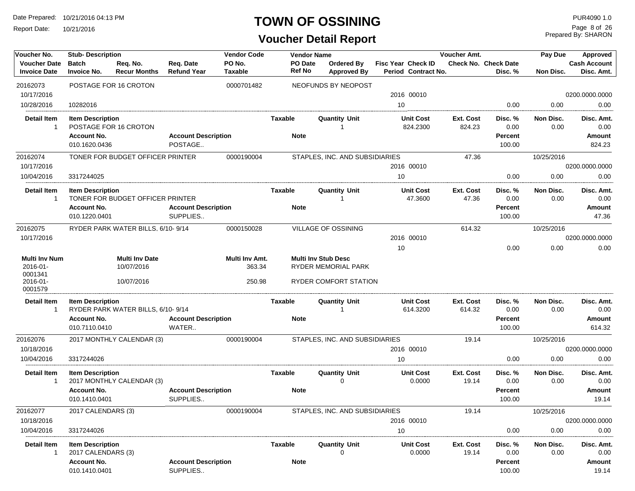Report Date: 10/21/2016

#### **TOWN OF OSSINING**

| Voucher No.                                | <b>Stub-Description</b>                       |                                   |                                        | <b>Vendor Code</b> |                | <b>Vendor Name</b>       |                                  |                                                  | Voucher Amt.        |                                        | Pay Due           | Approved                          |
|--------------------------------------------|-----------------------------------------------|-----------------------------------|----------------------------------------|--------------------|----------------|--------------------------|----------------------------------|--------------------------------------------------|---------------------|----------------------------------------|-------------------|-----------------------------------|
| <b>Voucher Date</b><br><b>Invoice Date</b> | <b>Batch</b><br><b>Invoice No.</b>            | Req. No.<br><b>Recur Months</b>   | Req. Date<br><b>Refund Year</b>        | PO No.<br>Taxable  |                | PO Date<br><b>Ref No</b> | Ordered By<br><b>Approved By</b> | <b>Fisc Year Check ID</b><br>Period Contract No. |                     | <b>Check No. Check Date</b><br>Disc. % | Non Disc.         | <b>Cash Account</b><br>Disc. Amt. |
| 20162073                                   |                                               | POSTAGE FOR 16 CROTON             |                                        | 0000701482         |                |                          | NEOFUNDS BY NEOPOST              |                                                  |                     |                                        |                   |                                   |
| 10/17/2016                                 |                                               |                                   |                                        |                    |                |                          |                                  | 2016 00010                                       |                     |                                        |                   | 0200.0000.0000                    |
| 10/28/2016                                 | 10282016                                      |                                   |                                        |                    |                |                          |                                  | 10                                               |                     | 0.00                                   | 0.00              | 0.00                              |
| Detail Item                                | <b>Item Description</b>                       |                                   |                                        |                    | <b>Taxable</b> |                          | Quantity Unit                    | <b>Unit Cost</b>                                 | Ext. Cost           | Disc. %                                | Non Disc.         | Disc. Amt                         |
| $\mathbf{1}$                               |                                               | POSTAGE FOR 16 CROTON             |                                        |                    |                |                          |                                  | 824.2300                                         | 824.23              | 0.00                                   | 0.00              | 0.00                              |
|                                            | <b>Account No.</b>                            |                                   | <b>Account Description</b>             |                    |                | <b>Note</b>              |                                  |                                                  |                     | Percent                                |                   | Amount                            |
|                                            | 010.1620.0436                                 |                                   | POSTAGE                                |                    |                |                          |                                  |                                                  |                     | 100.00                                 |                   | 824.23                            |
| 20162074                                   |                                               | TONER FOR BUDGET OFFICER PRINTER  |                                        | 0000190004         |                |                          | STAPLES, INC. AND SUBSIDIARIES   |                                                  | 47.36               |                                        | 10/25/2016        |                                   |
| 10/17/2016                                 |                                               |                                   |                                        |                    |                |                          |                                  | 2016 00010                                       |                     |                                        |                   | 0200.0000.0000                    |
| 10/04/2016                                 | 3317244025                                    |                                   |                                        |                    |                |                          |                                  | 10                                               |                     | 0.00                                   | 0.00              | 0.00                              |
| <b>Detail Item</b>                         | <b>Item Description</b>                       |                                   |                                        |                    | <b>Taxable</b> |                          | <b>Quantity Unit</b>             | <b>Unit Cost</b>                                 | Ext. Cost           | Disc. %                                | Non Disc.         | Disc. Amt.                        |
| $\mathbf 1$                                |                                               | TONER FOR BUDGET OFFICER PRINTER  |                                        |                    |                |                          |                                  | 47.3600                                          | 47.36               | 0.00                                   | 0.00              | 0.00                              |
|                                            | <b>Account No.</b>                            |                                   | <b>Account Description</b>             |                    |                | <b>Note</b>              |                                  |                                                  |                     | <b>Percent</b>                         |                   | Amount                            |
|                                            | 010.1220.0401                                 |                                   | SUPPLIES                               |                    |                |                          |                                  |                                                  |                     | 100.00                                 |                   | 47.36                             |
| 20162075                                   |                                               | RYDER PARK WATER BILLS, 6/10-9/14 |                                        | 0000150028         |                |                          | VILLAGE OF OSSINING              |                                                  | 614.32              |                                        | 10/25/2016        |                                   |
| 10/17/2016                                 |                                               |                                   |                                        |                    |                |                          |                                  | 2016 00010                                       |                     |                                        |                   | 0200.0000.0000                    |
|                                            |                                               |                                   |                                        |                    |                |                          |                                  | 10                                               |                     | 0.00                                   | 0.00              | 0.00                              |
| <b>Multi Inv Num</b>                       |                                               | <b>Multi Inv Date</b>             |                                        | Multi Inv Amt.     |                |                          | <b>Multi Inv Stub Desc</b>       |                                                  |                     |                                        |                   |                                   |
| 2016-01-                                   |                                               | 10/07/2016                        |                                        | 363.34             |                |                          | RYDER MEMORIAL PARK              |                                                  |                     |                                        |                   |                                   |
| 0001341<br>2016-01-<br>0001579             |                                               | 10/07/2016                        |                                        | 250.98             |                |                          | RYDER COMFORT STATION            |                                                  |                     |                                        |                   |                                   |
| <b>Detail Item</b><br>-1                   | <b>Item Description</b>                       | RYDER PARK WATER BILLS, 6/10-9/14 |                                        |                    | Taxable        |                          | <b>Quantity Unit</b>             | <b>Unit Cost</b><br>614.3200                     | Ext. Cost<br>614.32 | Disc. %<br>0.00                        | Non Disc.<br>0.00 | Disc. Amt.<br>0.00                |
|                                            | <b>Account No.</b><br>010.7110.0410           |                                   | <b>Account Description</b><br>WATER    |                    |                | <b>Note</b>              |                                  |                                                  |                     | Percent<br>100.00                      |                   | Amount<br>614.32                  |
| 20162076                                   |                                               | 2017 MONTHLY CALENDAR (3)         |                                        | 0000190004         |                |                          | STAPLES, INC. AND SUBSIDIARIES   |                                                  | 19.14               |                                        | 10/25/2016        |                                   |
| 10/18/2016                                 |                                               |                                   |                                        |                    |                |                          |                                  | 2016 00010                                       |                     |                                        |                   | 0200.0000.0000                    |
| 10/04/2016                                 | 3317244026                                    |                                   |                                        |                    |                |                          |                                  | 10                                               |                     | 0.00                                   | 0.00              | 0.00                              |
| <b>Detail Item</b><br>$\mathbf{1}$         | <b>Item Description</b>                       | 2017 MONTHLY CALENDAR (3)         |                                        |                    | <b>Taxable</b> |                          | <b>Quantity Unit</b><br>0        | <b>Unit Cost</b><br>0.0000                       | Ext. Cost<br>19.14  | Disc. %<br>0.00                        | Non Disc.<br>0.00 | Disc. Amt.<br>0.00                |
|                                            | <b>Account No.</b><br>010.1410.0401           |                                   | <b>Account Description</b><br>SUPPLIES |                    |                | <b>Note</b>              |                                  |                                                  |                     | <b>Percent</b><br>100.00               |                   | Amount<br>19.14                   |
| 20162077                                   | 2017 CALENDARS (3)                            |                                   |                                        | 0000190004         |                |                          | STAPLES, INC. AND SUBSIDIARIES   |                                                  | 19.14               |                                        | 10/25/2016        |                                   |
| 10/18/2016                                 |                                               |                                   |                                        |                    |                |                          |                                  | 2016 00010                                       |                     |                                        |                   | 0200.0000.0000                    |
| 10/04/2016                                 | 3317244026                                    |                                   |                                        |                    |                |                          |                                  | 10                                               |                     | 0.00                                   | 0.00              | 0.00                              |
| <b>Detail Item</b><br>-1                   | <b>Item Description</b><br>2017 CALENDARS (3) |                                   |                                        |                    | <b>Taxable</b> |                          | <b>Quantity Unit</b><br>0        | <b>Unit Cost</b><br>0.0000                       | Ext. Cost<br>19.14  | Disc. %<br>0.00                        | Non Disc.<br>0.00 | Disc. Amt.<br>0.00                |
|                                            | <b>Account No.</b><br>010.1410.0401           |                                   | <b>Account Description</b><br>SUPPLIES |                    |                | <b>Note</b>              |                                  |                                                  |                     | <b>Percent</b><br>100.00               |                   | Amount<br>19.14                   |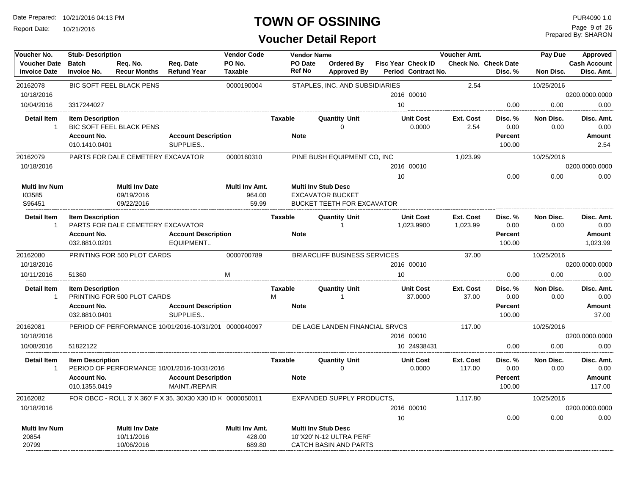Report Date: 10/21/2016

#### **TOWN OF OSSINING**

| Voucher No.                                | <b>Stub- Description</b>            |                                                   |                                                             | <b>Vendor Code</b>                |                     | <b>Vendor Name</b>                                                                         |    |                                           | Voucher Amt.          |                                        | Pay Due           | Approved                          |
|--------------------------------------------|-------------------------------------|---------------------------------------------------|-------------------------------------------------------------|-----------------------------------|---------------------|--------------------------------------------------------------------------------------------|----|-------------------------------------------|-----------------------|----------------------------------------|-------------------|-----------------------------------|
| <b>Voucher Date</b><br><b>Invoice Date</b> | <b>Batch</b><br><b>Invoice No.</b>  | Reg. No.<br><b>Recur Months</b>                   | Reg. Date<br><b>Refund Year</b>                             | PO No.<br><b>Taxable</b>          | <b>Ref No</b>       | PO Date<br>Ordered By<br><b>Approved By</b>                                                |    | Fisc Year Check ID<br>Period Contract No. |                       | <b>Check No. Check Date</b><br>Disc. % | Non Disc.         | <b>Cash Account</b><br>Disc. Amt. |
| 20162078                                   |                                     | <b>BIC SOFT FEEL BLACK PENS</b>                   |                                                             | 0000190004                        |                     | STAPLES. INC. AND SUBSIDIARIES                                                             |    |                                           | 2.54                  |                                        | 10/25/2016        |                                   |
| 10/18/2016                                 |                                     |                                                   |                                                             |                                   |                     |                                                                                            |    | 2016 00010                                |                       |                                        |                   | 0200.0000.0000                    |
| 10/04/2016                                 | 3317244027                          |                                                   |                                                             |                                   |                     |                                                                                            | 10 |                                           |                       | 0.00                                   | 0.00              | 0.00                              |
| <b>Detail Item</b><br>$\mathbf{1}$         | <b>Item Description</b>             | <b>BIC SOFT FEEL BLACK PENS</b>                   |                                                             |                                   | <b>Taxable</b>      | <b>Quantity Unit</b><br>$\Omega$                                                           |    | <b>Unit Cost</b><br>0.0000                | Ext. Cost<br>2.54     | Disc. %<br>0.00                        | Non Disc.<br>0.00 | Disc. Amt.<br>0.00                |
|                                            | <b>Account No.</b>                  |                                                   | <b>Account Description</b>                                  |                                   | <b>Note</b>         |                                                                                            |    |                                           |                       | <b>Percent</b>                         |                   | Amount                            |
|                                            | 010.1410.0401                       |                                                   | SUPPLIES                                                    |                                   |                     |                                                                                            |    |                                           |                       | 100.00                                 |                   | 2.54                              |
| 20162079                                   |                                     | PARTS FOR DALE CEMETERY EXCAVATOR                 |                                                             | 0000160310                        |                     | PINE BUSH EQUIPMENT CO, INC                                                                |    |                                           | 1,023.99              |                                        | 10/25/2016        |                                   |
| 10/18/2016                                 |                                     |                                                   |                                                             |                                   |                     |                                                                                            |    | 2016 00010                                |                       |                                        |                   | 0200.0000.0000                    |
|                                            |                                     |                                                   |                                                             |                                   |                     |                                                                                            | 10 |                                           |                       | 0.00                                   | 0.00              | 0.00                              |
| Multi Inv Num<br>103585<br>S96451          |                                     | <b>Multi Inv Date</b><br>09/19/2016<br>09/22/2016 |                                                             | Multi Inv Amt.<br>964.00<br>59.99 |                     | <b>Multi Inv Stub Desc</b><br><b>EXCAVATOR BUCKET</b><br><b>BUCKET TEETH FOR EXCAVATOR</b> |    |                                           |                       |                                        |                   |                                   |
| Detail Item<br>$\mathbf{1}$                | <b>Item Description</b>             | PARTS FOR DALE CEMETERY EXCAVATOR                 |                                                             |                                   | <b>Taxable</b>      | <b>Quantity Unit</b><br>$\overline{1}$                                                     |    | <b>Unit Cost</b><br>1,023.9900            | Ext. Cost<br>1,023.99 | Disc. %<br>0.00                        | Non Disc.<br>0.00 | Disc. Amt.<br>0.00                |
|                                            | <b>Account No.</b><br>032.8810.0201 |                                                   | <b>Account Description</b><br>EQUIPMENT                     |                                   | <b>Note</b>         |                                                                                            |    |                                           |                       | <b>Percent</b><br>100.00               |                   | <b>Amount</b><br>1.023.99         |
| 20162080                                   |                                     | PRINTING FOR 500 PLOT CARDS                       |                                                             | 0000700789                        |                     | <b>BRIARCLIFF BUSINESS SERVICES</b>                                                        |    |                                           | 37.00                 |                                        | 10/25/2016        |                                   |
| 10/18/2016                                 |                                     |                                                   |                                                             |                                   |                     |                                                                                            |    | 2016 00010                                |                       |                                        |                   | 0200.0000.0000                    |
| 10/11/2016                                 | 51360                               |                                                   |                                                             | M                                 |                     |                                                                                            | 10 |                                           |                       | 0.00                                   | 0.00              | 0.00                              |
| <b>Detail Item</b><br>$\mathbf{1}$         | <b>Item Description</b>             | PRINTING FOR 500 PLOT CARDS                       |                                                             |                                   | <b>Taxable</b><br>М | <b>Quantity Unit</b><br>-1                                                                 |    | <b>Unit Cost</b><br>37.0000               | Ext. Cost<br>37.00    | Disc. %<br>0.00                        | Non Disc.<br>0.00 | Disc. Amt.<br>0.00                |
|                                            | <b>Account No.</b>                  |                                                   | <b>Account Description</b>                                  |                                   | <b>Note</b>         |                                                                                            |    |                                           |                       | <b>Percent</b>                         |                   | <b>Amount</b>                     |
|                                            | 032.8810.0401                       |                                                   | SUPPLIES                                                    |                                   |                     |                                                                                            |    |                                           |                       | 100.00                                 |                   | 37.00                             |
| 20162081                                   |                                     |                                                   | PERIOD OF PERFORMANCE 10/01/2016-10/31/201 0000040097       |                                   |                     | DE LAGE LANDEN FINANCIAL SRVCS                                                             |    |                                           | 117.00                |                                        | 10/25/2016        |                                   |
| 10/18/2016                                 |                                     |                                                   |                                                             |                                   |                     |                                                                                            |    | 2016 00010                                |                       |                                        |                   | 0200.0000.0000                    |
| 10/08/2016                                 | 51822122                            |                                                   |                                                             |                                   |                     |                                                                                            |    | 10 24938431                               |                       | 0.00                                   | 0.00              | 0.00                              |
| Detail Item<br>$\mathbf{1}$                | <b>Item Description</b>             |                                                   | PERIOD OF PERFORMANCE 10/01/2016-10/31/2016                 |                                   | <b>Taxable</b>      | <b>Quantity Unit</b><br>$\Omega$                                                           |    | <b>Unit Cost</b><br>0.0000                | Ext. Cost<br>117.00   | Disc. %<br>0.00                        | Non Disc.<br>0.00 | Disc. Amt.<br>0.00                |
|                                            | <b>Account No.</b>                  |                                                   | <b>Account Description</b>                                  |                                   | <b>Note</b>         |                                                                                            |    |                                           |                       | <b>Percent</b>                         |                   | Amount                            |
|                                            | 010.1355.0419                       |                                                   | MAINT./REPAIR                                               |                                   |                     |                                                                                            |    |                                           |                       | 100.00                                 |                   | 117.00                            |
| 20162082                                   |                                     |                                                   | FOR OBCC - ROLL 3' X 360' F X 35, 30X30 X30 ID K 0000050011 |                                   |                     | EXPANDED SUPPLY PRODUCTS.                                                                  |    |                                           | 1,117.80              |                                        | 10/25/2016        |                                   |
| 10/18/2016                                 |                                     |                                                   |                                                             |                                   |                     |                                                                                            |    | 2016 00010                                |                       |                                        |                   | 0200.0000.0000                    |
|                                            |                                     |                                                   |                                                             |                                   |                     |                                                                                            | 10 |                                           |                       | 0.00                                   | 0.00              | 0.00                              |
| <b>Multi Inv Num</b>                       |                                     | <b>Multi Inv Date</b>                             |                                                             | <b>Multi Inv Amt.</b>             |                     | <b>Multi Inv Stub Desc</b>                                                                 |    |                                           |                       |                                        |                   |                                   |
| 20854                                      |                                     | 10/11/2016                                        |                                                             | 428.00                            |                     | 10"X20' N-12 ULTRA PERF                                                                    |    |                                           |                       |                                        |                   |                                   |
| 20799                                      |                                     | 10/06/2016                                        |                                                             | 689.80                            |                     | <b>CATCH BASIN AND PARTS</b>                                                               |    |                                           |                       |                                        |                   |                                   |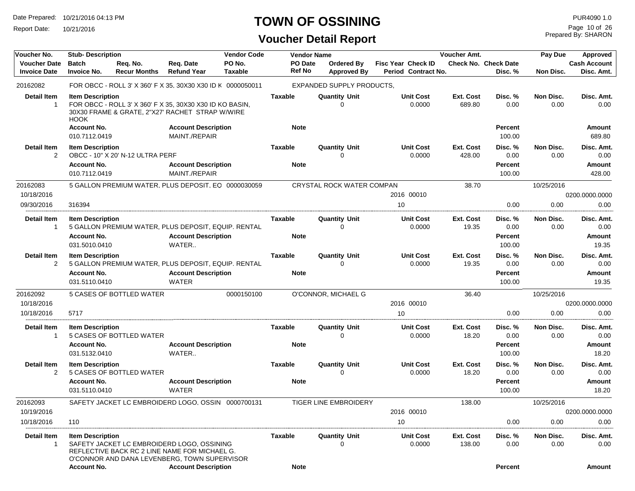Report Date: 10/21/2016

#### **TOWN OF OSSINING**

**Voucher Detail Report**

Prepared By: SHARON Page 10 of 26

| Voucher No.                                | <b>Stub-Description</b>                       |                                  |                                                                                                                                                                           | <b>Vendor Code</b> |                               | <b>Vendor Name</b>       |                                  |                                                  | Voucher Amt.        |                                        | Pay Due           | Approved                          |
|--------------------------------------------|-----------------------------------------------|----------------------------------|---------------------------------------------------------------------------------------------------------------------------------------------------------------------------|--------------------|-------------------------------|--------------------------|----------------------------------|--------------------------------------------------|---------------------|----------------------------------------|-------------------|-----------------------------------|
| <b>Voucher Date</b><br><b>Invoice Date</b> | <b>Batch</b><br><b>Invoice No.</b>            | Req. No.<br><b>Recur Months</b>  | Req. Date<br><b>Refund Year</b>                                                                                                                                           | PO No.<br>Taxable  |                               | PO Date<br><b>Ref No</b> | Ordered By<br><b>Approved By</b> | <b>Fisc Year Check ID</b><br>Period Contract No. |                     | <b>Check No. Check Date</b><br>Disc. % | Non Disc.         | <b>Cash Account</b><br>Disc. Amt. |
| 20162082                                   |                                               |                                  | FOR OBCC - ROLL 3' X 360' F X 35, 30X30 X30 ID K 0000050011                                                                                                               |                    |                               |                          | EXPANDED SUPPLY PRODUCTS.        |                                                  |                     |                                        |                   |                                   |
| <b>Detail Item</b><br>$\mathbf{1}$         | <b>Item Description</b><br><b>HOOK</b>        |                                  | FOR OBCC - ROLL 3' X 360' F X 35, 30X30 X30 ID KO BASIN,<br>30X30 FRAME & GRATE, 2"X27' RACHET STRAP W/WIRE                                                               |                    | <b>Taxable</b>                |                          | <b>Quantity Unit</b><br>0        | <b>Unit Cost</b><br>0.0000                       | Ext. Cost<br>689.80 | Disc. %<br>0.00                        | Non Disc.<br>0.00 | Disc. Amt.<br>0.00                |
|                                            | <b>Account No.</b><br>010.7112.0419           |                                  | <b>Account Description</b><br>MAINT./REPAIR                                                                                                                               |                    | <b>Note</b>                   |                          |                                  |                                                  |                     | <b>Percent</b><br>100.00               |                   | Amount<br>689.80                  |
| <b>Detail Item</b><br>$\overline{2}$       | <b>Item Description</b>                       | OBCC - 10" X 20' N-12 ULTRA PERF |                                                                                                                                                                           |                    | <b>Taxable</b>                |                          | <b>Quantity Unit</b><br>0        | <b>Unit Cost</b><br>0.0000                       | Ext. Cost<br>428.00 | Disc. %<br>0.00                        | Non Disc.<br>0.00 | Disc. Amt.<br>0.00                |
|                                            | <b>Account No.</b><br>010.7112.0419           |                                  | <b>Account Description</b><br>MAINT./REPAIR                                                                                                                               |                    | <b>Note</b>                   |                          |                                  |                                                  |                     | <b>Percent</b><br>100.00               |                   | Amount<br>428.00                  |
| 20162083                                   |                                               |                                  | 5 GALLON PREMIUM WATER, PLUS DEPOSIT, EQ 0000030059                                                                                                                       |                    |                               |                          | CRYSTAL ROCK WATER COMPAN        |                                                  | 38.70               |                                        | 10/25/2016        |                                   |
| 10/18/2016                                 |                                               |                                  |                                                                                                                                                                           |                    |                               |                          |                                  | 2016 00010                                       |                     |                                        |                   | 0200.0000.0000                    |
| 09/30/2016                                 | 316394                                        |                                  |                                                                                                                                                                           |                    |                               |                          |                                  | 10                                               |                     | 0.00                                   | 0.00              | 0.00                              |
| <b>Detail Item</b><br>$\overline{1}$       | <b>Item Description</b>                       |                                  | 5 GALLON PREMIUM WATER, PLUS DEPOSIT, EQUIP. RENTAL                                                                                                                       |                    | <b>Taxable</b>                |                          | <b>Quantity Unit</b><br>0        | <b>Unit Cost</b><br>0.0000                       | Ext. Cost<br>19.35  | Disc. %<br>0.00                        | Non Disc.<br>0.00 | Disc. Amt.<br>0.00                |
|                                            | <b>Account No.</b><br>031.5010.0410           |                                  | <b>Account Description</b><br>WATER                                                                                                                                       |                    | <b>Note</b>                   |                          |                                  |                                                  |                     | Percent<br>100.00                      |                   | Amount<br>19.35                   |
| <b>Detail Item</b><br>2                    | <b>Item Description</b>                       |                                  | 5 GALLON PREMIUM WATER, PLUS DEPOSIT, EQUIP. RENTAL                                                                                                                       |                    | <b>Taxable</b>                |                          | <b>Quantity Unit</b><br>0        | <b>Unit Cost</b><br>0.0000                       | Ext. Cost<br>19.35  | Disc. %<br>0.00                        | Non Disc.<br>0.00 | Disc. Amt.<br>0.00                |
|                                            | <b>Account No.</b><br>031.5110.0410           |                                  | <b>Account Description</b><br>WATER                                                                                                                                       |                    | <b>Note</b>                   |                          |                                  |                                                  |                     | <b>Percent</b><br>100.00               |                   | <b>Amount</b><br>19.35            |
| 20162092                                   |                                               | <b>5 CASES OF BOTTLED WATER</b>  |                                                                                                                                                                           | 0000150100         |                               |                          | O'CONNOR, MICHAEL G              |                                                  | 36.40               |                                        | 10/25/2016        |                                   |
| 10/18/2016                                 |                                               |                                  |                                                                                                                                                                           |                    |                               |                          |                                  | 2016 00010                                       |                     |                                        |                   | 0200.0000.0000                    |
| 10/18/2016                                 | 5717                                          |                                  |                                                                                                                                                                           |                    |                               |                          |                                  | 10                                               |                     | 0.00                                   | 0.00              | 0.00                              |
| <b>Detail Item</b>                         | <b>Item Description</b>                       |                                  |                                                                                                                                                                           |                    | Taxable                       |                          | <b>Quantity Unit</b>             | <b>Unit Cost</b>                                 | Ext. Cost           | Disc. %                                | Non Disc.         | Disc. Amt.                        |
| -1                                         | <b>Account No.</b>                            | 5 CASES OF BOTTLED WATER         | <b>Account Description</b>                                                                                                                                                |                    | <b>Note</b>                   |                          | 0                                | 0.0000                                           | 18.20               | 0.00<br><b>Percent</b>                 | 0.00              | 0.00<br><b>Amount</b>             |
|                                            | 031.5132.0410                                 |                                  | WATER                                                                                                                                                                     |                    |                               |                          |                                  |                                                  |                     | 100.00                                 |                   | 18.20                             |
| <b>Detail Item</b>                         | <b>Item Description</b>                       |                                  |                                                                                                                                                                           |                    | <b>Taxable</b>                |                          | <b>Quantity Unit</b>             | <b>Unit Cost</b>                                 | Ext. Cost           | Disc. %                                | Non Disc.         | Disc. Amt.                        |
| $\overline{2}$                             |                                               | 5 CASES OF BOTTLED WATER         |                                                                                                                                                                           |                    |                               |                          | 0                                | 0.0000                                           | 18.20               | 0.00                                   | 0.00              | 0.00                              |
|                                            | <b>Account No.</b><br>031.5110.0410           |                                  | <b>Account Description</b><br>WATER                                                                                                                                       |                    | <b>Note</b>                   |                          |                                  |                                                  |                     | <b>Percent</b><br>100.00               |                   | Amount<br>18.20                   |
| 20162093                                   |                                               |                                  | SAFETY JACKET LC EMBROIDERD LOGO, OSSIN 0000700131                                                                                                                        |                    |                               |                          | <b>TIGER LINE EMBROIDERY</b>     |                                                  | 138.00              |                                        | 10/25/2016        |                                   |
| 10/19/2016                                 |                                               |                                  |                                                                                                                                                                           |                    |                               |                          |                                  | 2016 00010                                       |                     |                                        |                   | 0200.0000.0000                    |
| 10/18/2016                                 | 110                                           |                                  |                                                                                                                                                                           |                    |                               |                          |                                  | 10                                               |                     | 0.00                                   | 0.00              | 0.00                              |
| <b>Detail Item</b><br>$\overline{1}$       | <b>Item Description</b><br><b>Account No.</b> |                                  | SAFETY JACKET LC EMBROIDERD LOGO, OSSINING<br>REFLECTIVE BACK RC 2 LINE NAME FOR MICHAEL G.<br>O'CONNOR AND DANA LEVENBERG, TOWN SUPERVISOR<br><b>Account Description</b> |                    | <b>Taxable</b><br><b>Note</b> |                          | <b>Quantity Unit</b><br>0        | <b>Unit Cost</b><br>0.0000                       | Ext. Cost<br>138.00 | Disc. %<br>0.00<br><b>Percent</b>      | Non Disc.<br>0.00 | Disc. Amt.<br>0.00<br>Amount      |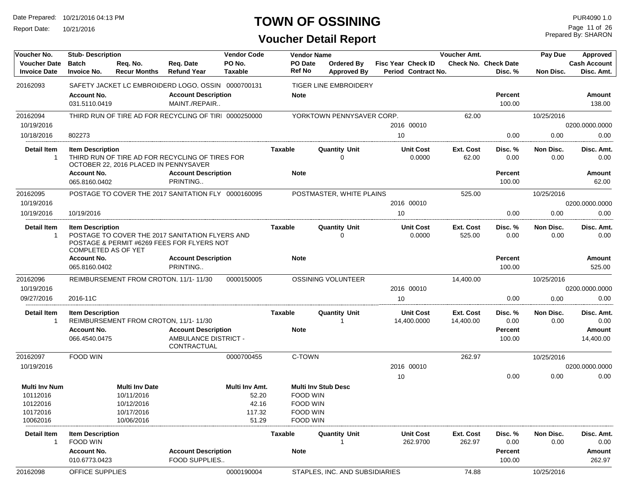Report Date: 10/21/2016

## **TOWN OF OSSINING**

Prepared By: SHARON Page 11 of 26

| Voucher No.                                | <b>Stub-Description</b>                               |                                       |                                                                                               | <b>Vendor Code</b>       |                | <b>Vendor Name</b>         |                                  |    |                                           | Voucher Amt.           |                                        | Pay Due           | Approved                          |
|--------------------------------------------|-------------------------------------------------------|---------------------------------------|-----------------------------------------------------------------------------------------------|--------------------------|----------------|----------------------------|----------------------------------|----|-------------------------------------------|------------------------|----------------------------------------|-------------------|-----------------------------------|
| <b>Voucher Date</b><br><b>Invoice Date</b> | <b>Batch</b><br><b>Invoice No.</b>                    | Req. No.<br><b>Recur Months</b>       | Req. Date<br><b>Refund Year</b>                                                               | PO No.<br><b>Taxable</b> | <b>Ref No</b>  | PO Date                    | Ordered By<br><b>Approved By</b> |    | Fisc Year Check ID<br>Period Contract No. |                        | <b>Check No. Check Date</b><br>Disc. % | Non Disc.         | <b>Cash Account</b><br>Disc. Amt. |
| 20162093                                   |                                                       |                                       | SAFETY JACKET LC EMBROIDERD LOGO, OSSIN 0000700131                                            |                          |                |                            | <b>TIGER LINE EMBROIDERY</b>     |    |                                           |                        |                                        |                   |                                   |
|                                            | <b>Account No.</b><br>031.5110.0419                   |                                       | <b>Account Description</b><br>MAINT./REPAIR                                                   |                          | <b>Note</b>    |                            |                                  |    |                                           |                        | <b>Percent</b><br>100.00               |                   | Amount<br>138.00                  |
| 20162094                                   |                                                       |                                       | THIRD RUN OF TIRE AD FOR RECYCLING OF TIRI 0000250000                                         |                          |                |                            | YORKTOWN PENNYSAVER CORP.        |    |                                           | 62.00                  |                                        | 10/25/2016        |                                   |
| 10/19/2016                                 |                                                       |                                       |                                                                                               |                          |                |                            |                                  |    | 2016 00010                                |                        |                                        |                   | 0200.0000.0000                    |
| 10/18/2016                                 | 802273                                                |                                       |                                                                                               |                          |                |                            |                                  | 10 |                                           |                        | 0.00                                   | 0.00              | 0.00                              |
| <b>Detail Item</b><br>$\mathbf{1}$         | <b>Item Description</b>                               | OCTOBER 22, 2016 PLACED IN PENNYSAVER | THIRD RUN OF TIRE AD FOR RECYCLING OF TIRES FOR                                               |                          | Taxable        |                            | <b>Quantity Unit</b><br>0        |    | <b>Unit Cost</b><br>0.0000                | Ext. Cost<br>62.00     | Disc. %<br>0.00                        | Non Disc.<br>0.00 | Disc. Amt.<br>0.00                |
|                                            | <b>Account No.</b>                                    |                                       | <b>Account Description</b><br>PRINTING                                                        |                          | <b>Note</b>    |                            |                                  |    |                                           |                        | <b>Percent</b>                         |                   | Amount                            |
|                                            | 065.8160.0402                                         |                                       |                                                                                               |                          |                |                            |                                  |    |                                           |                        | 100.00                                 |                   | 62.00                             |
| 20162095                                   |                                                       |                                       | POSTAGE TO COVER THE 2017 SANITATION FLY 0000160095                                           |                          |                |                            | POSTMASTER, WHITE PLAINS         |    |                                           | 525.00                 |                                        | 10/25/2016        |                                   |
| 10/19/2016                                 |                                                       |                                       |                                                                                               |                          |                |                            |                                  |    | 2016 00010                                |                        |                                        |                   | 0200.0000.0000                    |
| 10/19/2016                                 | 10/19/2016                                            |                                       |                                                                                               |                          |                |                            |                                  | 10 |                                           |                        | 0.00                                   | 0.00              | 0.00                              |
| <b>Detail Item</b><br>1                    | <b>Item Description</b><br><b>COMPLETED AS OF YET</b> |                                       | POSTAGE TO COVER THE 2017 SANITATION FLYERS AND<br>POSTAGE & PERMIT #6269 FEES FOR FLYERS NOT |                          | Taxable        |                            | <b>Quantity Unit</b><br>$\Omega$ |    | <b>Unit Cost</b><br>0.0000                | Ext. Cost<br>525.00    | Disc. %<br>0.00                        | Non Disc.<br>0.00 | Disc. Amt.<br>0.00                |
|                                            | <b>Account No.</b>                                    |                                       | <b>Account Description</b>                                                                    |                          | <b>Note</b>    |                            |                                  |    |                                           |                        | <b>Percent</b>                         |                   | Amount                            |
|                                            | 065.8160.0402                                         |                                       | PRINTING                                                                                      |                          |                |                            |                                  |    |                                           |                        | 100.00                                 |                   | 525.00                            |
| 20162096                                   |                                                       |                                       | REIMBURSEMENT FROM CROTON, 11/1-11/30                                                         | 0000150005               |                |                            | OSSINING VOLUNTEER               |    |                                           | 14,400.00              |                                        | 10/25/2016        |                                   |
| 10/19/2016                                 |                                                       |                                       |                                                                                               |                          |                |                            |                                  |    | 2016 00010                                |                        |                                        |                   | 0200.0000.0000                    |
| 09/27/2016                                 | 2016-11C                                              |                                       |                                                                                               |                          |                |                            |                                  | 10 |                                           |                        | 0.00                                   | 0.00              | 0.00                              |
| Detail Item<br>$\mathbf{1}$                | <b>Item Description</b>                               | REIMBURSEMENT FROM CROTON, 11/1-11/30 |                                                                                               |                          | Taxable        |                            | <b>Quantity Unit</b><br>-1       |    | <b>Unit Cost</b><br>14,400.0000           | Ext. Cost<br>14,400.00 | Disc. %<br>0.00                        | Non Disc.<br>0.00 | Disc. Amt.<br>0.00                |
|                                            | <b>Account No.</b>                                    |                                       | <b>Account Description</b>                                                                    |                          | <b>Note</b>    |                            |                                  |    |                                           |                        | Percent                                |                   | <b>Amount</b>                     |
|                                            | 066.4540.0475                                         |                                       | <b>AMBULANCE DISTRICT -</b><br>CONTRACTUAL                                                    |                          |                |                            |                                  |    |                                           |                        | 100.00                                 |                   | 14,400.00                         |
| 20162097                                   | FOOD WIN                                              |                                       |                                                                                               | 0000700455               |                | C-TOWN                     |                                  |    |                                           | 262.97                 |                                        | 10/25/2016        |                                   |
| 10/19/2016                                 |                                                       |                                       |                                                                                               |                          |                |                            |                                  |    | 2016 00010                                |                        |                                        |                   | 0200.0000.0000                    |
|                                            |                                                       |                                       |                                                                                               |                          |                |                            |                                  | 10 |                                           |                        | 0.00                                   | 0.00              | 0.00                              |
| <b>Multi Inv Num</b>                       |                                                       | <b>Multi Inv Date</b>                 |                                                                                               | Multi Inv Amt.           |                | <b>Multi Inv Stub Desc</b> |                                  |    |                                           |                        |                                        |                   |                                   |
| 10112016                                   |                                                       | 10/11/2016                            |                                                                                               | 52.20                    |                | FOOD WIN                   |                                  |    |                                           |                        |                                        |                   |                                   |
| 10122016                                   |                                                       | 10/12/2016                            |                                                                                               | 42.16                    |                | FOOD WIN                   |                                  |    |                                           |                        |                                        |                   |                                   |
| 10172016<br>10062016                       |                                                       | 10/17/2016<br>10/06/2016              |                                                                                               | 117.32<br>51.29          |                | FOOD WIN<br>FOOD WIN       |                                  |    |                                           |                        |                                        |                   |                                   |
| <b>Detail Item</b>                         | <b>Item Description</b>                               |                                       |                                                                                               |                          | <b>Taxable</b> |                            | <b>Quantity Unit</b>             |    | <b>Unit Cost</b>                          | Ext. Cost              | Disc. %                                | Non Disc.         | Disc. Amt.                        |
| $\mathbf{1}$                               | FOOD WIN<br><b>Account No.</b><br>010.6773.0423       |                                       | <b>Account Description</b><br>FOOD SUPPLIES                                                   |                          | <b>Note</b>    |                            |                                  |    | 262.9700                                  | 262.97                 | 0.00<br>Percent<br>100.00              | 0.00              | 0.00<br>Amount<br>262.97          |
|                                            |                                                       |                                       |                                                                                               |                          |                |                            |                                  |    |                                           |                        |                                        |                   |                                   |
| 20162098                                   | OFFICE SUPPLIES                                       |                                       |                                                                                               | 0000190004               |                |                            | STAPLES, INC. AND SUBSIDIARIES   |    |                                           | 74.88                  |                                        | 10/25/2016        |                                   |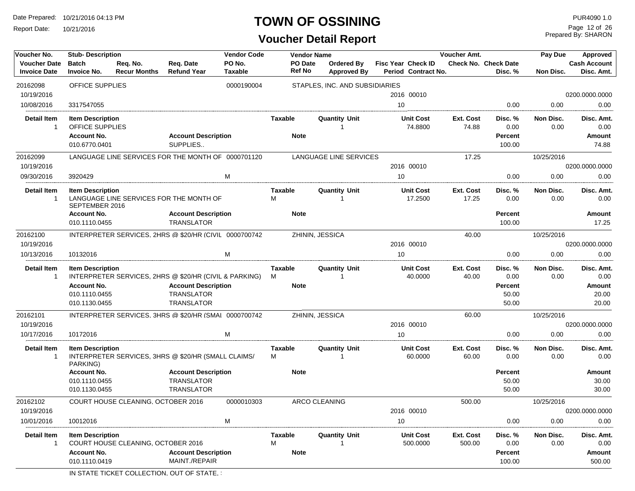Report Date: 10/21/2016

#### **TOWN OF OSSINING**

**Voucher Detail Report**

Prepared By: SHARON Page 12 of 26

| Voucher No.                                | <b>Stub-Description</b>                    |                                                        |                                             | <b>Vendor Code</b>       |                                 | <b>Vendor Name</b>   |                                         |                                                  | <b>Voucher Amt.</b> |                                        | Pay Due           | <b>Approved</b>                   |
|--------------------------------------------|--------------------------------------------|--------------------------------------------------------|---------------------------------------------|--------------------------|---------------------------------|----------------------|-----------------------------------------|--------------------------------------------------|---------------------|----------------------------------------|-------------------|-----------------------------------|
| <b>Voucher Date</b><br><b>Invoice Date</b> | <b>Batch</b><br><b>Invoice No.</b>         | Req. No.<br><b>Recur Months</b>                        | Req. Date<br><b>Refund Year</b>             | PO No.<br><b>Taxable</b> | <b>PO</b> Date<br><b>Ref No</b> |                      | <b>Ordered By</b><br><b>Approved By</b> | <b>Fisc Year Check ID</b><br>Period Contract No. |                     | <b>Check No. Check Date</b><br>Disc. % | Non Disc.         | <b>Cash Account</b><br>Disc. Amt. |
| 20162098                                   | <b>OFFICE SUPPLIES</b>                     |                                                        |                                             | 0000190004               |                                 |                      | STAPLES, INC. AND SUBSIDIARIES          |                                                  |                     |                                        |                   |                                   |
| 10/19/2016                                 |                                            |                                                        |                                             |                          |                                 |                      |                                         | 2016 00010                                       |                     |                                        |                   | 0200.0000.0000                    |
| 10/08/2016                                 | 3317547055                                 |                                                        |                                             |                          |                                 |                      |                                         | 10                                               |                     | 0.00                                   | 0.00              | 0.00                              |
| <b>Detail Item</b><br>$\mathbf{1}$         | <b>Item Description</b><br>OFFICE SUPPLIES |                                                        |                                             |                          | <b>Taxable</b>                  |                      | <b>Quantity Unit</b><br>$\overline{1}$  | <b>Unit Cost</b><br>74.8800                      | Ext. Cost<br>74.88  | Disc. %<br>0.00                        | Non Disc.<br>0.00 | Disc. Amt.<br>0.00                |
|                                            | <b>Account No.</b><br>010.6770.0401        |                                                        | <b>Account Description</b><br>SUPPLIES      |                          | <b>Note</b>                     |                      |                                         |                                                  |                     | <b>Percent</b><br>100.00               |                   | Amount<br>74.88                   |
| 20162099                                   |                                            | LANGUAGE LINE SERVICES FOR THE MONTH OF 0000701120     |                                             |                          |                                 |                      | LANGUAGE LINE SERVICES                  |                                                  | 17.25               |                                        | 10/25/2016        |                                   |
| 10/19/2016                                 |                                            |                                                        |                                             |                          |                                 |                      |                                         | 2016 00010                                       |                     |                                        |                   | 0200.0000.0000                    |
| 09/30/2016                                 | 3920429                                    |                                                        |                                             | M                        |                                 |                      |                                         | 10                                               |                     | 0.00                                   | 0.00              | 0.00                              |
| <b>Detail Item</b><br>$\mathbf{1}$         | <b>Item Description</b><br>SEPTEMBER 2016  | LANGUAGE LINE SERVICES FOR THE MONTH OF                |                                             |                          | <b>Taxable</b><br>M             |                      | <b>Quantity Unit</b><br>1               | <b>Unit Cost</b><br>17.2500                      | Ext. Cost<br>17.25  | Disc.%<br>0.00                         | Non Disc.<br>0.00 | Disc. Amt.<br>0.00                |
|                                            | <b>Account No.</b>                         |                                                        | <b>Account Description</b>                  |                          | <b>Note</b>                     |                      |                                         |                                                  |                     | <b>Percent</b>                         |                   | Amount                            |
|                                            | 010.1110.0455                              |                                                        | <b>TRANSLATOR</b>                           |                          |                                 |                      |                                         |                                                  |                     | 100.00                                 |                   | 17.25                             |
| 20162100                                   |                                            | INTERPRETER SERVICES, 2HRS @ \$20/HR (CIVIL 0000700742 |                                             |                          |                                 | ZHININ, JESSICA      |                                         |                                                  | 40.00               |                                        | 10/25/2016        |                                   |
| 10/19/2016                                 |                                            |                                                        |                                             |                          |                                 |                      |                                         | 2016 00010                                       |                     |                                        |                   | 0200.0000.0000                    |
| 10/13/2016                                 | 10132016                                   |                                                        |                                             | M                        |                                 |                      |                                         | 10                                               |                     | 0.00                                   | 0.00              | 0.00                              |
| <b>Detail Item</b><br>-1                   | <b>Item Description</b>                    | INTERPRETER SERVICES, 2HRS @ \$20/HR (CIVIL & PARKING) |                                             |                          | <b>Taxable</b><br>M             |                      | <b>Quantity Unit</b><br>1               | <b>Unit Cost</b><br>40.0000                      | Ext. Cost<br>40.00  | Disc. %<br>0.00                        | Non Disc.<br>0.00 | Disc. Amt.<br>0.00                |
|                                            | <b>Account No.</b>                         |                                                        | <b>Account Description</b>                  |                          | <b>Note</b>                     |                      |                                         |                                                  |                     | <b>Percent</b>                         |                   | <b>Amount</b>                     |
|                                            | 010.1110.0455                              |                                                        | <b>TRANSLATOR</b>                           |                          |                                 |                      |                                         |                                                  |                     | 50.00                                  |                   | 20.00                             |
|                                            | 010.1130.0455                              |                                                        | <b>TRANSLATOR</b>                           |                          |                                 |                      |                                         |                                                  |                     | 50.00                                  |                   | 20.00                             |
| 20162101                                   |                                            | INTERPRETER SERVICES, 3HRS @ \$20/HR (SMAI 0000700742  |                                             |                          |                                 | ZHININ, JESSICA      |                                         |                                                  | 60.00               |                                        | 10/25/2016        |                                   |
| 10/19/2016                                 |                                            |                                                        |                                             |                          |                                 |                      |                                         | 2016 00010                                       |                     |                                        |                   | 0200.0000.0000                    |
| 10/17/2016                                 | 10172016                                   |                                                        |                                             | M                        |                                 |                      |                                         | 10                                               |                     | 0.00                                   | 0.00              | 0.00                              |
| <b>Detail Item</b><br>$\mathbf{1}$         | <b>Item Description</b><br>PARKING)        | INTERPRETER SERVICES, 3HRS @ \$20/HR (SMALL CLAIMS/    |                                             |                          | <b>Taxable</b><br>м             |                      | <b>Quantity Unit</b><br>1               | <b>Unit Cost</b><br>60.0000                      | Ext. Cost<br>60.00  | Disc. %<br>0.00                        | Non Disc.<br>0.00 | Disc. Amt.<br>0.00                |
|                                            | <b>Account No.</b>                         |                                                        | <b>Account Description</b>                  |                          | <b>Note</b>                     |                      |                                         |                                                  |                     | <b>Percent</b>                         |                   | Amount                            |
|                                            | 010.1110.0455                              |                                                        | <b>TRANSLATOR</b>                           |                          |                                 |                      |                                         |                                                  |                     | 50.00                                  |                   | 30.00                             |
|                                            | 010.1130.0455                              |                                                        | <b>TRANSLATOR</b>                           |                          |                                 |                      |                                         |                                                  |                     | 50.00                                  |                   | 30.00                             |
| 20162102                                   |                                            | <b>COURT HOUSE CLEANING, OCTOBER 2016</b>              |                                             | 0000010303               |                                 | <b>ARCO CLEANING</b> |                                         |                                                  | 500.00              |                                        | 10/25/2016        |                                   |
| 10/19/2016                                 |                                            |                                                        |                                             |                          |                                 |                      |                                         | 2016 00010                                       |                     |                                        |                   | 0200.0000.0000                    |
| 10/01/2016                                 | 10012016                                   |                                                        |                                             | M                        |                                 |                      |                                         | 10                                               |                     | 0.00                                   | 0.00              | 0.00                              |
| <b>Detail Item</b><br>-1                   | <b>Item Description</b>                    | COURT HOUSE CLEANING, OCTOBER 2016                     |                                             |                          | Taxable<br>М                    |                      | <b>Quantity Unit</b><br>1               | <b>Unit Cost</b><br>500.0000                     | Ext. Cost<br>500.00 | Disc. %<br>0.00                        | Non Disc.<br>0.00 | Disc. Amt.<br>0.00                |
|                                            | <b>Account No.</b><br>010.1110.0419        |                                                        | <b>Account Description</b><br>MAINT./REPAIR |                          | <b>Note</b>                     |                      |                                         |                                                  |                     | <b>Percent</b><br>100.00               |                   | Amount<br>500.00                  |

IN STATE TICKET COLLECTION, OUT OF STATE,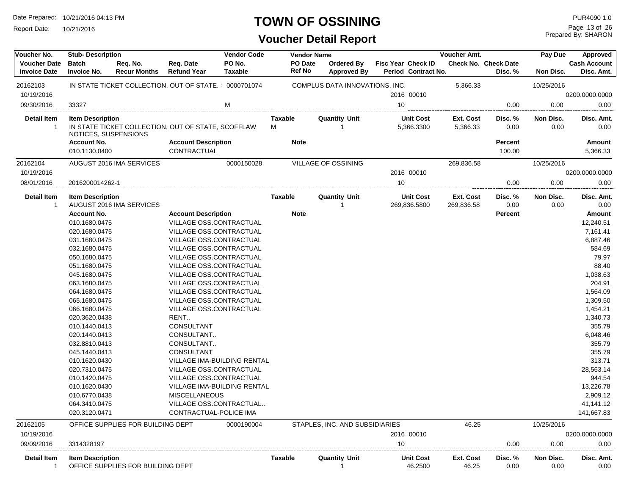Report Date: 10/21/2016

#### **TOWN OF OSSINING**

## **Voucher Detail Report**

Prepared By: SHARON Page 13 of 26

| Voucher No.                                | <b>Stub-Description</b>                         |                                                      | <b>Vendor Code</b>                 |                          | <b>Vendor Name</b> |                          |                                  |      | Voucher Amt.                              |                         | Pay Due                         | Approved          |                                   |
|--------------------------------------------|-------------------------------------------------|------------------------------------------------------|------------------------------------|--------------------------|--------------------|--------------------------|----------------------------------|------|-------------------------------------------|-------------------------|---------------------------------|-------------------|-----------------------------------|
| <b>Voucher Date</b><br><b>Invoice Date</b> | <b>Batch</b><br><b>Invoice No.</b>              | Req. No.<br><b>Recur Months</b>                      | Req. Date<br><b>Refund Year</b>    | PO No.<br><b>Taxable</b> |                    | PO Date<br><b>Ref No</b> | Ordered By<br><b>Approved By</b> |      | Fisc Year Check ID<br>Period Contract No. |                         | Check No. Check Date<br>Disc. % | Non Disc.         | <b>Cash Account</b><br>Disc. Amt. |
| 20162103                                   |                                                 | IN STATE TICKET COLLECTION, OUT OF STATE, 0000701074 |                                    |                          |                    |                          | COMPLUS DATA INNOVATIONS, INC.   |      |                                           | 5,366.33                |                                 | 10/25/2016        |                                   |
| 10/19/2016                                 |                                                 |                                                      |                                    |                          |                    |                          |                                  |      | 2016 00010                                |                         |                                 |                   | 0200.0000.0000                    |
| 09/30/2016                                 | 33327                                           |                                                      |                                    | M                        |                    |                          |                                  | 10   |                                           |                         | 0.00                            | 0.00              | 0.00                              |
| <b>Detail Item</b>                         |                                                 |                                                      |                                    |                          |                    |                          | <b>Quantity Unit</b>             |      | <b>Unit Cost</b>                          | Ext. Cost               |                                 | Non Disc.         |                                   |
| -1                                         | <b>Item Description</b><br>NOTICES, SUSPENSIONS | IN STATE TICKET COLLECTION, OUT OF STATE, SCOFFLAW   |                                    |                          | Taxable<br>М       |                          |                                  |      | 5,366.3300                                | 5,366.33                | Disc. %<br>0.00                 | 0.00              | Disc. Amt.<br>0.00                |
|                                            | <b>Account No.</b>                              |                                                      | <b>Account Description</b>         |                          |                    | <b>Note</b>              |                                  |      |                                           |                         | Percent                         |                   | Amount                            |
|                                            | 010.1130.0400                                   |                                                      | CONTRACTUAL                        |                          |                    |                          |                                  |      |                                           |                         | 100.00                          |                   | 5,366.33                          |
| 20162104                                   |                                                 | AUGUST 2016 IMA SERVICES                             |                                    | 0000150028               |                    |                          | VILLAGE OF OSSINING              |      |                                           | 269,836.58              |                                 | 10/25/2016        |                                   |
| 10/19/2016                                 |                                                 |                                                      |                                    |                          |                    |                          |                                  |      | 2016 00010                                |                         |                                 |                   | 0200.0000.0000                    |
| 08/01/2016                                 | 2016200014262-1                                 |                                                      |                                    |                          |                    |                          |                                  | 10   |                                           |                         | 0.00                            | 0.00              | 0.00                              |
| <b>Detail Item</b><br>1                    | <b>Item Description</b>                         | AUGUST 2016 IMA SERVICES                             |                                    |                          | <b>Taxable</b>     |                          | <b>Quantity Unit</b>             |      | <b>Unit Cost</b><br>269,836.5800          | Ext. Cost<br>269,836.58 | Disc. %<br>0.00                 | Non Disc.<br>0.00 | Disc. Amt.<br>0.00                |
|                                            | <b>Account No.</b>                              |                                                      | <b>Account Description</b>         |                          |                    | <b>Note</b>              |                                  |      |                                           |                         | Percent                         |                   | Amount                            |
|                                            | 010.1680.0475                                   |                                                      | VILLAGE OSS.CONTRACTUAL            |                          |                    |                          |                                  |      |                                           |                         |                                 |                   | 12,240.51                         |
|                                            | 020.1680.0475                                   |                                                      | VILLAGE OSS.CONTRACTUAL            |                          |                    |                          |                                  |      |                                           |                         |                                 |                   | 7,161.41                          |
|                                            | 031.1680.0475                                   |                                                      | VILLAGE OSS.CONTRACTUAL            |                          |                    |                          |                                  |      |                                           |                         |                                 |                   | 6,887.46                          |
|                                            | 032.1680.0475                                   |                                                      | VILLAGE OSS.CONTRACTUAL            |                          |                    |                          |                                  |      |                                           |                         |                                 |                   | 584.69                            |
|                                            | 050.1680.0475                                   |                                                      | <b>VILLAGE OSS.CONTRACTUAL</b>     |                          |                    |                          |                                  |      |                                           |                         |                                 |                   | 79.97                             |
|                                            | 051.1680.0475                                   |                                                      | VILLAGE OSS.CONTRACTUAL            |                          |                    |                          |                                  |      |                                           |                         |                                 |                   | 88.40                             |
|                                            | 045.1680.0475                                   |                                                      | VILLAGE OSS.CONTRACTUAL            |                          |                    |                          |                                  |      |                                           |                         |                                 |                   | 1,038.63                          |
|                                            | 063.1680.0475                                   |                                                      | VILLAGE OSS.CONTRACTUAL            |                          |                    |                          |                                  |      |                                           |                         |                                 |                   | 204.91                            |
|                                            | 064.1680.0475                                   |                                                      | VILLAGE OSS.CONTRACTUAL            |                          |                    |                          |                                  |      |                                           |                         |                                 |                   | 1,564.09                          |
|                                            | 065.1680.0475                                   |                                                      | VILLAGE OSS.CONTRACTUAL            |                          |                    |                          |                                  |      |                                           |                         |                                 |                   | 1,309.50                          |
|                                            | 066.1680.0475                                   |                                                      | VILLAGE OSS.CONTRACTUAL            |                          |                    |                          |                                  |      |                                           |                         |                                 |                   | 1,454.21                          |
|                                            | 020.3620.0438                                   |                                                      | RENT                               |                          |                    |                          |                                  |      |                                           |                         |                                 |                   | 1,340.73                          |
|                                            | 010.1440.0413                                   |                                                      | <b>CONSULTANT</b>                  |                          |                    |                          |                                  |      |                                           |                         |                                 |                   | 355.79                            |
|                                            | 020.1440.0413                                   |                                                      | CONSULTANT                         |                          |                    |                          |                                  |      |                                           |                         |                                 |                   | 6,048.46                          |
|                                            | 032.8810.0413                                   |                                                      | CONSULTANT                         |                          |                    |                          |                                  |      |                                           |                         |                                 |                   | 355.79                            |
|                                            | 045.1440.0413                                   |                                                      | CONSULTANT                         |                          |                    |                          |                                  |      |                                           |                         |                                 |                   | 355.79                            |
|                                            | 010.1620.0430                                   |                                                      | <b>VILLAGE IMA-BUILDING RENTAL</b> |                          |                    |                          |                                  |      |                                           |                         |                                 |                   | 313.71                            |
|                                            | 020.7310.0475                                   |                                                      | <b>VILLAGE OSS.CONTRACTUAL</b>     |                          |                    |                          |                                  |      |                                           |                         |                                 |                   | 28,563.14                         |
|                                            | 010.1420.0475                                   |                                                      | VILLAGE OSS.CONTRACTUAL            |                          |                    |                          |                                  |      |                                           |                         |                                 |                   | 944.54                            |
|                                            | 010.1620.0430                                   |                                                      | VILLAGE IMA-BUILDING RENTAL        |                          |                    |                          |                                  |      |                                           |                         |                                 |                   | 13,226.78                         |
|                                            | 010.6770.0438                                   |                                                      | <b>MISCELLANEOUS</b>               |                          |                    |                          |                                  |      |                                           |                         |                                 |                   | 2,909.12                          |
|                                            | 064.3410.0475                                   |                                                      | VILLAGE OSS.CONTRACTUAL            |                          |                    |                          |                                  |      |                                           |                         |                                 |                   | 41,141.12                         |
|                                            | 020.3120.0471                                   |                                                      | CONTRACTUAL-POLICE IMA             |                          |                    |                          |                                  |      |                                           |                         |                                 |                   | 141,667.83                        |
| 20162105                                   |                                                 | OFFICE SUPPLIES FOR BUILDING DEPT                    |                                    | 0000190004               |                    |                          | STAPLES, INC. AND SUBSIDIARIES   |      |                                           | 46.25                   |                                 | 10/25/2016        |                                   |
| 10/19/2016                                 |                                                 |                                                      |                                    |                          |                    |                          |                                  |      | 2016 00010                                |                         |                                 |                   | 0200.0000.0000                    |
| 09/09/2016                                 | 3314328197                                      |                                                      |                                    |                          |                    |                          |                                  | $10$ |                                           |                         | 0.00                            | 0.00              | 0.00                              |
| Detail Item<br>$\mathbf{1}$                | <b>Item Description</b>                         | OFFICE SUPPLIES FOR BUILDING DEPT                    |                                    |                          | <b>Taxable</b>     |                          | <b>Quantity Unit</b>             |      | <b>Unit Cost</b><br>46.2500               | Ext. Cost<br>46.25      | Disc. %<br>0.00                 | Non Disc.<br>0.00 | Disc. Amt.<br>0.00                |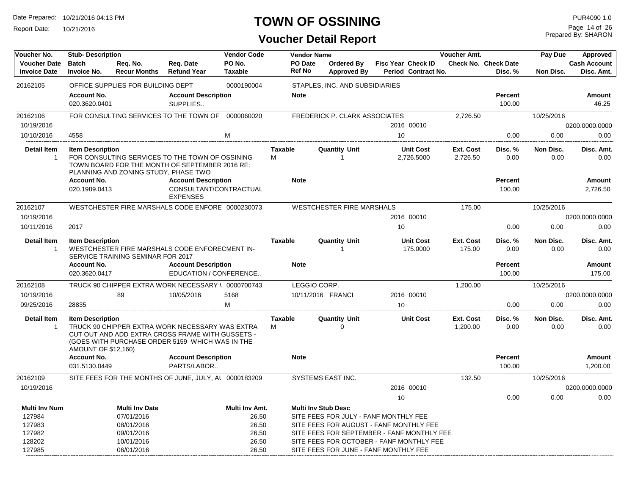Report Date: 10/21/2016

## **TOWN OF OSSINING**

Prepared By: SHARON Page 14 of 26

| Voucher No.                                | <b>Vendor Code</b><br><b>Stub-Description</b> |                                      |                                                                                                                                                        |                          |                | <b>Vendor Name</b>         |                                            |    |                                           | Voucher Amt.        |                                        | Pay Due           | Approved                          |
|--------------------------------------------|-----------------------------------------------|--------------------------------------|--------------------------------------------------------------------------------------------------------------------------------------------------------|--------------------------|----------------|----------------------------|--------------------------------------------|----|-------------------------------------------|---------------------|----------------------------------------|-------------------|-----------------------------------|
| <b>Voucher Date</b><br><b>Invoice Date</b> | <b>Batch</b><br><b>Invoice No.</b>            | Reg. No.<br><b>Recur Months</b>      | Reg. Date<br><b>Refund Year</b>                                                                                                                        | PO No.<br><b>Taxable</b> | Ref No         | PO Date                    | <b>Ordered By</b><br><b>Approved By</b>    |    | Fisc Year Check ID<br>Period Contract No. |                     | <b>Check No. Check Date</b><br>Disc. % | Non Disc.         | <b>Cash Account</b><br>Disc. Amt. |
| 20162105                                   |                                               | OFFICE SUPPLIES FOR BUILDING DEPT    |                                                                                                                                                        | 0000190004               |                |                            | STAPLES, INC. AND SUBSIDIARIES             |    |                                           |                     |                                        |                   |                                   |
|                                            | <b>Account No.</b><br>020.3620.0401           |                                      | <b>Account Description</b><br>SUPPLIES                                                                                                                 |                          | <b>Note</b>    |                            |                                            |    |                                           |                     | <b>Percent</b><br>100.00               |                   | Amount<br>46.25                   |
| 20162106                                   |                                               |                                      | FOR CONSULTING SERVICES TO THE TOWN OF 0000060020                                                                                                      |                          |                |                            | FREDERICK P. CLARK ASSOCIATES              |    |                                           | 2,726.50            |                                        | 10/25/2016        |                                   |
| 10/19/2016                                 |                                               |                                      |                                                                                                                                                        |                          |                |                            |                                            |    | 2016 00010                                |                     |                                        |                   | 0200.0000.0000                    |
| 10/10/2016                                 | 4558                                          |                                      |                                                                                                                                                        | м                        |                |                            |                                            | 10 |                                           |                     | 0.00                                   | 0.00              | 0.00                              |
| Detail Item                                | <b>Item Description</b>                       |                                      |                                                                                                                                                        |                          | <b>Taxable</b> |                            | <b>Quantity Unit</b>                       |    | <b>Unit Cost</b>                          | Ext. Cost           | Disc. %                                | Non Disc.         | Disc. Amt.                        |
| $\mathbf{1}$                               |                                               | PLANNING AND ZONING STUDY, PHASE TWO | FOR CONSULTING SERVICES TO THE TOWN OF OSSINING<br>TOWN BOARD FOR THE MONTH OF SEPTEMBER 2016 RE:                                                      |                          | м              |                            | $\overline{1}$                             |    | 2,726.5000                                | 2,726.50            | 0.00                                   | 0.00              | 0.00                              |
|                                            | <b>Account No.</b>                            |                                      | <b>Account Description</b>                                                                                                                             |                          | <b>Note</b>    |                            |                                            |    |                                           |                     | <b>Percent</b>                         |                   | Amount                            |
|                                            | 020.1989.0413                                 |                                      | CONSULTANT/CONTRACTUAL<br><b>EXPENSES</b>                                                                                                              |                          |                |                            |                                            |    |                                           |                     | 100.00                                 |                   | 2,726.50                          |
| 20162107                                   |                                               |                                      | WESTCHESTER FIRE MARSHALS CODE ENFORE 0000230073                                                                                                       |                          |                |                            | <b>WESTCHESTER FIRE MARSHALS</b>           |    |                                           | 175.00              |                                        | 10/25/2016        |                                   |
| 10/19/2016                                 |                                               |                                      |                                                                                                                                                        |                          |                |                            |                                            |    | 2016 00010                                |                     |                                        |                   | 0200.0000.0000                    |
| 10/11/2016                                 | 2017                                          |                                      |                                                                                                                                                        |                          |                |                            |                                            | 10 |                                           |                     | 0.00                                   | 0.00              | 0.00                              |
| <b>Detail Item</b><br>$\mathbf{1}$         | <b>Item Description</b>                       | SERVICE TRAINING SEMINAR FOR 2017    | WESTCHESTER FIRE MARSHALS CODE ENFORECMENT IN-                                                                                                         |                          | <b>Taxable</b> |                            | <b>Quantity Unit</b><br>$\overline{1}$     |    | <b>Unit Cost</b><br>175.0000              | Ext. Cost<br>175.00 | Disc. %<br>0.00                        | Non Disc.<br>0.00 | Disc. Amt.<br>0.00                |
|                                            | <b>Account No.</b><br>020.3620.0417           |                                      | <b>Account Description</b><br>EDUCATION / CONFERENCE                                                                                                   |                          | <b>Note</b>    |                            |                                            |    |                                           |                     | <b>Percent</b><br>100.00               |                   | Amount<br>175.00                  |
| 20162108                                   |                                               |                                      | TRUCK 90 CHIPPER EXTRA WORK NECESSARY \ 0000700743                                                                                                     |                          |                | LEGGIO CORP.               |                                            |    |                                           | 1,200.00            |                                        | 10/25/2016        |                                   |
| 10/19/2016                                 |                                               | 89                                   | 10/05/2016                                                                                                                                             | 5168                     |                | 10/11/2016 FRANCI          |                                            |    | 2016 00010                                |                     |                                        |                   | 0200.0000.0000                    |
| 09/25/2016                                 | 28835                                         |                                      |                                                                                                                                                        | M                        |                |                            |                                            | 10 |                                           |                     | 0.00                                   | 0.00              | 0.00                              |
| <b>Detail Item</b>                         | <b>Item Description</b>                       |                                      |                                                                                                                                                        |                          | <b>Taxable</b> |                            | <b>Quantity Unit</b>                       |    | <b>Unit Cost</b>                          | Ext. Cost           | Disc. %                                | Non Disc.         | Disc. Amt.                        |
| -1                                         | AMOUNT OF \$12,160)                           |                                      | TRUCK 90 CHIPPER EXTRA WORK NECESSARY WAS EXTRA<br>CUT OUT AND ADD EXTRA CROSS FRAME WITH GUSSETS -<br>(GOES WITH PURCHASE ORDER 5159 WHICH WAS IN THE |                          | М              |                            | $\Omega$                                   |    |                                           | 1,200.00            | 0.00                                   | 0.00              | 0.00                              |
|                                            | <b>Account No.</b><br>031.5130.0449           |                                      | <b>Account Description</b><br>PARTS/LABOR                                                                                                              |                          | <b>Note</b>    |                            |                                            |    |                                           |                     | <b>Percent</b><br>100.00               |                   | Amount<br>1,200.00                |
| 20162109                                   |                                               |                                      | SITE FEES FOR THE MONTHS OF JUNE, JULY, AL 0000183209                                                                                                  |                          |                |                            | <b>SYSTEMS EAST INC.</b>                   |    |                                           | 132.50              |                                        | 10/25/2016        |                                   |
| 10/19/2016                                 |                                               |                                      |                                                                                                                                                        |                          |                |                            |                                            |    | 2016 00010                                |                     |                                        |                   | 0200.0000.0000                    |
|                                            |                                               |                                      |                                                                                                                                                        |                          |                |                            |                                            | 10 |                                           |                     | 0.00                                   | 0.00              | 0.00                              |
| <b>Multi Inv Num</b>                       |                                               | <b>Multi Inv Date</b>                |                                                                                                                                                        | Multi Inv Amt.           |                | <b>Multi Inv Stub Desc</b> |                                            |    |                                           |                     |                                        |                   |                                   |
| 127984                                     |                                               | 07/01/2016                           |                                                                                                                                                        | 26.50                    |                |                            | SITE FEES FOR JULY - FANF MONTHLY FEE      |    |                                           |                     |                                        |                   |                                   |
| 127983                                     |                                               | 08/01/2016                           |                                                                                                                                                        | 26.50                    |                |                            | SITE FEES FOR AUGUST - FANF MONTHLY FEE    |    |                                           |                     |                                        |                   |                                   |
| 127982                                     |                                               | 09/01/2016                           |                                                                                                                                                        | 26.50                    |                |                            | SITE FEES FOR SEPTEMBER - FANF MONTHLY FEE |    |                                           |                     |                                        |                   |                                   |
| 128202                                     |                                               | 10/01/2016                           |                                                                                                                                                        | 26.50                    |                |                            | SITE FEES FOR OCTOBER - FANF MONTHLY FEE   |    |                                           |                     |                                        |                   |                                   |
| 127985                                     |                                               | 06/01/2016                           |                                                                                                                                                        | 26.50                    |                |                            | SITE FEES FOR JUNE - FANF MONTHLY FEE      |    |                                           |                     |                                        |                   |                                   |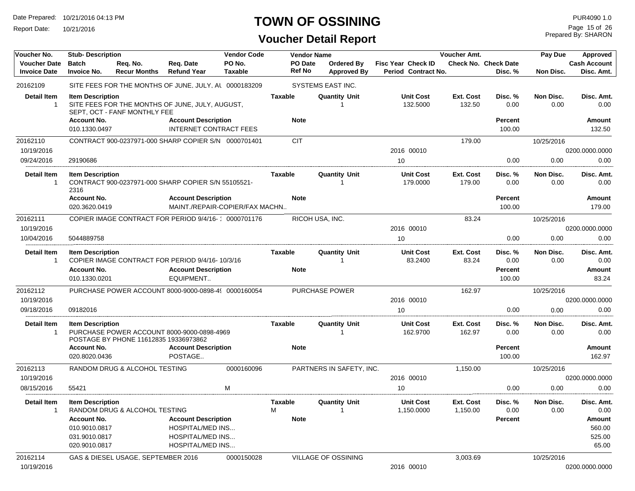Report Date: 10/21/2016

## **TOWN OF OSSINING**

# **Voucher Detail Report**

Prepared By: SHARON Page 15 of 26

| Voucher No.                                | <b>Vendor Code</b><br><b>Stub-Description</b> |                                       |                                                                               |                          |                               | <b>Vendor Name</b>                     |                                                  | Voucher Amt.          |                                        | Pay Due           | Approved                     |
|--------------------------------------------|-----------------------------------------------|---------------------------------------|-------------------------------------------------------------------------------|--------------------------|-------------------------------|----------------------------------------|--------------------------------------------------|-----------------------|----------------------------------------|-------------------|------------------------------|
| <b>Voucher Date</b><br><b>Invoice Date</b> | <b>Batch</b><br><b>Invoice No.</b>            | Req. No.<br><b>Recur Months</b>       | Req. Date<br><b>Refund Year</b>                                               | PO No.<br><b>Taxable</b> | PO Date<br><b>Ref No</b>      | Ordered By<br><b>Approved By</b>       | <b>Fisc Year Check ID</b><br>Period Contract No. |                       | <b>Check No. Check Date</b><br>Disc. % | Non Disc.         | Cash Account<br>Disc. Amt.   |
| 20162109                                   |                                               |                                       | SITE FEES FOR THE MONTHS OF JUNE, JULY, AL 0000183209                         |                          |                               | SYSTEMS EAST INC.                      |                                                  |                       |                                        |                   |                              |
| <b>Detail Item</b><br>$\mathbf{1}$         | <b>Item Description</b><br><b>Account No.</b> | SEPT, OCT - FANF MONTHLY FEE          | SITE FEES FOR THE MONTHS OF JUNE, JULY, AUGUST,<br><b>Account Description</b> |                          | <b>Taxable</b><br><b>Note</b> | <b>Quantity Unit</b>                   | <b>Unit Cost</b><br>132.5000                     | Ext. Cost<br>132.50   | Disc. %<br>0.00<br><b>Percent</b>      | Non Disc.<br>0.00 | Disc. Amt.<br>0.00<br>Amount |
|                                            | 010.1330.0497                                 |                                       | <b>INTERNET CONTRACT FEES</b>                                                 |                          |                               |                                        |                                                  |                       | 100.00                                 |                   | 132.50                       |
| 20162110                                   |                                               |                                       | CONTRACT 900-0237971-000 SHARP COPIER S/N 0000701401                          |                          | <b>CIT</b>                    |                                        |                                                  | 179.00                |                                        | 10/25/2016        |                              |
| 10/19/2016                                 |                                               |                                       |                                                                               |                          |                               |                                        | 2016 00010                                       |                       |                                        |                   | 0200.0000.0000               |
| 09/24/2016                                 | 29190686                                      |                                       |                                                                               |                          |                               |                                        | 10                                               |                       | 0.00                                   | 0.00              | 0.00                         |
| <b>Detail Item</b><br>1                    | <b>Item Description</b><br>2316               |                                       | CONTRACT 900-0237971-000 SHARP COPIER S/N 55105521-                           |                          | Taxable                       | <b>Quantity Unit</b>                   | <b>Unit Cost</b><br>179.0000                     | Ext. Cost<br>179.00   | Disc. %<br>0.00                        | Non Disc.<br>0.00 | Disc. Amt.<br>0.00           |
|                                            | <b>Account No.</b><br>020.3620.0419           |                                       | <b>Account Description</b><br>MAINT./REPAIR-COPIER/FAX MACHN                  |                          | <b>Note</b>                   |                                        |                                                  |                       | Percent<br>100.00                      |                   | Amount<br>179.00             |
| 20162111                                   |                                               |                                       | COPIER IMAGE CONTRACT FOR PERIOD 9/4/16- 0000701176                           |                          |                               | RICOH USA, INC.                        |                                                  | 83.24                 |                                        | 10/25/2016        |                              |
| 10/19/2016                                 |                                               |                                       |                                                                               |                          |                               |                                        | 2016 00010                                       |                       |                                        |                   | 0200.0000.0000               |
| 10/04/2016                                 | 5044889758                                    |                                       |                                                                               |                          |                               |                                        | 10                                               |                       | 0.00                                   | 0.00              | 0.00                         |
| <b>Detail Item</b><br>1                    | <b>Item Description</b>                       |                                       | COPIER IMAGE CONTRACT FOR PERIOD 9/4/16-10/3/16                               |                          | Taxable                       | <b>Quantity Unit</b>                   | <b>Unit Cost</b><br>83.2400                      | Ext. Cost<br>83.24    | Disc. %<br>0.00                        | Non Disc.<br>0.00 | Disc. Amt.<br>0.00           |
|                                            | <b>Account No.</b><br>010.1330.0201           |                                       | <b>Account Description</b><br>EQUIPMENT                                       |                          | <b>Note</b>                   |                                        |                                                  |                       | <b>Percent</b><br>100.00               |                   | Amount<br>83.24              |
| 20162112                                   |                                               |                                       | PURCHASE POWER ACCOUNT 8000-9000-0898-49 0000160054                           |                          |                               | <b>PURCHASE POWER</b>                  |                                                  | 162.97                |                                        | 10/25/2016        |                              |
| 10/19/2016                                 |                                               |                                       |                                                                               |                          |                               |                                        | 2016 00010                                       |                       |                                        |                   | 0200.0000.0000               |
| 09/18/2016                                 | 09182016                                      |                                       |                                                                               |                          |                               |                                        | 10                                               |                       | 0.00                                   | 0.00              | 0.00                         |
| <b>Detail Item</b><br>1                    | <b>Item Description</b>                       | POSTAGE BY PHONE 11612835 19336973862 | PURCHASE POWER ACCOUNT 8000-9000-0898-4969                                    |                          | <b>Taxable</b>                | <b>Quantity Unit</b>                   | <b>Unit Cost</b><br>162.9700                     | Ext. Cost<br>162.97   | Disc. %<br>0.00                        | Non Disc.<br>0.00 | Disc. Amt.<br>0.00           |
|                                            | <b>Account No.</b><br>020.8020.0436           |                                       | <b>Account Description</b><br>POSTAGE                                         |                          | <b>Note</b>                   |                                        |                                                  |                       | <b>Percent</b><br>100.00               |                   | Amount<br>162.97             |
| 20162113                                   |                                               | RANDOM DRUG & ALCOHOL TESTING         |                                                                               | 0000160096               |                               | PARTNERS IN SAFETY, INC.               |                                                  | 1,150.00              |                                        | 10/25/2016        |                              |
| 10/19/2016                                 |                                               |                                       |                                                                               |                          |                               |                                        | 2016 00010                                       |                       |                                        |                   | 0200.0000.0000               |
| 08/15/2016                                 | 55421                                         |                                       |                                                                               | М                        |                               |                                        | 10                                               |                       | 0.00                                   | 0.00              | 0.00                         |
| Detail Item                                | <b>Item Description</b>                       | RANDOM DRUG & ALCOHOL TESTING         |                                                                               |                          | Taxable<br>M                  | <b>Quantity Unit</b><br>$\overline{1}$ | <b>Unit Cost</b><br>1,150.0000                   | Ext. Cost<br>1,150.00 | Disc. %<br>0.00                        | Non Disc.<br>0.00 | Disc. Amt.<br>0.00           |
|                                            | <b>Account No.</b>                            |                                       | <b>Account Description</b>                                                    |                          | <b>Note</b>                   |                                        |                                                  |                       | <b>Percent</b>                         |                   | Amount                       |
|                                            | 010.9010.0817                                 |                                       | <b>HOSPITAL/MED INS</b>                                                       |                          |                               |                                        |                                                  |                       |                                        |                   | 560.00                       |
|                                            | 031.9010.0817<br>020.9010.0817                |                                       | <b>HOSPITAL/MED INS</b><br><b>HOSPITAL/MED INS</b>                            |                          |                               |                                        |                                                  |                       |                                        |                   | 525.00<br>65.00              |
| 20162114                                   |                                               | GAS & DIESEL USAGE, SEPTEMBER 2016    |                                                                               | 0000150028               |                               | <b>VILLAGE OF OSSINING</b>             |                                                  | 3,003.69              |                                        | 10/25/2016        |                              |
| 10/19/2016                                 |                                               |                                       |                                                                               |                          |                               |                                        | 2016 00010                                       |                       |                                        |                   | 0200.0000.0000               |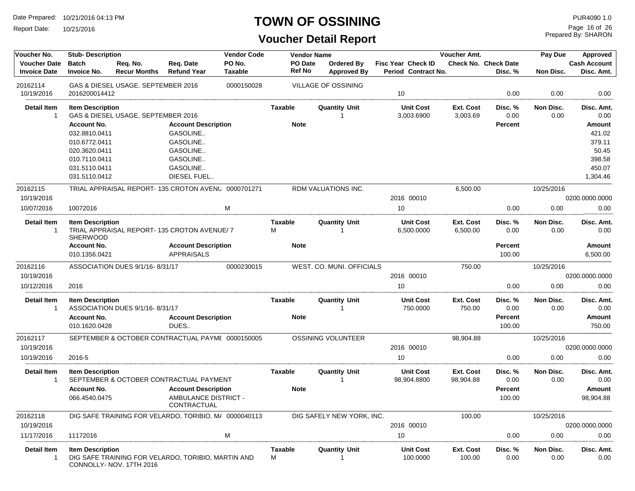Report Date: 10/21/2016

## **TOWN OF OSSINING**

Prepared By: SHARON Page 16 of 26

| Voucher No.                                | <b>Stub-Description</b>                    |                                    |                                                       | <b>Vendor Code</b>       |                     | <b>Vendor Name</b>                      |                                                  | Voucher Amt.               |                                        | Pay Due           | Approved                          |
|--------------------------------------------|--------------------------------------------|------------------------------------|-------------------------------------------------------|--------------------------|---------------------|-----------------------------------------|--------------------------------------------------|----------------------------|----------------------------------------|-------------------|-----------------------------------|
| <b>Voucher Date</b><br><b>Invoice Date</b> | <b>Batch</b><br><b>Invoice No.</b>         | Req. No.<br><b>Recur Months</b>    | Req. Date<br><b>Refund Year</b>                       | PO No.<br><b>Taxable</b> | PO Date<br>Ref No   | <b>Ordered By</b><br><b>Approved By</b> | <b>Fisc Year Check ID</b><br>Period Contract No. |                            | <b>Check No. Check Date</b><br>Disc. % | Non Disc.         | <b>Cash Account</b><br>Disc. Amt. |
| 20162114<br>10/19/2016                     | 2016200014412                              | GAS & DIESEL USAGE, SEPTEMBER 2016 |                                                       | 0000150028               |                     | VILLAGE OF OSSINING                     | 10                                               |                            | 0.00                                   | 0.00              | 0.00                              |
| Detail Item                                | <b>Item Description</b>                    |                                    |                                                       |                          | Taxable             | Quantitv Unit                           | <b>Unit Cost</b>                                 | Ext. Cost                  | Disc. %                                | Non Disc.         | Disc. Amt.                        |
| 1                                          | <b>Account No.</b>                         | GAS & DIESEL USAGE, SEPTEMBER 2016 |                                                       |                          | <b>Note</b>         | -1                                      | 3,003.6900                                       | 3,003.69                   | 0.00                                   | 0.00              | 0.00                              |
|                                            | 032.8810.0411                              |                                    | <b>Account Description</b><br>GASOLINE                |                          |                     |                                         |                                                  |                            | <b>Percent</b>                         |                   | Amount<br>421.02                  |
|                                            | 010.6772.0411                              |                                    | GASOLINE                                              |                          |                     |                                         |                                                  |                            |                                        |                   | 379.11                            |
|                                            | 020.3620.0411                              |                                    | GASOLINE                                              |                          |                     |                                         |                                                  |                            |                                        |                   | 50.45                             |
|                                            | 010.7110.0411                              |                                    | GASOLINE                                              |                          |                     |                                         |                                                  |                            |                                        |                   | 398.58                            |
|                                            | 031.5110.0411                              |                                    | GASOLINE                                              |                          |                     |                                         |                                                  |                            |                                        |                   | 450.07                            |
|                                            | 031.5110.0412                              |                                    | DIESEL FUEL                                           |                          |                     |                                         |                                                  |                            |                                        |                   | 1,304.46                          |
| 20162115                                   |                                            |                                    | TRIAL APPRAISAL REPORT-135 CROTON AVENU 0000701271    |                          |                     | RDM VALUATIONS INC.                     |                                                  | 6,500.00                   |                                        | 10/25/2016        |                                   |
| 10/19/2016                                 |                                            |                                    |                                                       |                          |                     |                                         | 2016 00010                                       |                            |                                        |                   | 0200.0000.0000                    |
| 10/07/2016                                 | 10072016                                   |                                    |                                                       | м                        |                     |                                         | 10                                               |                            | 0.00                                   | 0.00              | 0.00                              |
| <b>Detail Item</b><br>$\mathbf{1}$         | <b>Item Description</b><br><b>SHERWOOD</b> |                                    | TRIAL APPRAISAL REPORT-135 CROTON AVENUE/7            |                          | <b>Taxable</b><br>М | <b>Quantity Unit</b><br>-1              | <b>Unit Cost</b><br>6,500.0000                   | Ext. Cost<br>6,500.00      | Disc. %<br>0.00                        | Non Disc.<br>0.00 | Disc. Amt.<br>0.00                |
|                                            | <b>Account No.</b><br>010.1356.0421        |                                    | <b>Account Description</b><br><b>APPRAISALS</b>       |                          | <b>Note</b>         |                                         |                                                  |                            | <b>Percent</b><br>100.00               |                   | <b>Amount</b><br>6,500.00         |
| 20162116                                   |                                            | ASSOCIATION DUES 9/1/16-8/31/17    |                                                       | 0000230015               |                     | WEST. CO. MUNI. OFFICIALS               |                                                  | 750.00                     |                                        | 10/25/2016        |                                   |
| 10/19/2016                                 |                                            |                                    |                                                       |                          |                     |                                         | 2016 00010                                       |                            |                                        |                   | 0200.0000.0000                    |
| 10/12/2016                                 | 2016                                       |                                    |                                                       |                          |                     |                                         | 10                                               |                            | 0.00                                   | 0.00              | 0.00                              |
| <b>Detail Item</b><br>1                    | <b>Item Description</b>                    | ASSOCIATION DUES 9/1/16-8/31/17    |                                                       |                          | Taxable             | <b>Quantity Unit</b>                    | <b>Unit Cost</b><br>750.0000                     | <b>Ext. Cost</b><br>750.00 | Disc. %<br>0.00                        | Non Disc.<br>0.00 | Disc. Amt.<br>0.00                |
|                                            | <b>Account No.</b><br>010.1620.0428        |                                    | <b>Account Description</b><br>DUES                    |                          | <b>Note</b>         |                                         |                                                  |                            | <b>Percent</b><br>100.00               |                   | Amount<br>750.00                  |
| 20162117                                   |                                            |                                    | SEPTEMBER & OCTOBER CONTRACTUAL PAYME 0000150005      |                          |                     | OSSINING VOLUNTEER                      |                                                  | 98,904.88                  |                                        | 10/25/2016        |                                   |
| 10/19/2016                                 |                                            |                                    |                                                       |                          |                     |                                         | 2016 00010                                       |                            |                                        |                   | 0200.0000.0000                    |
| 10/19/2016                                 | 2016-5                                     |                                    |                                                       |                          |                     |                                         | 10                                               |                            | 0.00                                   | 0.00              | 0.00                              |
| <b>Detail Item</b>                         | <b>Item Description</b>                    |                                    |                                                       |                          | <b>Taxable</b>      | <b>Quantity Unit</b>                    | <b>Unit Cost</b>                                 | <b>Ext. Cost</b>           | Disc. %                                | Non Disc.         | Disc. Amt.                        |
| 1                                          |                                            |                                    | SEPTEMBER & OCTOBER CONTRACTUAL PAYMENT               |                          |                     | -1                                      | 98,904.8800                                      | 98,904.88                  | 0.00                                   | 0.00              | 0.00                              |
|                                            | <b>Account No.</b>                         |                                    | <b>Account Description</b>                            |                          | <b>Note</b>         |                                         |                                                  |                            | Percent                                |                   | Amount                            |
|                                            | 066.4540.0475                              |                                    | AMBULANCE DISTRICT -<br>CONTRACTUAL                   |                          |                     |                                         |                                                  |                            | 100.00                                 |                   | 98,904.88                         |
| 20162118                                   |                                            |                                    | DIG SAFE TRAINING FOR VELARDO. TORIBIO. M/ 0000040113 |                          |                     | DIG SAFELY NEW YORK, INC.               |                                                  | 100.00                     |                                        | 10/25/2016        |                                   |
| 10/19/2016                                 |                                            |                                    |                                                       |                          |                     |                                         | 2016 00010                                       |                            |                                        |                   | 0200.0000.0000                    |
| 11/17/2016                                 | 11172016                                   |                                    |                                                       | M                        |                     |                                         | 10                                               |                            | 0.00                                   | 0.00              | 0.00                              |
| Detail Item<br>1                           | <b>Item Description</b>                    | CONNOLLY-NOV. 17TH 2016            | DIG SAFE TRAINING FOR VELARDO, TORIBIO, MARTIN AND    |                          | <b>Taxable</b><br>М | Quantity Unit                           | <b>Unit Cost</b><br>100.0000                     | Ext. Cost<br>100.00        | Disc. %<br>0.00                        | Non Disc.<br>0.00 | Disc. Amt.<br>0.00                |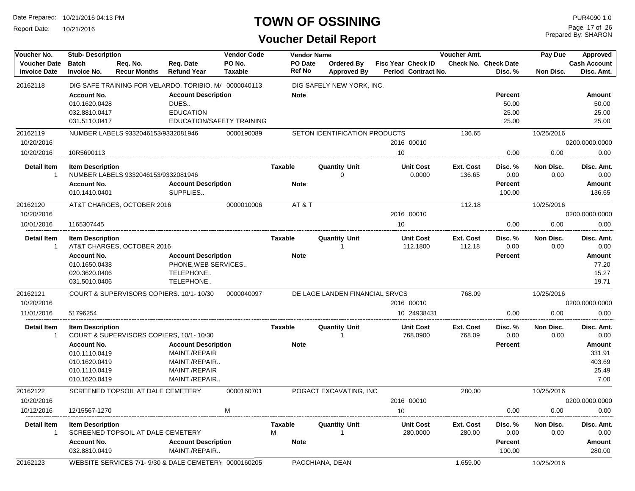Report Date: 10/21/2016

## **TOWN OF OSSINING**

Prepared By: SHARON Page 17 of 26

| Voucher No.                                | <b>Stub-Description</b>                                               |                                     |                                                                                     | <b>Vendor Code</b> |                          | <b>Vendor Name</b>                  |    |                                           | Voucher Amt.               |                                           | Pay Due           | Approved                          |
|--------------------------------------------|-----------------------------------------------------------------------|-------------------------------------|-------------------------------------------------------------------------------------|--------------------|--------------------------|-------------------------------------|----|-------------------------------------------|----------------------------|-------------------------------------------|-------------------|-----------------------------------|
| <b>Voucher Date</b><br><b>Invoice Date</b> | <b>Batch</b><br><b>Invoice No.</b>                                    | Reg. No.<br><b>Recur Months</b>     | Reg. Date<br><b>Refund Year</b>                                                     | PO No.<br>Taxable  | PO Date<br><b>Ref No</b> | Ordered By<br><b>Approved By</b>    |    | Fisc Year Check ID<br>Period Contract No. |                            | <b>Check No. Check Date</b><br>Disc. %    | Non Disc.         | <b>Cash Account</b><br>Disc. Amt. |
| 20162118                                   |                                                                       |                                     | DIG SAFE TRAINING FOR VELARDO, TORIBIO, M/ 0000040113                               |                    |                          | DIG SAFELY NEW YORK, INC.           |    |                                           |                            |                                           |                   |                                   |
|                                            | <b>Account No.</b><br>010.1620.0428<br>032.8810.0417<br>031.5110.0417 |                                     | <b>Account Description</b><br>DUES<br><b>EDUCATION</b><br>EDUCATION/SAFETY TRAINING |                    | <b>Note</b>              |                                     |    |                                           |                            | <b>Percent</b><br>50.00<br>25.00<br>25.00 |                   | Amount<br>50.00<br>25.00<br>25.00 |
| 20162119                                   |                                                                       | NUMBER LABELS 9332046153/9332081946 |                                                                                     | 0000190089         |                          | SETON IDENTIFICATION PRODUCTS       |    |                                           | 136.65                     |                                           | 10/25/2016        |                                   |
| 10/20/2016                                 |                                                                       |                                     |                                                                                     |                    |                          |                                     |    | 2016 00010                                |                            |                                           |                   | 0200.0000.0000                    |
| 10/20/2016                                 | 10R5690113                                                            |                                     |                                                                                     |                    |                          |                                     | 10 |                                           |                            | 0.00                                      | 0.00              | 0.00                              |
| <b>Detail Item</b><br>$\mathbf{1}$         | <b>Item Description</b>                                               | NUMBER LABELS 9332046153/9332081946 |                                                                                     |                    | Taxable                  | <b>Quantity Unit</b><br>$\mathbf 0$ |    | <b>Unit Cost</b><br>0.0000                | <b>Ext. Cost</b><br>136.65 | Disc. %<br>0.00                           | Non Disc.<br>0.00 | Disc. Amt.<br>0.00                |
|                                            | <b>Account No.</b><br>010.1410.0401                                   |                                     | <b>Account Description</b><br>SUPPLIES                                              |                    | <b>Note</b>              |                                     |    |                                           |                            | <b>Percent</b><br>100.00                  |                   | Amount<br>136.65                  |
| 20162120                                   |                                                                       | AT&T CHARGES, OCTOBER 2016          |                                                                                     | 0000010006         | AT&T                     |                                     |    |                                           | 112.18                     |                                           | 10/25/2016        |                                   |
| 10/20/2016                                 |                                                                       |                                     |                                                                                     |                    |                          |                                     |    | 2016 00010                                |                            |                                           |                   | 0200.0000.0000                    |
| 10/01/2016                                 | 1165307445                                                            |                                     |                                                                                     |                    |                          |                                     | 10 |                                           |                            | 0.00                                      | 0.00              | 0.00                              |
| <b>Detail Item</b><br>-1                   | <b>Item Description</b>                                               | AT&T CHARGES, OCTOBER 2016          |                                                                                     |                    | <b>Taxable</b>           | <b>Quantity Unit</b>                |    | <b>Unit Cost</b><br>112.1800              | Ext. Cost<br>112.18        | Disc. %<br>0.00                           | Non Disc.<br>0.00 | Disc. Amt.<br>0.00                |
|                                            | <b>Account No.</b><br>010.1650.0438<br>020.3620.0406<br>031.5010.0406 |                                     | <b>Account Description</b><br>PHONE, WEB SERVICES<br>TELEPHONE<br>TELEPHONE         |                    | <b>Note</b>              |                                     |    |                                           |                            | <b>Percent</b>                            |                   | Amount<br>77.20<br>15.27<br>19.71 |
| 20162121                                   |                                                                       |                                     | COURT & SUPERVISORS COPIERS, 10/1-10/30                                             | 0000040097         |                          | DE LAGE LANDEN FINANCIAL SRVCS      |    |                                           | 768.09                     |                                           | 10/25/2016        |                                   |
| 10/20/2016                                 |                                                                       |                                     |                                                                                     |                    |                          |                                     |    | 2016 00010                                |                            |                                           |                   | 0200.0000.0000                    |
| 11/01/2016                                 | 51796254                                                              |                                     |                                                                                     |                    |                          |                                     |    | 10 24938431                               |                            | 0.00                                      | 0.00              | 0.00                              |
| <b>Detail Item</b><br>-1                   | <b>Item Description</b>                                               |                                     | COURT & SUPERVISORS COPIERS, 10/1-10/30                                             |                    | <b>Taxable</b>           | <b>Quantity Unit</b>                |    | <b>Unit Cost</b><br>768.0900              | Ext. Cost<br>768.09        | Disc. %<br>0.00                           | Non Disc.<br>0.00 | Disc. Amt.<br>0.00                |
|                                            | <b>Account No.</b>                                                    |                                     | <b>Account Description</b>                                                          |                    | <b>Note</b>              |                                     |    |                                           |                            | <b>Percent</b>                            |                   | <b>Amount</b>                     |
|                                            | 010.1110.0419<br>010.1620.0419                                        |                                     | MAINT./REPAIR<br>MAINT./REPAIR                                                      |                    |                          |                                     |    |                                           |                            |                                           |                   | 331.91<br>403.69                  |
|                                            | 010.1110.0419                                                         |                                     | MAINT./REPAIR                                                                       |                    |                          |                                     |    |                                           |                            |                                           |                   | 25.49                             |
|                                            | 010.1620.0419                                                         |                                     | MAINT./REPAIR                                                                       |                    |                          |                                     |    |                                           |                            |                                           |                   | 7.00                              |
| 20162122                                   |                                                                       | SCREENED TOPSOIL AT DALE CEMETERY   |                                                                                     | 0000160701         |                          | POGACT EXCAVATING, INC              |    |                                           | 280.00                     |                                           | 10/25/2016        |                                   |
| 10/20/2016                                 |                                                                       |                                     |                                                                                     |                    |                          |                                     |    | 2016 00010                                |                            |                                           |                   | 0200.0000.0000                    |
| 10/12/2016                                 | 12/15567-1270                                                         |                                     |                                                                                     | M                  |                          |                                     | 10 |                                           |                            | 0.00                                      | 0.00              | 0.00                              |
| <b>Detail Item</b><br>-1                   | <b>Item Description</b>                                               | SCREENED TOPSOIL AT DALE CEMETERY   |                                                                                     |                    | <b>Taxable</b><br>M      | <b>Quantity Unit</b>                |    | <b>Unit Cost</b><br>280.0000              | Ext. Cost<br>280.00        | Disc. %<br>0.00                           | Non Disc.<br>0.00 | Disc. Amt.<br>0.00                |
|                                            | <b>Account No.</b><br>032.8810.0419                                   |                                     | <b>Account Description</b><br>MAINT./REPAIR                                         |                    | <b>Note</b>              |                                     |    |                                           |                            | <b>Percent</b><br>100.00                  |                   | <b>Amount</b><br>280.00           |
| 20162123                                   |                                                                       |                                     | WEBSITE SERVICES 7/1-9/30 & DALE CEMETERY 0000160205                                |                    |                          | PACCHIANA, DEAN                     |    |                                           | 1,659.00                   |                                           | 10/25/2016        |                                   |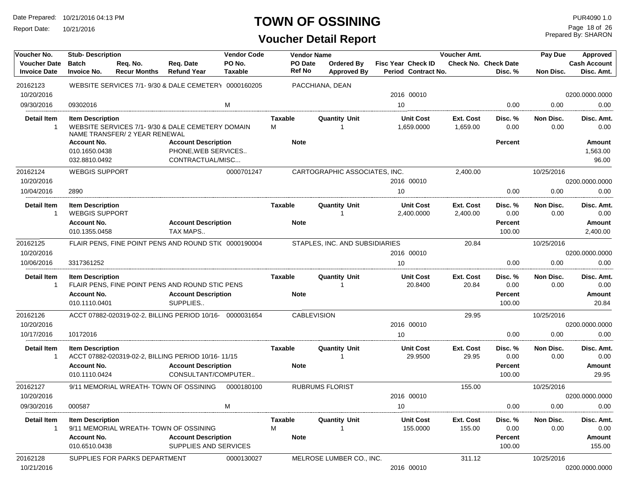Report Date: 10/21/2016

#### **TOWN OF OSSINING**

**Voucher Detail Report**

Prepared By: SHARON Page 18 of 26

| Voucher No.                                | <b>Stub-Description</b>                                        |                                 |                                                                                                         | <b>Vendor Code</b>       | <b>Vendor Name</b>            |                                  |                                                  | Voucher Amt.          |                                             | Pay Due           | Approved                                     |
|--------------------------------------------|----------------------------------------------------------------|---------------------------------|---------------------------------------------------------------------------------------------------------|--------------------------|-------------------------------|----------------------------------|--------------------------------------------------|-----------------------|---------------------------------------------|-------------------|----------------------------------------------|
| <b>Voucher Date</b><br><b>Invoice Date</b> | <b>Batch</b><br><b>Invoice No.</b>                             | Req. No.<br><b>Recur Months</b> | Req. Date<br><b>Refund Year</b>                                                                         | PO No.<br><b>Taxable</b> | PO Date<br>Ref No             | Ordered By<br><b>Approved By</b> | <b>Fisc Year Check ID</b><br>Period Contract No. |                       | <b>Check No. Check Date</b><br>Disc. %      | Non Disc.         | <b>Cash Account</b><br>Disc. Amt.            |
| 20162123                                   |                                                                |                                 | WEBSITE SERVICES 7/1-9/30 & DALE CEMETER \ 0000160205                                                   |                          |                               | PACCHIANA, DEAN                  |                                                  |                       |                                             |                   |                                              |
| 10/20/2016                                 |                                                                |                                 |                                                                                                         |                          |                               |                                  | 2016 00010                                       |                       |                                             |                   | 0200.0000.0000                               |
| 09/30/2016                                 | 09302016                                                       |                                 |                                                                                                         | M                        |                               |                                  | 10                                               |                       | 0.00                                        | 0.00              | 0.00                                         |
| <b>Detail Item</b>                         | <b>Item Description</b>                                        | NAME TRANSFER/ 2 YEAR RENEWAL   | WEBSITE SERVICES 7/1-9/30 & DALE CEMETERY DOMAIN                                                        |                          | Taxable<br>М                  | <b>Quantity Unit</b><br>1        | <b>Unit Cost</b><br>1,659.0000                   | Ext. Cost<br>1,659.00 | Disc. %<br>0.00                             | Non Disc.<br>0.00 | Disc. Amt.<br>0.00                           |
|                                            | <b>Account No.</b><br>010.1650.0438<br>032.8810.0492           |                                 | <b>Account Description</b><br>PHONE.WEB SERVICES<br>CONTRACTUAL/MISC                                    |                          | <b>Note</b>                   |                                  |                                                  |                       | <b>Percent</b>                              |                   | <b>Amount</b><br>1,563.00<br>96.00           |
| 20162124                                   | <b>WEBGIS SUPPORT</b>                                          |                                 |                                                                                                         | 0000701247               |                               | CARTOGRAPHIC ASSOCIATES, INC.    |                                                  | 2,400.00              |                                             | 10/25/2016        |                                              |
| 10/20/2016                                 |                                                                |                                 |                                                                                                         |                          |                               |                                  | 2016 00010                                       |                       |                                             |                   | 0200.0000.0000                               |
| 10/04/2016                                 | 2890                                                           |                                 |                                                                                                         |                          |                               |                                  | 10                                               |                       | 0.00                                        | 0.00              | 0.00                                         |
| <b>Detail Item</b><br>1                    | <b>Item Description</b><br><b>WEBGIS SUPPORT</b>               |                                 |                                                                                                         |                          | Taxable                       | <b>Quantity Unit</b><br>1        | <b>Unit Cost</b><br>2,400.0000                   | Ext. Cost<br>2,400.00 | Disc. %<br>0.00                             | Non Disc.<br>0.00 | Disc. Amt.<br>0.00                           |
|                                            | <b>Account No.</b>                                             |                                 | <b>Account Description</b>                                                                              |                          | <b>Note</b>                   |                                  |                                                  |                       | <b>Percent</b>                              |                   | Amount                                       |
|                                            | 010.1355.0458                                                  |                                 | TAX MAPS                                                                                                |                          |                               |                                  |                                                  |                       | 100.00                                      |                   | 2,400.00                                     |
| 20162125                                   |                                                                |                                 | FLAIR PENS. FINE POINT PENS AND ROUND STI( 0000190004                                                   |                          |                               | STAPLES, INC. AND SUBSIDIARIES   |                                                  | 20.84                 |                                             | 10/25/2016        |                                              |
| 10/20/2016                                 |                                                                |                                 |                                                                                                         |                          |                               |                                  | 2016 00010                                       |                       |                                             |                   | 0200.0000.0000                               |
| 10/06/2016                                 | 3317361252                                                     |                                 |                                                                                                         |                          |                               |                                  | 10                                               |                       | 0.00                                        | 0.00              | 0.00                                         |
| Detail Item<br>$\mathbf{1}$                | <b>Item Description</b><br><b>Account No.</b><br>010.1110.0401 |                                 | FLAIR PENS, FINE POINT PENS AND ROUND STIC PENS<br><b>Account Description</b><br>SUPPLIES               |                          | <b>Taxable</b><br><b>Note</b> | <b>Quantity Unit</b><br>-1       | <b>Unit Cost</b><br>20.8400                      | Ext. Cost<br>20.84    | Disc.%<br>0.00<br><b>Percent</b><br>100.00  | Non Disc.<br>0.00 | Disc. Amt.<br>0.00<br>Amount<br>20.84        |
| 20162126                                   |                                                                |                                 | ACCT 07882-020319-02-2, BILLING PERIOD 10/16- 0000031654                                                |                          | <b>CABLEVISION</b>            |                                  |                                                  | 29.95                 |                                             | 10/25/2016        |                                              |
| 10/20/2016                                 |                                                                |                                 |                                                                                                         |                          |                               |                                  | 2016 00010                                       |                       |                                             |                   | 0200.0000.0000                               |
| 10/17/2016                                 | 10172016                                                       |                                 |                                                                                                         |                          |                               |                                  | 10                                               |                       | 0.00                                        | 0.00              | 0.00                                         |
| Detail Item<br>$\mathbf{1}$                | <b>Item Description</b><br><b>Account No.</b><br>010.1110.0424 |                                 | ACCT 07882-020319-02-2, BILLING PERIOD 10/16-11/15<br><b>Account Description</b><br>CONSULTANT/COMPUTER |                          | Taxable<br><b>Note</b>        | <b>Quantity Unit</b><br>1        | <b>Unit Cost</b><br>29.9500                      | Ext. Cost<br>29.95    | Disc. %<br>0.00<br><b>Percent</b><br>100.00 | Non Disc.<br>0.00 | Disc. Amt.<br>0.00<br><b>Amount</b><br>29.95 |
| 20162127<br>10/20/2016                     |                                                                |                                 | 9/11 MEMORIAL WREATH- TOWN OF OSSINING                                                                  | 0000180100               |                               | <b>RUBRUMS FLORIST</b>           | 2016 00010                                       | 155.00                |                                             | 10/25/2016        | 0200.0000.0000                               |
| 09/30/2016                                 | 000587                                                         |                                 |                                                                                                         | М                        |                               |                                  | 10                                               |                       | 0.00                                        | 0.00              | 0.00                                         |
|                                            |                                                                |                                 |                                                                                                         |                          |                               |                                  |                                                  |                       |                                             |                   |                                              |
| Detail Item<br>$\mathbf{1}$                | <b>Item Description</b>                                        |                                 | 9/11 MEMORIAL WREATH- TOWN OF OSSINING                                                                  |                          | Taxable<br>М                  | <b>Quantity Unit</b>             | <b>Unit Cost</b><br>155.0000                     | Ext. Cost<br>155.00   | Disc. %<br>0.00                             | Non Disc.<br>0.00 | Disc. Amt.<br>0.00                           |
|                                            | <b>Account No.</b><br>010.6510.0438                            |                                 | <b>Account Description</b><br>SUPPLIES AND SERVICES                                                     |                          | <b>Note</b>                   |                                  |                                                  |                       | Percent<br>100.00                           |                   | Amount<br>155.00                             |
| 20162128<br>10/21/2016                     |                                                                | SUPPLIES FOR PARKS DEPARTMENT   |                                                                                                         | 0000130027               |                               | MELROSE LUMBER CO., INC.         | 2016 00010                                       | 311.12                |                                             | 10/25/2016        | 0200.0000.0000                               |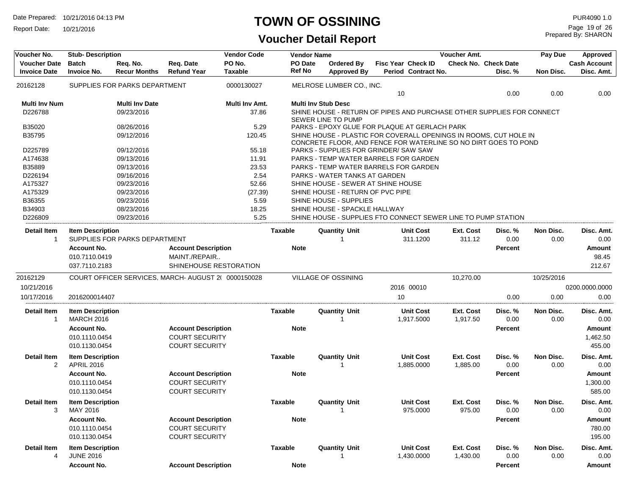Report Date: 10/21/2016

#### **TOWN OF OSSINING**

| Voucher No.                                | <b>Stub-Description</b>                      |                                 |                                                     | <b>Vendor Code</b>       |                   | <b>Vendor Name</b>                                                                                                                   |    |                                                  | Voucher Amt.          |                                        | Pay Due           | Approved                          |
|--------------------------------------------|----------------------------------------------|---------------------------------|-----------------------------------------------------|--------------------------|-------------------|--------------------------------------------------------------------------------------------------------------------------------------|----|--------------------------------------------------|-----------------------|----------------------------------------|-------------------|-----------------------------------|
| <b>Voucher Date</b><br><b>Invoice Date</b> | <b>Batch</b><br><b>Invoice No.</b>           | Req. No.<br><b>Recur Months</b> | Req. Date<br><b>Refund Year</b>                     | PO No.<br><b>Taxable</b> | PO Date<br>Ref No | Ordered By<br><b>Approved By</b>                                                                                                     |    | <b>Fisc Year Check ID</b><br>Period Contract No. |                       | <b>Check No. Check Date</b><br>Disc. % | Non Disc.         | <b>Cash Account</b><br>Disc. Amt. |
| 20162128                                   |                                              | SUPPLIES FOR PARKS DEPARTMENT   |                                                     | 0000130027               |                   | MELROSE LUMBER CO., INC.                                                                                                             | 10 |                                                  |                       | 0.00                                   | 0.00              | 0.00                              |
| Multi Inv Num                              |                                              | <b>Multi Inv Date</b>           |                                                     | Multi Inv Amt.           |                   | <b>Multi Inv Stub Desc</b>                                                                                                           |    |                                                  |                       |                                        |                   |                                   |
| D226788                                    |                                              | 09/23/2016                      |                                                     | 37.86                    |                   | SHINE HOUSE - RETURN OF PIPES AND PURCHASE OTHER SUPPLIES FOR CONNECT<br><b>SEWER LINE TO PUMP</b>                                   |    |                                                  |                       |                                        |                   |                                   |
| B35020                                     |                                              | 08/26/2016                      |                                                     | 5.29                     |                   | PARKS - EPOXY GLUE FOR PLAQUE AT GERLACH PARK                                                                                        |    |                                                  |                       |                                        |                   |                                   |
| B35795                                     |                                              | 09/12/2016                      |                                                     | 120.45                   |                   | SHINE HOUSE - PLASTIC FOR COVERALL OPENINGS IN ROOMS, CUT HOLE IN<br>CONCRETE FLOOR, AND FENCE FOR WATERLINE SO NO DIRT GOES TO POND |    |                                                  |                       |                                        |                   |                                   |
| D225789                                    |                                              | 09/12/2016                      |                                                     | 55.18                    |                   | PARKS - SUPPLIES FOR GRINDER/ SAW SAW                                                                                                |    |                                                  |                       |                                        |                   |                                   |
| A174638                                    |                                              | 09/13/2016                      |                                                     | 11.91                    |                   | PARKS - TEMP WATER BARRELS FOR GARDEN                                                                                                |    |                                                  |                       |                                        |                   |                                   |
| B35889                                     |                                              | 09/13/2016                      |                                                     | 23.53                    |                   | PARKS - TEMP WATER BARRELS FOR GARDEN                                                                                                |    |                                                  |                       |                                        |                   |                                   |
| D226194                                    |                                              | 09/16/2016                      |                                                     | 2.54                     |                   | PARKS - WATER TANKS AT GARDEN                                                                                                        |    |                                                  |                       |                                        |                   |                                   |
| A175327                                    |                                              | 09/23/2016                      |                                                     | 52.66                    |                   | SHINE HOUSE - SEWER AT SHINE HOUSE                                                                                                   |    |                                                  |                       |                                        |                   |                                   |
| A175329                                    |                                              | 09/23/2016                      |                                                     | (27.39)                  |                   | SHINE HOUSE - RETURN OF PVC PIPE                                                                                                     |    |                                                  |                       |                                        |                   |                                   |
| B36355                                     |                                              | 09/23/2016                      |                                                     | 5.59                     |                   | SHINE HOUSE - SUPPLIES                                                                                                               |    |                                                  |                       |                                        |                   |                                   |
| B34903                                     |                                              | 08/23/2016                      |                                                     | 18.25                    |                   | SHINE HOUSE - SPACKLE HALLWAY                                                                                                        |    |                                                  |                       |                                        |                   |                                   |
| D226809                                    |                                              | 09/23/2016                      |                                                     | 5.25                     |                   | SHINE HOUSE - SUPPLIES FTO CONNECT SEWER LINE TO PUMP STATION                                                                        |    |                                                  |                       |                                        |                   |                                   |
| Detail Item<br>$\mathbf{1}$                | <b>Item Description</b>                      | SUPPLIES FOR PARKS DEPARTMENT   |                                                     |                          | Taxable           | <b>Quantity Unit</b>                                                                                                                 |    | <b>Unit Cost</b><br>311.1200                     | Ext. Cost<br>311.12   | Disc. %<br>0.00                        | Non Disc.<br>0.00 | Disc. Amt.<br>0.00                |
|                                            |                                              |                                 |                                                     |                          |                   |                                                                                                                                      |    |                                                  |                       |                                        |                   |                                   |
|                                            | <b>Account No.</b>                           |                                 | <b>Account Description</b>                          |                          | <b>Note</b>       |                                                                                                                                      |    |                                                  |                       | <b>Percent</b>                         |                   | <b>Amount</b>                     |
|                                            | 010.7110.0419<br>037.7110.2183               |                                 | MAINT./REPAIR<br>SHINEHOUSE RESTORATION             |                          |                   |                                                                                                                                      |    |                                                  |                       |                                        |                   | 98.45                             |
|                                            |                                              |                                 |                                                     |                          |                   |                                                                                                                                      |    |                                                  |                       |                                        |                   | 212.67                            |
| 20162129                                   |                                              |                                 | COURT OFFICER SERVICES, MARCH- AUGUST 2( 0000150028 |                          |                   | VILLAGE OF OSSINING                                                                                                                  |    |                                                  | 10,270.00             |                                        | 10/25/2016        |                                   |
| 10/21/2016                                 |                                              |                                 |                                                     |                          |                   |                                                                                                                                      |    | 2016 00010                                       |                       |                                        |                   | 0200.0000.0000                    |
| 10/17/2016                                 | 2016200014407                                |                                 |                                                     |                          |                   |                                                                                                                                      | 10 |                                                  |                       | 0.00                                   | 0.00              | 0.00                              |
| Detail Item                                | <b>Item Description</b>                      |                                 |                                                     |                          | <b>Taxable</b>    | <b>Quantity Unit</b>                                                                                                                 |    | <b>Unit Cost</b>                                 | <b>Ext. Cost</b>      | Disc. %                                | Non Disc.         | Disc. Amt.                        |
| 1                                          | <b>MARCH 2016</b>                            |                                 |                                                     |                          |                   | -1                                                                                                                                   |    | 1,917.5000                                       | 1,917.50              | 0.00                                   | 0.00              | 0.00                              |
|                                            | <b>Account No.</b>                           |                                 | <b>Account Description</b>                          |                          | <b>Note</b>       |                                                                                                                                      |    |                                                  |                       | Percent                                |                   | Amount                            |
|                                            | 010.1110.0454                                |                                 | <b>COURT SECURITY</b>                               |                          |                   |                                                                                                                                      |    |                                                  |                       |                                        |                   | 1,462.50                          |
|                                            | 010.1130.0454                                |                                 | <b>COURT SECURITY</b>                               |                          |                   |                                                                                                                                      |    |                                                  |                       |                                        |                   | 455.00                            |
| <b>Detail Item</b><br>2                    | <b>Item Description</b><br><b>APRIL 2016</b> |                                 |                                                     |                          | <b>Taxable</b>    | <b>Quantity Unit</b>                                                                                                                 |    | <b>Unit Cost</b><br>1,885.0000                   | Ext. Cost<br>1,885.00 | Disc. %<br>0.00                        | Non Disc.<br>0.00 | Disc. Amt.<br>0.00                |
|                                            | <b>Account No.</b>                           |                                 | <b>Account Description</b>                          |                          | <b>Note</b>       |                                                                                                                                      |    |                                                  |                       | Percent                                |                   | <b>Amount</b>                     |
|                                            | 010.1110.0454                                |                                 | <b>COURT SECURITY</b>                               |                          |                   |                                                                                                                                      |    |                                                  |                       |                                        |                   | 1,300.00                          |
|                                            | 010.1130.0454                                |                                 | <b>COURT SECURITY</b>                               |                          |                   |                                                                                                                                      |    |                                                  |                       |                                        |                   | 585.00                            |
|                                            |                                              |                                 |                                                     |                          |                   |                                                                                                                                      |    |                                                  |                       |                                        |                   |                                   |
| Detail Item                                | <b>Item Description</b>                      |                                 |                                                     |                          | <b>Taxable</b>    | <b>Quantity Unit</b>                                                                                                                 |    | Unit Cost                                        | Ext. Cost             | Disc. %                                | Non Disc.         | Disc. Amt.                        |
| 3                                          | MAY 2016                                     |                                 |                                                     |                          |                   |                                                                                                                                      |    | 975.0000                                         | 975.00                | 0.00                                   | 0.00              | 0.00                              |
|                                            | <b>Account No.</b>                           |                                 | <b>Account Description</b>                          |                          | <b>Note</b>       |                                                                                                                                      |    |                                                  |                       | Percent                                |                   | Amount                            |
|                                            | 010.1110.0454                                |                                 | <b>COURT SECURITY</b>                               |                          |                   |                                                                                                                                      |    |                                                  |                       |                                        |                   | 780.00                            |
|                                            | 010.1130.0454                                |                                 | <b>COURT SECURITY</b>                               |                          |                   |                                                                                                                                      |    |                                                  |                       |                                        |                   | 195.00                            |
| <b>Detail Item</b>                         | <b>Item Description</b>                      |                                 |                                                     |                          | <b>Taxable</b>    | <b>Quantity Unit</b>                                                                                                                 |    | <b>Unit Cost</b>                                 | Ext. Cost             | Disc. %                                | Non Disc.         | Disc. Amt.                        |
| 4                                          | <b>JUNE 2016</b>                             |                                 |                                                     |                          |                   |                                                                                                                                      |    | 1,430.0000                                       | 1,430.00              | 0.00                                   | 0.00              | 0.00                              |
|                                            | <b>Account No.</b>                           |                                 | <b>Account Description</b>                          |                          | <b>Note</b>       |                                                                                                                                      |    |                                                  |                       | Percent                                |                   | Amount                            |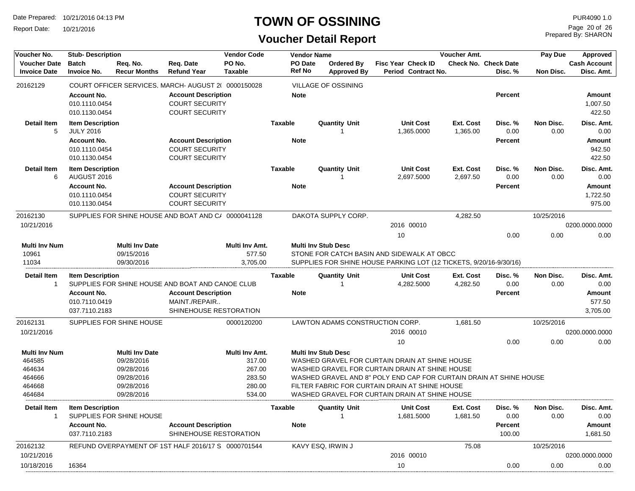Report Date: 10/21/2016

#### **TOWN OF OSSINING**

| Voucher No.                                | <b>Stub-Description</b>                     |                                 | <b>Vendor Code</b>                                  |                          | <b>Vendor Name</b>       |                            |                                  |                                                                    | Voucher Amt.                   |                       | Pay Due                                | Approved          |                                   |
|--------------------------------------------|---------------------------------------------|---------------------------------|-----------------------------------------------------|--------------------------|--------------------------|----------------------------|----------------------------------|--------------------------------------------------------------------|--------------------------------|-----------------------|----------------------------------------|-------------------|-----------------------------------|
| <b>Voucher Date</b><br><b>Invoice Date</b> | <b>Batch</b><br><b>Invoice No.</b>          | Reg. No.<br><b>Recur Months</b> | Req. Date<br><b>Refund Year</b>                     | PO No.<br><b>Taxable</b> | PO Date<br><b>Ref No</b> |                            | Ordered By<br><b>Approved By</b> | <b>Fisc Year Check ID</b>                                          | Period Contract No.            |                       | <b>Check No. Check Date</b><br>Disc. % | Non Disc.         | <b>Cash Account</b><br>Disc. Amt. |
| 20162129                                   |                                             |                                 | COURT OFFICER SERVICES, MARCH- AUGUST 2( 0000150028 |                          |                          | <b>VILLAGE OF OSSINING</b> |                                  |                                                                    |                                |                       |                                        |                   |                                   |
|                                            | <b>Account No.</b>                          |                                 | <b>Account Description</b>                          |                          | <b>Note</b>              |                            |                                  |                                                                    |                                |                       | <b>Percent</b>                         |                   | Amount                            |
|                                            | 010.1110.0454                               |                                 | <b>COURT SECURITY</b>                               |                          |                          |                            |                                  |                                                                    |                                |                       |                                        |                   | 1,007.50                          |
|                                            | 010.1130.0454                               |                                 | <b>COURT SECURITY</b>                               |                          |                          |                            |                                  |                                                                    |                                |                       |                                        |                   | 422.50                            |
| <b>Detail Item</b><br>5                    | <b>Item Description</b><br><b>JULY 2016</b> |                                 |                                                     |                          | Taxable                  | <b>Quantity Unit</b>       |                                  |                                                                    | <b>Unit Cost</b><br>1,365.0000 | Ext. Cost<br>1,365.00 | Disc. %<br>0.00                        | Non Disc.<br>0.00 | Disc. Amt.<br>0.00                |
|                                            | <b>Account No.</b>                          |                                 | <b>Account Description</b>                          |                          | <b>Note</b>              |                            |                                  |                                                                    |                                |                       | <b>Percent</b>                         |                   | Amount                            |
|                                            | 010.1110.0454                               |                                 | <b>COURT SECURITY</b>                               |                          |                          |                            |                                  |                                                                    |                                |                       |                                        |                   | 942.50                            |
|                                            | 010.1130.0454                               |                                 | <b>COURT SECURITY</b>                               |                          |                          |                            |                                  |                                                                    |                                |                       |                                        |                   | 422.50                            |
| <b>Detail Item</b><br>6                    | <b>Item Description</b><br>AUGUST 2016      |                                 |                                                     |                          | <b>Taxable</b>           | <b>Quantity Unit</b>       |                                  |                                                                    | <b>Unit Cost</b><br>2,697.5000 | Ext. Cost<br>2,697.50 | Disc. %<br>0.00                        | Non Disc.<br>0.00 | Disc. Amt.<br>0.00                |
|                                            | <b>Account No.</b>                          |                                 | <b>Account Description</b>                          |                          | <b>Note</b>              |                            |                                  |                                                                    |                                |                       | <b>Percent</b>                         |                   | Amount                            |
|                                            | 010.1110.0454                               |                                 | <b>COURT SECURITY</b>                               |                          |                          |                            |                                  |                                                                    |                                |                       |                                        |                   | 1,722.50                          |
|                                            | 010.1130.0454                               |                                 | <b>COURT SECURITY</b>                               |                          |                          |                            |                                  |                                                                    |                                |                       |                                        |                   | 975.00                            |
| 20162130                                   |                                             |                                 | SUPPLIES FOR SHINE HOUSE AND BOAT AND C/ 0000041128 |                          |                          | DAKOTA SUPPLY CORP.        |                                  |                                                                    |                                | 4,282.50              |                                        | 10/25/2016        |                                   |
| 10/21/2016                                 |                                             |                                 |                                                     |                          |                          |                            |                                  | 2016 00010                                                         |                                |                       |                                        |                   | 0200.0000.0000                    |
|                                            |                                             |                                 |                                                     |                          |                          |                            |                                  | 10                                                                 |                                |                       | 0.00                                   | 0.00              | 0.00                              |
| <b>Multi Inv Num</b>                       |                                             | <b>Multi Inv Date</b>           |                                                     | Multi Inv Amt.           |                          | <b>Multi Inv Stub Desc</b> |                                  |                                                                    |                                |                       |                                        |                   |                                   |
| 10961                                      |                                             | 09/15/2016                      |                                                     | 577.50                   |                          |                            |                                  | STONE FOR CATCH BASIN AND SIDEWALK AT OBCC                         |                                |                       |                                        |                   |                                   |
| 11034                                      |                                             | 09/30/2016                      |                                                     | 3,705.00                 |                          |                            |                                  | SUPPLIES FOR SHINE HOUSE PARKING LOT (12 TICKETS, 9/20/16-9/30/16) |                                |                       |                                        |                   |                                   |
| <b>Detail Item</b><br>$\overline{1}$       | <b>Item Description</b>                     |                                 | SUPPLIES FOR SHINE HOUSE AND BOAT AND CANOE CLUB    |                          | Taxable                  | <b>Quantity Unit</b>       |                                  |                                                                    | <b>Unit Cost</b><br>4,282.5000 | Ext. Cost<br>4,282.50 | Disc. %<br>0.00                        | Non Disc.<br>0.00 | Disc. Amt.<br>0.00                |
|                                            | <b>Account No.</b>                          |                                 | <b>Account Description</b>                          |                          | <b>Note</b>              |                            |                                  |                                                                    |                                |                       | <b>Percent</b>                         |                   | Amount                            |
|                                            | 010.7110.0419                               |                                 | MAINT./REPAIR                                       |                          |                          |                            |                                  |                                                                    |                                |                       |                                        |                   | 577.50                            |
|                                            | 037.7110.2183                               |                                 | SHINEHOUSE RESTORATION                              |                          |                          |                            |                                  |                                                                    |                                |                       |                                        |                   | 3,705.00                          |
| 20162131                                   |                                             | SUPPLIES FOR SHINE HOUSE        |                                                     | 0000120200               |                          |                            |                                  | LAWTON ADAMS CONSTRUCTION CORP.                                    |                                | 1,681.50              |                                        | 10/25/2016        |                                   |
| 10/21/2016                                 |                                             |                                 |                                                     |                          |                          |                            |                                  | 2016 00010                                                         |                                |                       |                                        |                   | 0200.0000.0000                    |
|                                            |                                             |                                 |                                                     |                          |                          |                            |                                  | 10                                                                 |                                |                       | 0.00                                   | 0.00              | 0.00                              |
| <b>Multi Inv Num</b>                       |                                             | <b>Multi Inv Date</b>           |                                                     | Multi Inv Amt.           |                          | <b>Multi Inv Stub Desc</b> |                                  |                                                                    |                                |                       |                                        |                   |                                   |
| 464585                                     |                                             | 09/28/2016                      |                                                     | 317.00                   |                          |                            |                                  | WASHED GRAVEL FOR CURTAIN DRAIN AT SHINE HOUSE                     |                                |                       |                                        |                   |                                   |
| 464634                                     |                                             | 09/28/2016                      |                                                     | 267.00                   |                          |                            |                                  | WASHED GRAVEL FOR CURTAIN DRAIN AT SHINE HOUSE                     |                                |                       |                                        |                   |                                   |
| 464666                                     |                                             | 09/28/2016                      |                                                     | 283.50                   |                          |                            |                                  | WASHED GRAVEL AND 8" POLY END CAP FOR CURTAIN DRAIN AT SHINE HOUSE |                                |                       |                                        |                   |                                   |
| 464668                                     |                                             | 09/28/2016                      |                                                     | 280.00                   |                          |                            |                                  | FILTER FABRIC FOR CURTAIN DRAIN AT SHINE HOUSE                     |                                |                       |                                        |                   |                                   |
| 464684                                     |                                             | 09/28/2016                      |                                                     | 534.00                   |                          |                            |                                  | WASHED GRAVEL FOR CURTAIN DRAIN AT SHINE HOUSE                     |                                |                       |                                        |                   |                                   |
| Detail Item<br>$\overline{1}$              | <b>Item Description</b>                     | SUPPLIES FOR SHINE HOUSE        |                                                     |                          | Taxable                  | <b>Quantity Unit</b>       |                                  |                                                                    | <b>Unit Cost</b><br>1,681.5000 | Ext. Cost<br>1,681.50 | Disc. %<br>0.00                        | Non Disc.<br>0.00 | Disc. Amt.<br>0.00                |
|                                            | <b>Account No.</b>                          |                                 | <b>Account Description</b>                          |                          | <b>Note</b>              |                            |                                  |                                                                    |                                |                       | Percent                                |                   | Amount                            |
|                                            | 037.7110.2183                               |                                 | SHINEHOUSE RESTORATION                              |                          |                          |                            |                                  |                                                                    |                                |                       | 100.00                                 |                   | 1,681.50                          |
| 20162132                                   |                                             |                                 | REFUND OVERPAYMENT OF 1ST HALF 2016/17 S 0000701544 |                          |                          | KAVY ESQ, IRWIN J          |                                  |                                                                    |                                | 75.08                 |                                        | 10/25/2016        |                                   |
| 10/21/2016                                 |                                             |                                 |                                                     |                          |                          |                            |                                  | 2016 00010                                                         |                                |                       |                                        |                   | 0200.0000.0000                    |
| 10/18/2016                                 | 16364                                       |                                 |                                                     |                          |                          |                            |                                  | 10                                                                 |                                |                       | 0.00                                   | 0.00              | 0.00                              |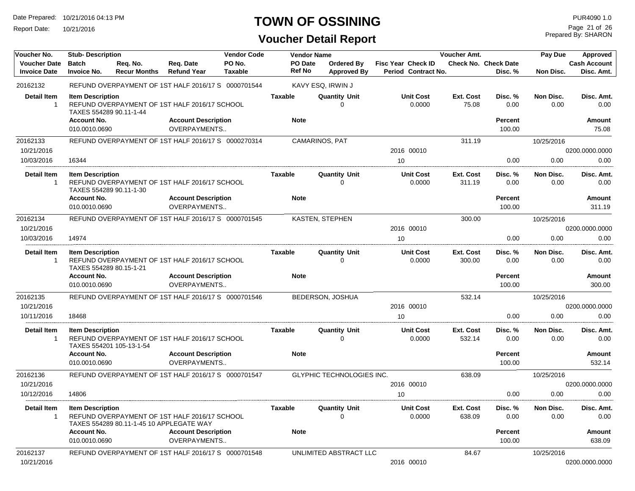Report Date: 10/21/2016

## **TOWN OF OSSINING**

## **Voucher Detail Report**

Prepared By: SHARON Page 21 of 26

| Voucher No.                                | <b>Stub-Description</b><br><b>Vendor Code</b><br><b>Vendor Name</b>      |                                 |                                                                                           |                   |                               | Voucher Amt.                            |                                                  | Pay Due                   | Approved                               |                   |                                   |
|--------------------------------------------|--------------------------------------------------------------------------|---------------------------------|-------------------------------------------------------------------------------------------|-------------------|-------------------------------|-----------------------------------------|--------------------------------------------------|---------------------------|----------------------------------------|-------------------|-----------------------------------|
| <b>Voucher Date</b><br><b>Invoice Date</b> | <b>Batch</b><br><b>Invoice No.</b>                                       | Reg. No.<br><b>Recur Months</b> | Req. Date<br><b>Refund Year</b>                                                           | PO No.<br>Taxable | PO Date<br><b>Ref No</b>      | <b>Ordered By</b><br><b>Approved By</b> | <b>Fisc Year Check ID</b><br>Period Contract No. |                           | <b>Check No. Check Date</b><br>Disc. % | Non Disc.         | <b>Cash Account</b><br>Disc. Amt. |
| 20162132                                   |                                                                          |                                 | REFUND OVERPAYMENT OF 1ST HALF 2016/17 S 0000701544                                       |                   |                               | KAVY ESQ, IRWIN J                       |                                                  |                           |                                        |                   |                                   |
| <b>Detail Item</b><br>$\mathbf{1}$         | <b>Item Description</b><br>TAXES 554289 90.11-1-44<br><b>Account No.</b> |                                 | REFUND OVERPAYMENT OF 1ST HALF 2016/17 SCHOOL<br><b>Account Description</b>               |                   | <b>Taxable</b><br><b>Note</b> | <b>Quantity Unit</b><br>$\Omega$        | <b>Unit Cost</b><br>0.0000                       | <b>Ext. Cost</b><br>75.08 | Disc. %<br>0.00<br><b>Percent</b>      | Non Disc.<br>0.00 | Disc. Amt.<br>0.00<br>Amount      |
|                                            | 010.0010.0690                                                            |                                 | OVERPAYMENTS                                                                              |                   |                               |                                         |                                                  |                           | 100.00                                 |                   | 75.08                             |
| 20162133                                   |                                                                          |                                 | REFUND OVERPAYMENT OF 1ST HALF 2016/17 S 0000270314                                       |                   |                               | CAMARINOS, PAT                          |                                                  | 311.19                    |                                        | 10/25/2016        |                                   |
| 10/21/2016<br>10/03/2016                   | 16344                                                                    |                                 |                                                                                           |                   |                               |                                         | 2016 00010<br>10                                 |                           | 0.00                                   | 0.00              | 0200.0000.0000<br>0.00            |
|                                            |                                                                          |                                 |                                                                                           |                   | <b>Taxable</b>                | <b>Quantity Unit</b>                    | <b>Unit Cost</b>                                 | <b>Ext. Cost</b>          | Disc. %                                | Non Disc.         |                                   |
| Detail Item<br>$\mathbf{1}$                | <b>Item Description</b><br>TAXES 554289 90.11-1-30                       |                                 | REFUND OVERPAYMENT OF 1ST HALF 2016/17 SCHOOL                                             |                   |                               | $\Omega$                                | 0.0000                                           | 311.19                    | 0.00                                   | 0.00              | Disc. Amt.<br>0.00                |
|                                            | <b>Account No.</b><br>010.0010.0690                                      |                                 | <b>Account Description</b><br><b>OVERPAYMENTS</b>                                         |                   | <b>Note</b>                   |                                         |                                                  |                           | <b>Percent</b><br>100.00               |                   | <b>Amount</b><br>311.19           |
| 20162134                                   |                                                                          |                                 | REFUND OVERPAYMENT OF 1ST HALF 2016/17 S 0000701545                                       |                   |                               | <b>KASTEN, STEPHEN</b>                  |                                                  | 300.00                    |                                        | 10/25/2016        |                                   |
| 10/21/2016                                 |                                                                          |                                 |                                                                                           |                   |                               |                                         | 2016 00010                                       |                           |                                        |                   | 0200.0000.0000                    |
| 10/03/2016                                 | 14974                                                                    |                                 |                                                                                           |                   |                               |                                         | 10                                               |                           | 0.00                                   | 0.00              | 0.00                              |
| Detail Item<br>-1                          | <b>Item Description</b><br>TAXES 554289 80.15-1-21                       |                                 | REFUND OVERPAYMENT OF 1ST HALF 2016/17 SCHOOL                                             |                   | Taxable                       | <b>Quantity Unit</b><br>$\Omega$        | <b>Unit Cost</b><br>0.0000                       | Ext. Cost<br>300.00       | Disc. %<br>0.00                        | Non Disc.<br>0.00 | Disc. Amt.<br>0.00                |
|                                            | <b>Account No.</b><br>010.0010.0690                                      |                                 | <b>Account Description</b><br>OVERPAYMENTS                                                |                   | <b>Note</b>                   |                                         |                                                  |                           | <b>Percent</b><br>100.00               |                   | <b>Amount</b><br>300.00           |
| 20162135                                   |                                                                          |                                 | REFUND OVERPAYMENT OF 1ST HALF 2016/17 S 0000701546                                       |                   |                               | BEDERSON, JOSHUA                        |                                                  | 532.14                    |                                        | 10/25/2016        |                                   |
| 10/21/2016                                 |                                                                          |                                 |                                                                                           |                   |                               |                                         | 2016 00010                                       |                           |                                        |                   | 0200.0000.0000                    |
| 10/11/2016                                 | 18468                                                                    |                                 |                                                                                           |                   |                               |                                         | 10                                               |                           | 0.00                                   | 0.00              | 0.00                              |
| <b>Detail Item</b><br>$\mathbf{1}$         | <b>Item Description</b>                                                  | TAXES 554201 105-13-1-54        | REFUND OVERPAYMENT OF 1ST HALF 2016/17 SCHOOL                                             |                   | Taxable                       | <b>Quantity Unit</b><br>$\Omega$        | <b>Unit Cost</b><br>0.0000                       | Ext. Cost<br>532.14       | Disc. %<br>0.00                        | Non Disc.<br>0.00 | Disc. Amt.<br>0.00                |
|                                            | <b>Account No.</b><br>010.0010.0690                                      |                                 | <b>Account Description</b><br><b>OVERPAYMENTS</b>                                         |                   | <b>Note</b>                   |                                         |                                                  |                           | <b>Percent</b><br>100.00               |                   | Amount<br>532.14                  |
| 20162136                                   |                                                                          |                                 | REFUND OVERPAYMENT OF 1ST HALF 2016/17 S 0000701547                                       |                   |                               | <b>GLYPHIC TECHNOLOGIES INC.</b>        |                                                  | 638.09                    |                                        | 10/25/2016        |                                   |
| 10/21/2016                                 |                                                                          |                                 |                                                                                           |                   |                               |                                         | 2016 00010                                       |                           |                                        |                   | 0200.0000.0000                    |
| 10/12/2016                                 | 14806                                                                    |                                 |                                                                                           |                   |                               |                                         | 10                                               |                           | 0.00                                   | 0.00              | 0.00                              |
| <b>Detail Item</b><br>-1                   | <b>Item Description</b>                                                  |                                 | REFUND OVERPAYMENT OF 1ST HALF 2016/17 SCHOOL<br>TAXES 554289 80.11-1-45 10 APPLEGATE WAY |                   | <b>Taxable</b>                | <b>Quantity Unit</b><br><sup>0</sup>    | <b>Unit Cost</b><br>0.0000                       | Ext. Cost<br>638.09       | Disc. %<br>0.00                        | Non Disc.<br>0.00 | Disc. Amt.<br>0.00                |
|                                            | <b>Account No.</b>                                                       |                                 | <b>Account Description</b>                                                                |                   | <b>Note</b>                   |                                         |                                                  |                           | <b>Percent</b>                         |                   | <b>Amount</b>                     |
|                                            | 010.0010.0690                                                            |                                 | OVERPAYMENTS                                                                              |                   |                               |                                         |                                                  |                           | 100.00                                 |                   | 638.09                            |
| 20162137<br>10/21/2016                     |                                                                          |                                 | REFUND OVERPAYMENT OF 1ST HALF 2016/17 S 0000701548                                       |                   |                               | UNLIMITED ABSTRACT LLC                  | 2016 00010                                       | 84.67                     |                                        | 10/25/2016        | 0200.0000.0000                    |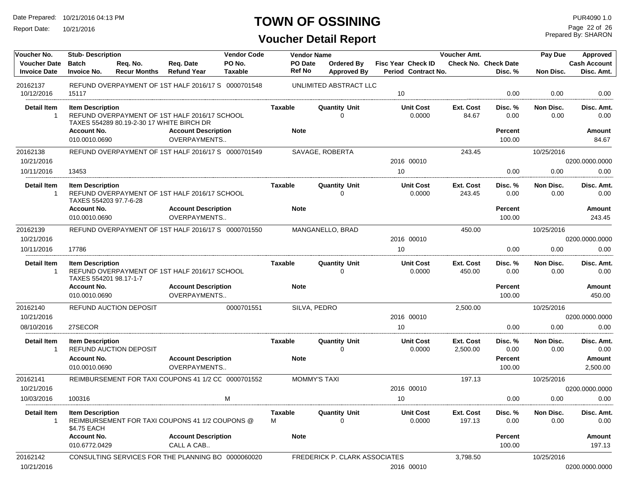Report Date: 10/21/2016

# **TOWN OF OSSINING**

Prepared By: SHARON Page 22 of 26

| Voucher No.                                | <b>Stub-Description</b>                           |                                           |                                                     | <b>Vendor Code</b> |                          | <b>Vendor Name</b>               |                                                  | Voucher Amt.          |                                 | Pay Due           | Approved                          |
|--------------------------------------------|---------------------------------------------------|-------------------------------------------|-----------------------------------------------------|--------------------|--------------------------|----------------------------------|--------------------------------------------------|-----------------------|---------------------------------|-------------------|-----------------------------------|
| <b>Voucher Date</b><br><b>Invoice Date</b> | <b>Batch</b><br><b>Invoice No.</b>                | Reg. No.<br><b>Recur Months</b>           | Reg. Date<br><b>Refund Year</b>                     | PO No.<br>Taxable  | PO Date<br><b>Ref No</b> | Ordered By<br><b>Approved By</b> | <b>Fisc Year Check ID</b><br>Period Contract No. |                       | Check No. Check Date<br>Disc. % | Non Disc.         | <b>Cash Account</b><br>Disc. Amt. |
| 20162137                                   |                                                   |                                           | REFUND OVERPAYMENT OF 1ST HALF 2016/17 S 0000701548 |                    |                          | UNLIMITED ABSTRACT LLC           |                                                  |                       |                                 |                   |                                   |
| 10/12/2016                                 | 15117                                             |                                           |                                                     |                    |                          |                                  | 10                                               |                       | 0.00                            | 0.00              | 0.00                              |
| <b>Detail Item</b><br>$\mathbf{1}$         | <b>Item Description</b>                           | TAXES 554289 80.19-2-30 17 WHITE BIRCH DR | REFUND OVERPAYMENT OF 1ST HALF 2016/17 SCHOOL       |                    | <b>Taxable</b>           | <b>Quantity Unit</b><br>$\Omega$ | <b>Unit Cost</b><br>0.0000                       | Ext. Cost<br>84.67    | Disc. %<br>0.00                 | Non Disc.<br>0.00 | Disc. Amt.<br>0.00                |
|                                            | <b>Account No.</b><br>010.0010.0690               |                                           | <b>Account Description</b><br>OVERPAYMENTS          |                    | <b>Note</b>              |                                  |                                                  |                       | <b>Percent</b><br>100.00        |                   | <b>Amount</b><br>84.67            |
| 20162138                                   |                                                   |                                           | REFUND OVERPAYMENT OF 1ST HALF 2016/17 S 0000701549 |                    |                          | SAVAGE, ROBERTA                  |                                                  | 243.45                |                                 | 10/25/2016        |                                   |
| 10/21/2016                                 |                                                   |                                           |                                                     |                    |                          |                                  | 2016 00010                                       |                       |                                 |                   | 0200.0000.0000                    |
| 10/11/2016                                 | 13453                                             |                                           |                                                     |                    |                          |                                  | 10                                               |                       | 0.00                            | 0.00              | 0.00                              |
| <b>Detail Item</b><br>$\overline{1}$       | <b>Item Description</b><br>TAXES 554203 97.7-6-28 |                                           | REFUND OVERPAYMENT OF 1ST HALF 2016/17 SCHOOL       |                    | <b>Taxable</b>           | <b>Quantity Unit</b><br>$\Omega$ | <b>Unit Cost</b><br>0.0000                       | Ext. Cost<br>243.45   | Disc. %<br>0.00                 | Non Disc.<br>0.00 | Disc. Amt.<br>0.00                |
|                                            | <b>Account No.</b><br>010.0010.0690               |                                           | <b>Account Description</b><br><b>OVERPAYMENTS</b>   |                    | <b>Note</b>              |                                  |                                                  |                       | <b>Percent</b><br>100.00        |                   | <b>Amount</b><br>243.45           |
| 20162139                                   |                                                   |                                           | REFUND OVERPAYMENT OF 1ST HALF 2016/17 S 0000701550 |                    |                          | MANGANELLO, BRAD                 |                                                  | 450.00                |                                 | 10/25/2016        |                                   |
| 10/21/2016                                 |                                                   |                                           |                                                     |                    |                          |                                  | 2016 00010                                       |                       |                                 |                   | 0200.0000.0000                    |
| 10/11/2016                                 | 17786                                             |                                           |                                                     |                    |                          |                                  | 10                                               |                       | 0.00                            | 0.00              | 0.00                              |
| <b>Detail Item</b><br>$\overline{1}$       | <b>Item Description</b><br>TAXES 554201 98.17-1-7 |                                           | REFUND OVERPAYMENT OF 1ST HALF 2016/17 SCHOOL       |                    | <b>Taxable</b>           | <b>Quantity Unit</b><br>$\Omega$ | <b>Unit Cost</b><br>0.0000                       | Ext. Cost<br>450.00   | Disc. %<br>0.00                 | Non Disc.<br>0.00 | Disc. Amt.<br>0.00                |
|                                            | Account No.<br>010.0010.0690                      |                                           | <b>Account Description</b><br>OVERPAYMENTS          |                    | <b>Note</b>              |                                  |                                                  |                       | <b>Percent</b><br>100.00        |                   | <b>Amount</b><br>450.00           |
| 20162140<br>10/21/2016                     |                                                   | <b>REFUND AUCTION DEPOSIT</b>             |                                                     | 0000701551         |                          | SILVA, PEDRO                     | 2016 00010                                       | 2,500.00              |                                 | 10/25/2016        | 0200.0000.0000                    |
| 08/10/2016                                 | 27SECOR                                           |                                           |                                                     |                    |                          |                                  | 10                                               |                       | 0.00                            | 0.00              | 0.00                              |
| <b>Detail Item</b><br>$\overline{1}$       | <b>Item Description</b>                           | <b>REFUND AUCTION DEPOSIT</b>             |                                                     |                    | <b>Taxable</b>           | <b>Quantity Unit</b><br>U        | <b>Unit Cost</b><br>0.0000                       | Ext. Cost<br>2,500.00 | Disc. %<br>0.00                 | Non Disc.<br>0.00 | Disc. Amt.<br>0.00                |
|                                            | <b>Account No.</b><br>010.0010.0690               |                                           | <b>Account Description</b><br><b>OVERPAYMENTS</b>   |                    | <b>Note</b>              |                                  |                                                  |                       | <b>Percent</b><br>100.00        |                   | <b>Amount</b><br>2,500.00         |
| 20162141                                   |                                                   |                                           | REIMBURSEMENT FOR TAXI COUPONS 41 1/2 CC 0000701552 |                    |                          | <b>MOMMY'S TAXI</b>              |                                                  | 197.13                |                                 | 10/25/2016        |                                   |
| 10/21/2016                                 |                                                   |                                           |                                                     |                    |                          |                                  | 2016 00010                                       |                       |                                 |                   | 0200.0000.0000                    |
| 10/03/2016                                 | 100316                                            |                                           |                                                     | M                  |                          |                                  | 10                                               |                       | 0.00                            | 0.00              | 0.00                              |
| <b>Detail Item</b><br>$\overline{1}$       | <b>Item Description</b><br>\$4.75 EACH            |                                           | REIMBURSEMENT FOR TAXI COUPONS 41 1/2 COUPONS @     |                    | <b>Taxable</b><br>м      | <b>Quantity Unit</b><br>0        | <b>Unit Cost</b><br>0.0000                       | Ext. Cost<br>197.13   | Disc. %<br>0.00                 | Non Disc.<br>0.00 | Disc. Amt.<br>0.00                |
|                                            | <b>Account No.</b><br>010.6772.0429               |                                           | <b>Account Description</b><br>CALL A CAB            |                    | <b>Note</b>              |                                  |                                                  |                       | <b>Percent</b><br>100.00        |                   | <b>Amount</b><br>197.13           |
| 20162142<br>10/21/2016                     |                                                   |                                           | CONSULTING SERVICES FOR THE PLANNING BO 0000060020  |                    |                          | FREDERICK P. CLARK ASSOCIATES    | 2016 00010                                       | 3,798.50              |                                 | 10/25/2016        | 0200.0000.0000                    |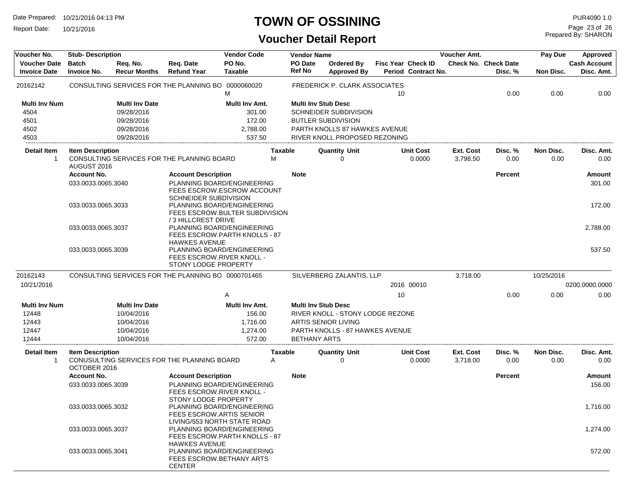Report Date: 10/21/2016

#### **TOWN OF OSSINING**

| Voucher No.                                | <b>Stub-Description</b>                 |                                 |                                                                                          | <b>Vendor Code</b>       |                     | <b>Vendor Name</b>         |                                         |                           |                            | Voucher Amt.          |                                        | Pay Due           | Approved                          |
|--------------------------------------------|-----------------------------------------|---------------------------------|------------------------------------------------------------------------------------------|--------------------------|---------------------|----------------------------|-----------------------------------------|---------------------------|----------------------------|-----------------------|----------------------------------------|-------------------|-----------------------------------|
| <b>Voucher Date</b><br><b>Invoice Date</b> | <b>Batch</b><br><b>Invoice No.</b>      | Req. No.<br><b>Recur Months</b> | Req. Date<br><b>Refund Year</b>                                                          | PO No.<br><b>Taxable</b> |                     | PO Date<br><b>Ref No</b>   | <b>Ordered By</b><br><b>Approved By</b> | <b>Fisc Year Check ID</b> | Period Contract No.        |                       | <b>Check No. Check Date</b><br>Disc. % | Non Disc.         | <b>Cash Account</b><br>Disc. Amt. |
| 20162142                                   |                                         |                                 | CONSULTING SERVICES FOR THE PLANNING BO 0000060020                                       | M                        |                     |                            | FREDERICK P. CLARK ASSOCIATES           | 10                        |                            |                       | 0.00                                   | 0.00              | 0.00                              |
| <b>Multi Inv Num</b>                       |                                         | <b>Multi Inv Date</b>           |                                                                                          | Multi Inv Amt.           |                     | <b>Multi Inv Stub Desc</b> |                                         |                           |                            |                       |                                        |                   |                                   |
| 4504                                       |                                         | 09/28/2016                      |                                                                                          | 301.00                   |                     |                            | <b>SCHNEIDER SUBDIVISION</b>            |                           |                            |                       |                                        |                   |                                   |
| 4501                                       |                                         | 09/28/2016                      |                                                                                          | 172.00                   |                     |                            | <b>BUTLER SUBDIVISION</b>               |                           |                            |                       |                                        |                   |                                   |
| 4502                                       |                                         | 09/28/2016                      |                                                                                          | 2,788.00                 |                     |                            | PARTH KNOLLS 87 HAWKES AVENUE           |                           |                            |                       |                                        |                   |                                   |
| 4503                                       |                                         | 09/28/2016                      |                                                                                          | 537.50                   |                     |                            | RIVER KNOLL PROPOSED REZONING           |                           |                            |                       |                                        |                   |                                   |
| Detail Item<br>1                           | <b>Item Description</b><br>AUGUST 2016  |                                 | CONSULTING SERVICES FOR THE PLANNING BOARD                                               |                          | <b>Taxable</b><br>м |                            | <b>Quantity Unit</b><br>0               |                           | <b>Unit Cost</b><br>0.0000 | Ext. Cost<br>3,798.50 | Disc. %<br>0.00                        | Non Disc.<br>0.00 | Disc. Amt.<br>0.00                |
|                                            | <b>Account No.</b>                      |                                 | <b>Account Description</b>                                                               |                          |                     | <b>Note</b>                |                                         |                           |                            |                       | <b>Percent</b>                         |                   | Amount                            |
|                                            | 033.0033.0065.3040                      |                                 | PLANNING BOARD/ENGINEERING<br>FEES ESCROW.ESCROW ACCOUNT<br><b>SCHNEIDER SUBDIVISION</b> |                          |                     |                            |                                         |                           |                            |                       |                                        |                   | 301.00                            |
|                                            | 033.0033.0065.3033                      |                                 | PLANNING BOARD/ENGINEERING<br>FEES ESCROW.BULTER SUBDIVISION<br>/3 HILLCREST DRIVE       |                          |                     |                            |                                         |                           |                            |                       |                                        |                   | 172.00                            |
|                                            | 033.0033.0065.3037                      |                                 | PLANNING BOARD/ENGINEERING<br>FEES ESCROW.PARTH KNOLLS - 87<br><b>HAWKES AVENUE</b>      |                          |                     |                            |                                         |                           |                            |                       |                                        |                   | 2,788.00                          |
|                                            | 033.0033.0065.3039                      |                                 | PLANNING BOARD/ENGINEERING<br>FEES ESCROW.RIVER KNOLL -<br>STONY LODGE PROPERTY          |                          |                     |                            |                                         |                           |                            |                       |                                        |                   | 537.50                            |
| 20162143                                   |                                         |                                 | CONSULTING SERVICES FOR THE PLANNING BO 0000701465                                       |                          |                     |                            | SILVERBERG ZALANTIS, LLP                |                           |                            | 3,718.00              |                                        | 10/25/2016        |                                   |
| 10/21/2016                                 |                                         |                                 |                                                                                          |                          |                     |                            |                                         |                           | 2016 00010                 |                       |                                        |                   | 0200.0000.0000                    |
|                                            |                                         |                                 |                                                                                          | Α                        |                     |                            |                                         | 10                        |                            |                       | 0.00                                   | 0.00              | 0.00                              |
| <b>Multi Inv Num</b>                       |                                         | <b>Multi Inv Date</b>           |                                                                                          | Multi Inv Amt.           |                     | <b>Multi Inv Stub Desc</b> |                                         |                           |                            |                       |                                        |                   |                                   |
| 12448                                      |                                         | 10/04/2016                      |                                                                                          | 156.00                   |                     |                            | RIVER KNOLL - STONY LODGE REZONE        |                           |                            |                       |                                        |                   |                                   |
| 12443                                      |                                         | 10/04/2016                      |                                                                                          | 1,716.00                 |                     |                            | <b>ARTIS SENIOR LIVING</b>              |                           |                            |                       |                                        |                   |                                   |
| 12447                                      |                                         | 10/04/2016                      |                                                                                          | 1,274.00                 |                     |                            | PARTH KNOLLS - 87 HAWKES AVENUE         |                           |                            |                       |                                        |                   |                                   |
| 12444                                      |                                         | 10/04/2016                      |                                                                                          | 572.00                   |                     | <b>BETHANY ARTS</b>        |                                         |                           |                            |                       |                                        |                   |                                   |
| Detail Item<br>$\mathbf{1}$                | <b>Item Description</b><br>OCTOBER 2016 |                                 | CONUSULTING SERVICES FOR THE PLANNING BOARD                                              |                          | Taxable<br>Α        |                            | <b>Quantity Unit</b><br>$\Omega$        |                           | <b>Unit Cost</b><br>0.0000 | Ext. Cost<br>3,718.00 | Disc.%<br>0.00                         | Non Disc.<br>0.00 | Disc. Amt.<br>0.00                |
|                                            | <b>Account No.</b>                      |                                 | <b>Account Description</b>                                                               |                          |                     | <b>Note</b>                |                                         |                           |                            |                       | <b>Percent</b>                         |                   | Amount                            |
|                                            | 033.0033.0065.3039                      |                                 | PLANNING BOARD/ENGINEERING<br>FEES ESCROW.RIVER KNOLL -<br>STONY LODGE PROPERTY          |                          |                     |                            |                                         |                           |                            |                       |                                        |                   | 156.00                            |
|                                            | 033.0033.0065.3032                      |                                 | PLANNING BOARD/ENGINEERING<br>FEES ESCROW.ARTIS SENIOR<br>LIVING/553 NORTH STATE ROAD    |                          |                     |                            |                                         |                           |                            |                       |                                        |                   | 1,716.00                          |
|                                            | 033.0033.0065.3037                      |                                 | PLANNING BOARD/ENGINEERING<br>FEES ESCROW.PARTH KNOLLS - 87<br><b>HAWKES AVENUE</b>      |                          |                     |                            |                                         |                           |                            |                       |                                        |                   | 1,274.00                          |
|                                            | 033.0033.0065.3041                      |                                 | PLANNING BOARD/ENGINEERING<br>FEES ESCROW.BETHANY ARTS<br><b>CENTER</b>                  |                          |                     |                            |                                         |                           |                            |                       |                                        |                   | 572.00                            |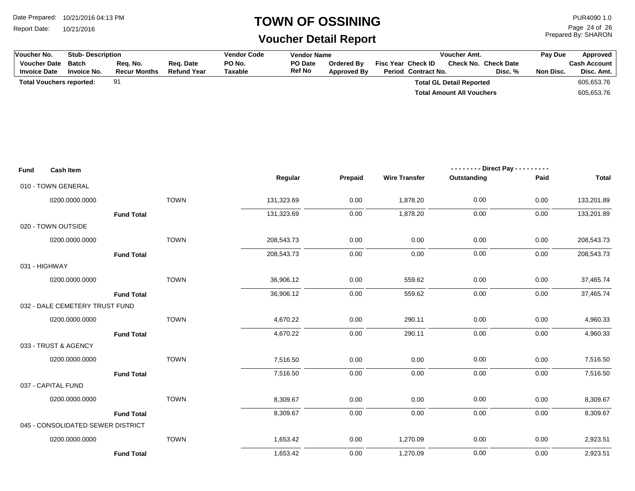Report Date: 10/21/2016

## **TOWN OF OSSINING**

## **Voucher Detail Report**

Prepared By: SHARON Page 24 of 26

| Voucher No. |                                            |                                    | <b>Stub-Description</b>         |                                 |                          | <b>Vendor Code</b><br><b>Vendor Name</b> |                                  |                                           | Voucher Amt.                    |                                 |            | Pay Due<br>Approved               |
|-------------|--------------------------------------------|------------------------------------|---------------------------------|---------------------------------|--------------------------|------------------------------------------|----------------------------------|-------------------------------------------|---------------------------------|---------------------------------|------------|-----------------------------------|
|             | <b>Voucher Date</b><br><b>Invoice Date</b> | <b>Batch</b><br><b>Invoice No.</b> | Req. No.<br><b>Recur Months</b> | Req. Date<br><b>Refund Year</b> | PO No.<br><b>Taxable</b> | PO Date<br><b>Ref No</b>                 | Ordered By<br><b>Approved By</b> | Fisc Year Check ID<br>Period Contract No. |                                 | Check No. Check Date<br>Disc. % | Non Disc.  | <b>Cash Account</b><br>Disc. Amt. |
|             |                                            | <b>Total Vouchers reported:</b>    | 91                              |                                 |                          |                                          |                                  |                                           | <b>Total GL Detail Reported</b> |                                 |            | 605,653.76                        |
|             |                                            |                                    |                                 |                                 |                          |                                          | <b>Total Amount All Vouchers</b> |                                           |                                 |                                 | 605,653.76 |                                   |
|             |                                            |                                    |                                 |                                 |                          |                                          |                                  |                                           |                                 |                                 |            |                                   |
|             |                                            |                                    |                                 |                                 |                          |                                          |                                  |                                           |                                 |                                 |            |                                   |
|             |                                            |                                    |                                 |                                 |                          |                                          |                                  |                                           |                                 |                                 |            |                                   |
|             |                                            |                                    |                                 |                                 |                          |                                          |                                  |                                           |                                 |                                 |            |                                   |
| Fund        |                                            | <b>Cash Item</b>                   |                                 |                                 |                          |                                          |                                  |                                           |                                 | -------- Direct Pay ----        | .          |                                   |
|             |                                            |                                    |                                 |                                 |                          | Regular                                  | Prepaid                          | <b>Wire Transfer</b>                      | Outstanding                     |                                 | Paid       | <b>Total</b>                      |
|             | 010 - TOWN GENERAL                         |                                    |                                 |                                 |                          |                                          |                                  |                                           |                                 |                                 |            |                                   |
|             |                                            | 0200.0000.0000                     |                                 | <b>TOWN</b>                     |                          | 131,323.69                               | 0.00                             | 1,878.20                                  | 0.00                            |                                 | 0.00       | 133,201.89                        |
|             |                                            |                                    | <b>Fund Total</b>               |                                 |                          | 131,323.69                               | 0.00                             | 1,878.20                                  | 0.00                            |                                 | 0.00       | 133,201.89                        |
|             | 020 - TOWN OUTSIDE                         |                                    |                                 |                                 |                          |                                          |                                  |                                           |                                 |                                 |            |                                   |
|             |                                            | 0200.0000.0000                     |                                 | <b>TOWN</b>                     |                          | 208,543.73                               | 0.00                             | 0.00                                      | 0.00                            |                                 | $0.00\,$   | 208,543.73                        |
|             |                                            |                                    | <b>Fund Total</b>               |                                 |                          | 208,543.73                               | 0.00                             | 0.00                                      | 0.00                            |                                 | 0.00       | 208,543.73                        |
|             | 031 - HIGHWAY                              |                                    |                                 |                                 |                          |                                          |                                  |                                           |                                 |                                 |            |                                   |
|             |                                            | 0200.0000.0000                     |                                 | <b>TOWN</b>                     |                          | 36,906.12                                | 0.00                             | 559.62                                    | 0.00                            |                                 | 0.00       | 37,465.74                         |
|             |                                            |                                    | <b>Fund Total</b>               |                                 |                          | 36,906.12                                | 0.00                             | 559.62                                    | 0.00                            |                                 | 0.00       | 37,465.74                         |
|             |                                            | 032 - DALE CEMETERY TRUST FUND     |                                 |                                 |                          |                                          |                                  |                                           |                                 |                                 |            |                                   |
|             |                                            | 0200.0000.0000                     |                                 | <b>TOWN</b>                     |                          | 4,670.22                                 | 0.00                             | 290.11                                    | 0.00                            |                                 | 0.00       | 4,960.33                          |
|             |                                            |                                    | <b>Fund Total</b>               |                                 |                          | 4,670.22                                 | 0.00                             | 290.11                                    | 0.00                            |                                 | 0.00       | 4,960.33                          |
|             |                                            | 033 - TRUST & AGENCY               |                                 |                                 |                          |                                          |                                  |                                           |                                 |                                 |            |                                   |
|             |                                            | 0200.0000.0000                     |                                 | <b>TOWN</b>                     |                          | 7,516.50                                 | 0.00                             | 0.00                                      | 0.00                            |                                 | 0.00       | 7,516.50                          |
|             |                                            |                                    | <b>Fund Total</b>               |                                 |                          | 7,516.50                                 | 0.00                             | 0.00                                      | 0.00                            |                                 | 0.00       | 7,516.50                          |
|             | 037 - CAPITAL FUND                         |                                    |                                 |                                 |                          |                                          |                                  |                                           |                                 |                                 |            |                                   |
|             |                                            | 0200.0000.0000                     |                                 | <b>TOWN</b>                     |                          | 8,309.67                                 | 0.00                             | 0.00                                      | 0.00                            |                                 | 0.00       | 8,309.67                          |
|             |                                            |                                    | <b>Fund Total</b>               |                                 |                          | 8,309.67                                 | 0.00                             | 0.00                                      | 0.00                            |                                 | 0.00       | 8,309.67                          |
|             |                                            | 045 - CONSOLIDATED SEWER DISTRICT  |                                 |                                 |                          |                                          |                                  |                                           |                                 |                                 |            |                                   |
|             |                                            | 0200.0000.0000                     |                                 | <b>TOWN</b>                     |                          | 1,653.42                                 | 0.00                             | 1,270.09                                  | 0.00                            |                                 | 0.00       | 2,923.51                          |
|             |                                            |                                    | <b>Fund Total</b>               |                                 |                          | 1,653.42                                 | 0.00                             | 1,270.09                                  | 0.00                            |                                 | 0.00       | 2,923.51                          |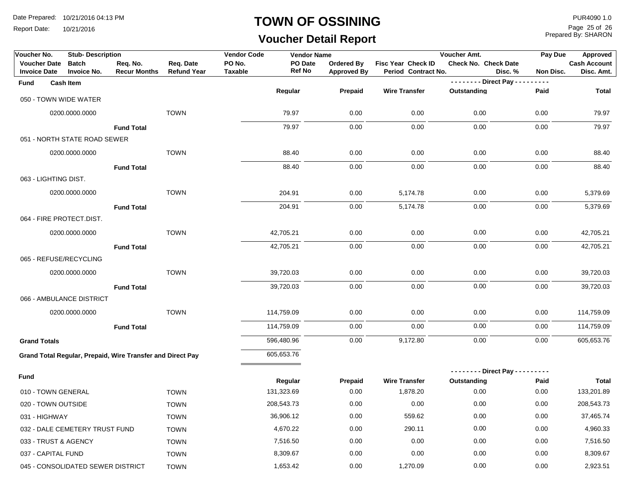Report Date: 10/21/2016

#### **TOWN OF OSSINING**

# **Voucher Detail Report**

Prepared By: SHARON Page 25 of 26

| Voucher No.                                       | <b>Stub-Description</b>            |                                                            |                                 | <b>Vendor Code</b>       | <b>Vendor Name</b> |                                  |                                           | Voucher Amt.                  |           | Pay Due   | Approved                          |  |
|---------------------------------------------------|------------------------------------|------------------------------------------------------------|---------------------------------|--------------------------|--------------------|----------------------------------|-------------------------------------------|-------------------------------|-----------|-----------|-----------------------------------|--|
| <b>Voucher Date</b><br><b>Invoice Date</b>        | <b>Batch</b><br><b>Invoice No.</b> | Req. No.<br><b>Recur Months</b>                            | Req. Date<br><b>Refund Year</b> | PO No.<br><b>Taxable</b> | PO Date<br>Ref No  | Ordered By<br><b>Approved By</b> | Fisc Year Check ID<br>Period Contract No. | <b>Check No. Check Date</b>   | Disc. %   | Non Disc. | <b>Cash Account</b><br>Disc. Amt. |  |
| Fund                                              | <b>Cash Item</b>                   |                                                            |                                 |                          |                    |                                  |                                           | -------- Direct Pay --        | $- - - -$ |           |                                   |  |
| 050 - TOWN WIDE WATER                             |                                    |                                                            |                                 |                          | Regular            | Prepaid                          | <b>Wire Transfer</b>                      | Outstanding                   | Paid      |           | <b>Total</b>                      |  |
|                                                   | 0200.0000.0000                     |                                                            | <b>TOWN</b>                     |                          | 79.97              | 0.00                             | 0.00                                      | 0.00                          | 0.00      |           | 79.97                             |  |
|                                                   |                                    |                                                            |                                 |                          |                    |                                  |                                           |                               |           |           |                                   |  |
| <b>Fund Total</b><br>051 - NORTH STATE ROAD SEWER |                                    |                                                            |                                 |                          | 79.97              | 0.00                             | 0.00                                      | 0.00                          | 0.00      |           | 79.97                             |  |
|                                                   |                                    |                                                            | <b>TOWN</b>                     |                          |                    |                                  |                                           |                               |           |           |                                   |  |
|                                                   | 0200.0000.0000                     |                                                            |                                 |                          | 88.40              | 0.00                             | 0.00                                      | 0.00                          | 0.00      |           | 88.40                             |  |
|                                                   |                                    | <b>Fund Total</b>                                          |                                 |                          | 88.40              | 0.00                             | 0.00                                      | 0.00                          | 0.00      |           | 88.40                             |  |
| 063 - LIGHTING DIST.                              |                                    |                                                            |                                 |                          |                    |                                  |                                           |                               |           |           |                                   |  |
|                                                   | 0200.0000.0000                     |                                                            | <b>TOWN</b>                     |                          | 204.91             | 0.00                             | 5,174.78                                  | 0.00                          | 0.00      |           | 5,379.69                          |  |
|                                                   |                                    | <b>Fund Total</b>                                          |                                 |                          | 204.91             | 0.00                             | 5,174.78                                  | 0.00                          | 0.00      |           | 5,379.69                          |  |
| 064 - FIRE PROTECT.DIST.                          |                                    |                                                            |                                 |                          |                    |                                  |                                           |                               |           |           |                                   |  |
|                                                   | 0200.0000.0000                     |                                                            | <b>TOWN</b>                     |                          | 42,705.21          | 0.00                             | 0.00                                      | 0.00                          | 0.00      |           | 42,705.21                         |  |
|                                                   |                                    | <b>Fund Total</b>                                          |                                 |                          | 42,705.21          | 0.00                             | 0.00                                      | 0.00                          | 0.00      |           | 42,705.21                         |  |
| 065 - REFUSE/RECYCLING                            |                                    |                                                            |                                 |                          |                    |                                  |                                           |                               |           |           |                                   |  |
|                                                   | 0200.0000.0000                     |                                                            | <b>TOWN</b>                     |                          | 39,720.03          | 0.00                             | 0.00                                      | 0.00                          | 0.00      |           | 39,720.03                         |  |
|                                                   |                                    | <b>Fund Total</b>                                          |                                 |                          | 39,720.03          | 0.00                             | 0.00                                      | 0.00                          | 0.00      |           | 39,720.03                         |  |
|                                                   | 066 - AMBULANCE DISTRICT           |                                                            |                                 |                          |                    |                                  |                                           |                               |           |           |                                   |  |
|                                                   | 0200.0000.0000                     |                                                            | <b>TOWN</b>                     |                          | 114,759.09         | 0.00                             | 0.00                                      | 0.00                          | 0.00      |           | 114,759.09                        |  |
|                                                   |                                    | <b>Fund Total</b>                                          |                                 |                          | 114,759.09         | 0.00                             | 0.00                                      | 0.00                          | 0.00      |           | 114,759.09                        |  |
| <b>Grand Totals</b>                               |                                    |                                                            |                                 |                          | 596,480.96         | 0.00                             | 9,172.80                                  | 0.00                          | 0.00      |           | 605,653.76                        |  |
|                                                   |                                    | Grand Total Regular, Prepaid, Wire Transfer and Direct Pay |                                 |                          | 605,653.76         |                                  |                                           |                               |           |           |                                   |  |
|                                                   |                                    |                                                            |                                 |                          |                    |                                  |                                           | -------- Direct Pay --------- |           |           |                                   |  |
| Fund                                              |                                    |                                                            |                                 |                          | Regular            | Prepaid                          | <b>Wire Transfer</b>                      | Outstanding                   | Paid      |           | Total                             |  |
| 010 - TOWN GENERAL                                |                                    |                                                            | <b>TOWN</b>                     |                          | 131,323.69         | 0.00                             | 1,878.20                                  | 0.00                          | 0.00      |           | 133,201.89                        |  |
| 020 - TOWN OUTSIDE                                |                                    |                                                            | <b>TOWN</b>                     |                          | 208,543.73         | 0.00                             | 0.00                                      | 0.00                          | 0.00      |           | 208,543.73                        |  |
| 031 - HIGHWAY                                     |                                    |                                                            | <b>TOWN</b>                     |                          | 36,906.12          | 0.00                             | 559.62                                    | 0.00                          | 0.00      |           | 37,465.74                         |  |
|                                                   | 032 - DALE CEMETERY TRUST FUND     |                                                            | <b>TOWN</b>                     |                          | 4,670.22           | 0.00                             | 290.11                                    | 0.00                          | 0.00      |           | 4,960.33                          |  |
| 033 - TRUST & AGENCY                              |                                    |                                                            | <b>TOWN</b>                     |                          | 7,516.50           | 0.00                             | 0.00                                      | 0.00                          | 0.00      |           | 7,516.50                          |  |
| 037 - CAPITAL FUND                                |                                    |                                                            | <b>TOWN</b>                     |                          | 8,309.67           | 0.00                             | 0.00                                      | 0.00                          | 0.00      |           | 8,309.67                          |  |
|                                                   | 045 - CONSOLIDATED SEWER DISTRICT  |                                                            | <b>TOWN</b>                     |                          | 1,653.42           | 0.00                             | 1,270.09                                  | 0.00                          | 0.00      |           | 2,923.51                          |  |